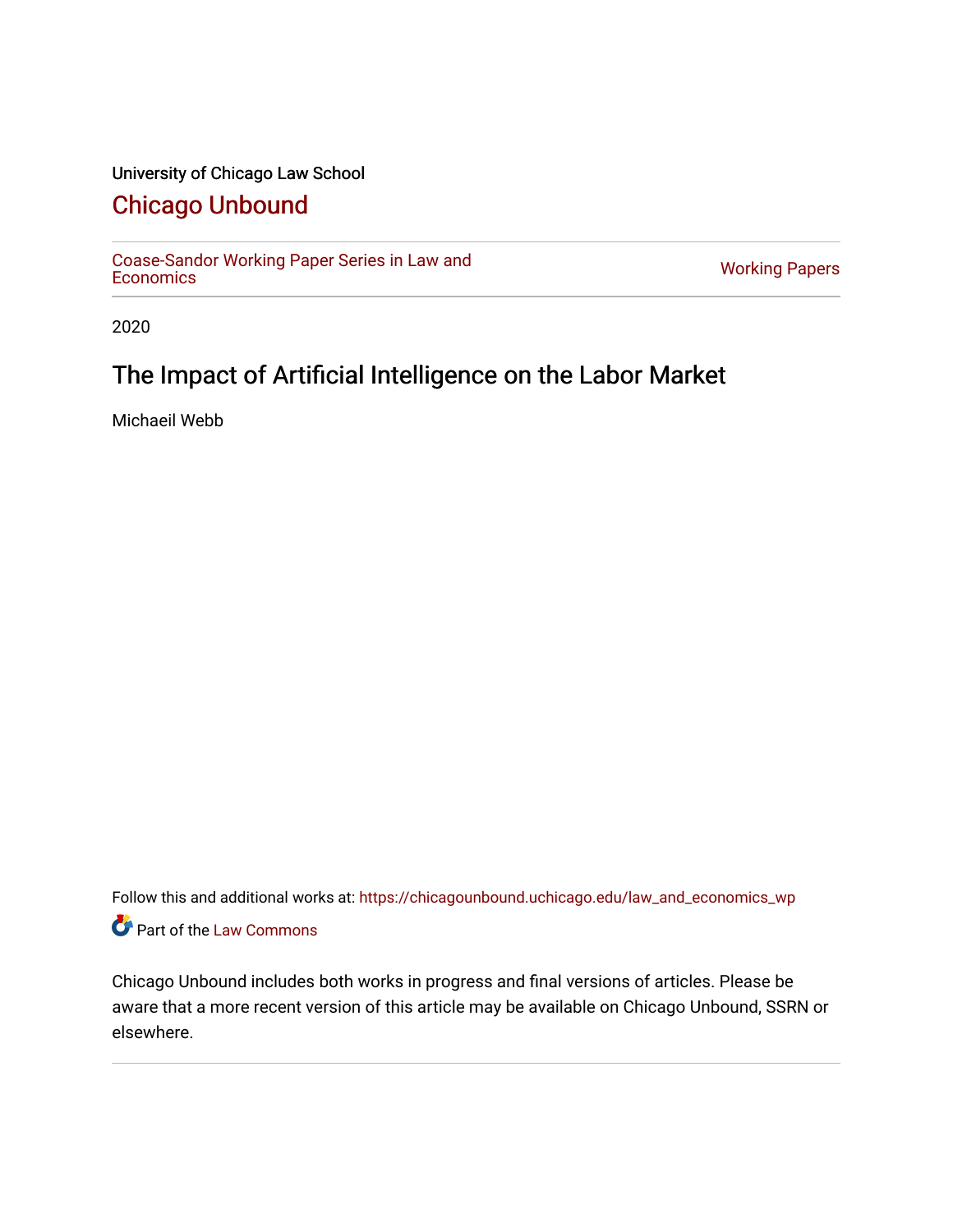## University of Chicago Law School

# [Chicago Unbound](https://chicagounbound.uchicago.edu/)

[Coase-Sandor Working Paper Series in Law and](https://chicagounbound.uchicago.edu/law_and_economics_wp) [Economics](https://chicagounbound.uchicago.edu/law_and_economics_wp) [Working Papers](https://chicagounbound.uchicago.edu/working_papers) 

2020

# The Impact of Artificial Intelligence on the Labor Market

Michaeil Webb

Follow this and additional works at: [https://chicagounbound.uchicago.edu/law\\_and\\_economics\\_wp](https://chicagounbound.uchicago.edu/law_and_economics_wp?utm_source=chicagounbound.uchicago.edu%2Flaw_and_economics_wp%2F63&utm_medium=PDF&utm_campaign=PDFCoverPages)  Part of the [Law Commons](http://network.bepress.com/hgg/discipline/578?utm_source=chicagounbound.uchicago.edu%2Flaw_and_economics_wp%2F63&utm_medium=PDF&utm_campaign=PDFCoverPages)

Chicago Unbound includes both works in progress and final versions of articles. Please be aware that a more recent version of this article may be available on Chicago Unbound, SSRN or elsewhere.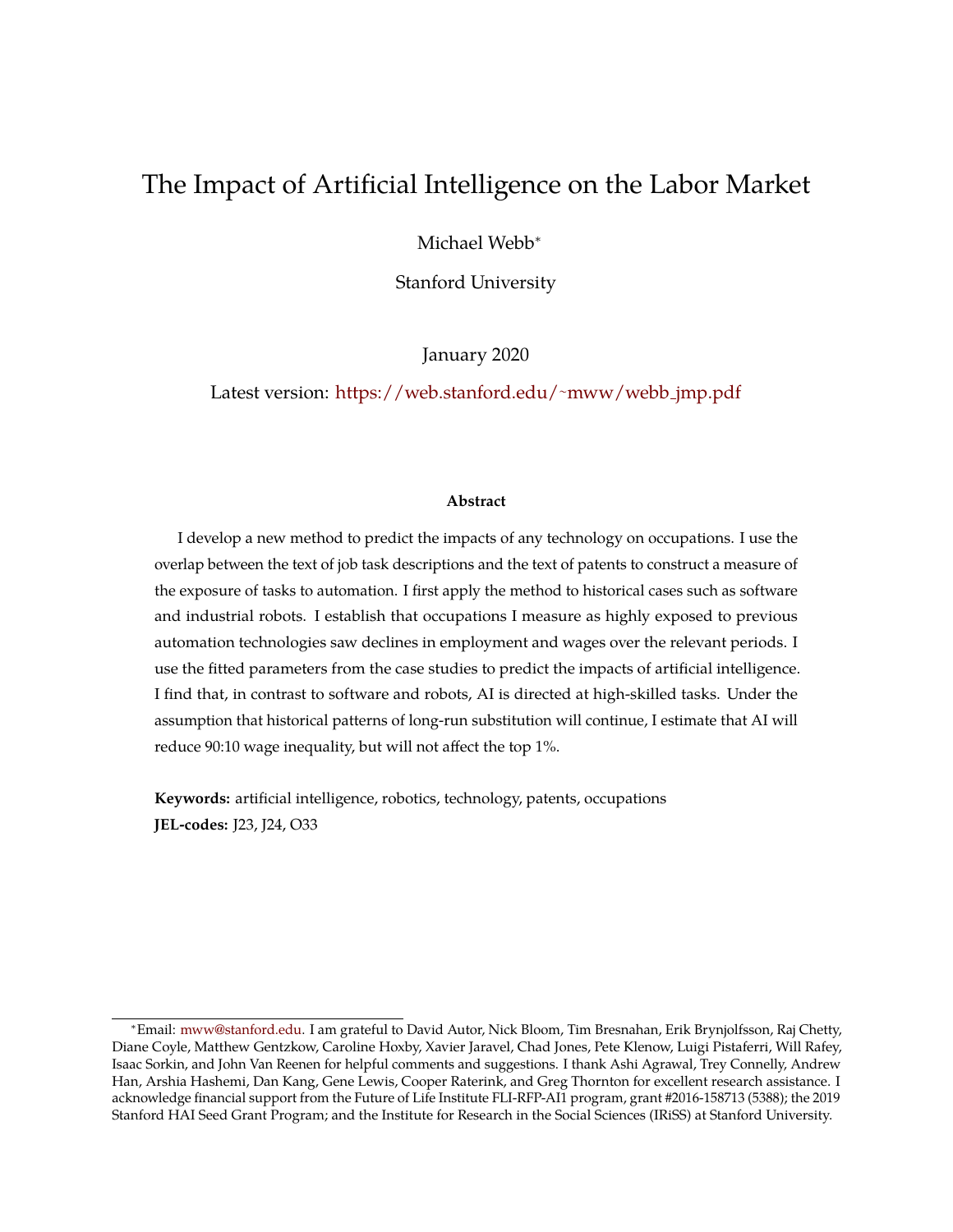# The Impact of Artificial Intelligence on the Labor Market

Michael Webb<sup>∗</sup>

Stanford University

January 2020

Latest version: [https://web.stanford.edu/](https://web.stanford.edu/~mww/webb_jmp.pdf)<sup>∼</sup>mww/webb jmp.pdf

#### **Abstract**

I develop a new method to predict the impacts of any technology on occupations. I use the overlap between the text of job task descriptions and the text of patents to construct a measure of the exposure of tasks to automation. I first apply the method to historical cases such as software and industrial robots. I establish that occupations I measure as highly exposed to previous automation technologies saw declines in employment and wages over the relevant periods. I use the fitted parameters from the case studies to predict the impacts of artificial intelligence. I find that, in contrast to software and robots, AI is directed at high-skilled tasks. Under the assumption that historical patterns of long-run substitution will continue, I estimate that AI will reduce 90:10 wage inequality, but will not affect the top 1%.

**Keywords:** artificial intelligence, robotics, technology, patents, occupations **JEL-codes:** J23, J24, O33

<sup>∗</sup>Email: [mww@stanford.edu.](mailto:mww@stanford.edu) I am grateful to David Autor, Nick Bloom, Tim Bresnahan, Erik Brynjolfsson, Raj Chetty, Diane Coyle, Matthew Gentzkow, Caroline Hoxby, Xavier Jaravel, Chad Jones, Pete Klenow, Luigi Pistaferri, Will Rafey, Isaac Sorkin, and John Van Reenen for helpful comments and suggestions. I thank Ashi Agrawal, Trey Connelly, Andrew Han, Arshia Hashemi, Dan Kang, Gene Lewis, Cooper Raterink, and Greg Thornton for excellent research assistance. I acknowledge financial support from the Future of Life Institute FLI-RFP-AI1 program, grant #2016-158713 (5388); the 2019 Stanford HAI Seed Grant Program; and the Institute for Research in the Social Sciences (IRiSS) at Stanford University.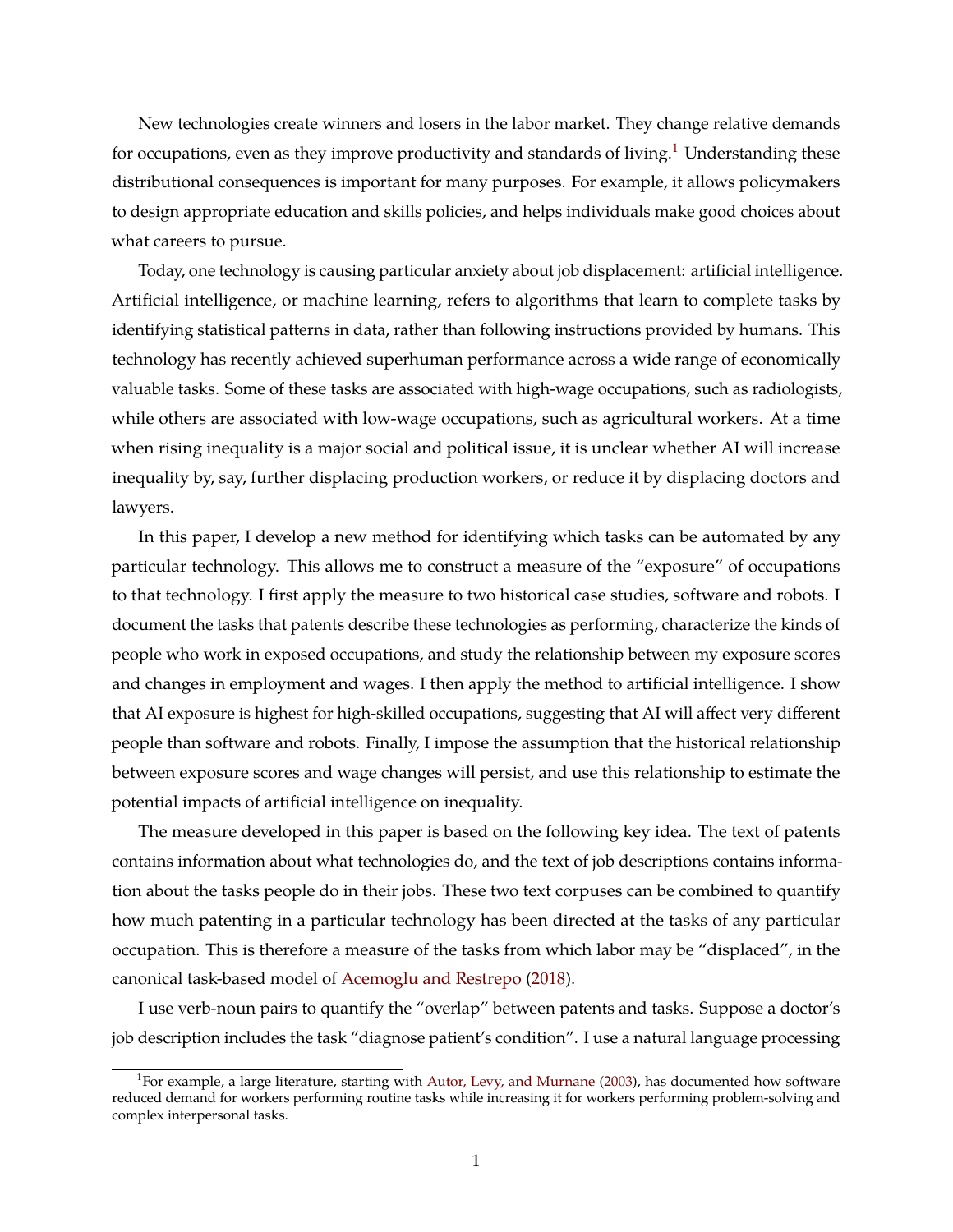New technologies create winners and losers in the labor market. They change relative demands for occupations, even as they improve productivity and standards of living.<sup>[1](#page-2-0)</sup> Understanding these distributional consequences is important for many purposes. For example, it allows policymakers to design appropriate education and skills policies, and helps individuals make good choices about what careers to pursue.

Today, one technology is causing particular anxiety about job displacement: artificial intelligence. Artificial intelligence, or machine learning, refers to algorithms that learn to complete tasks by identifying statistical patterns in data, rather than following instructions provided by humans. This technology has recently achieved superhuman performance across a wide range of economically valuable tasks. Some of these tasks are associated with high-wage occupations, such as radiologists, while others are associated with low-wage occupations, such as agricultural workers. At a time when rising inequality is a major social and political issue, it is unclear whether AI will increase inequality by, say, further displacing production workers, or reduce it by displacing doctors and lawyers.

In this paper, I develop a new method for identifying which tasks can be automated by any particular technology. This allows me to construct a measure of the "exposure" of occupations to that technology. I first apply the measure to two historical case studies, software and robots. I document the tasks that patents describe these technologies as performing, characterize the kinds of people who work in exposed occupations, and study the relationship between my exposure scores and changes in employment and wages. I then apply the method to artificial intelligence. I show that AI exposure is highest for high-skilled occupations, suggesting that AI will affect very different people than software and robots. Finally, I impose the assumption that the historical relationship between exposure scores and wage changes will persist, and use this relationship to estimate the potential impacts of artificial intelligence on inequality.

The measure developed in this paper is based on the following key idea. The text of patents contains information about what technologies do, and the text of job descriptions contains information about the tasks people do in their jobs. These two text corpuses can be combined to quantify how much patenting in a particular technology has been directed at the tasks of any particular occupation. This is therefore a measure of the tasks from which labor may be "displaced", in the canonical task-based model of [Acemoglu and Restrepo](#page-48-0) [\(2018\)](#page-48-0).

I use verb-noun pairs to quantify the "overlap" between patents and tasks. Suppose a doctor's job description includes the task "diagnose patient's condition". I use a natural language processing

<span id="page-2-0"></span><sup>&</sup>lt;sup>1</sup>For example, a large literature, starting with [Autor, Levy, and Murnane](#page-48-1) [\(2003\)](#page-48-1), has documented how software reduced demand for workers performing routine tasks while increasing it for workers performing problem-solving and complex interpersonal tasks.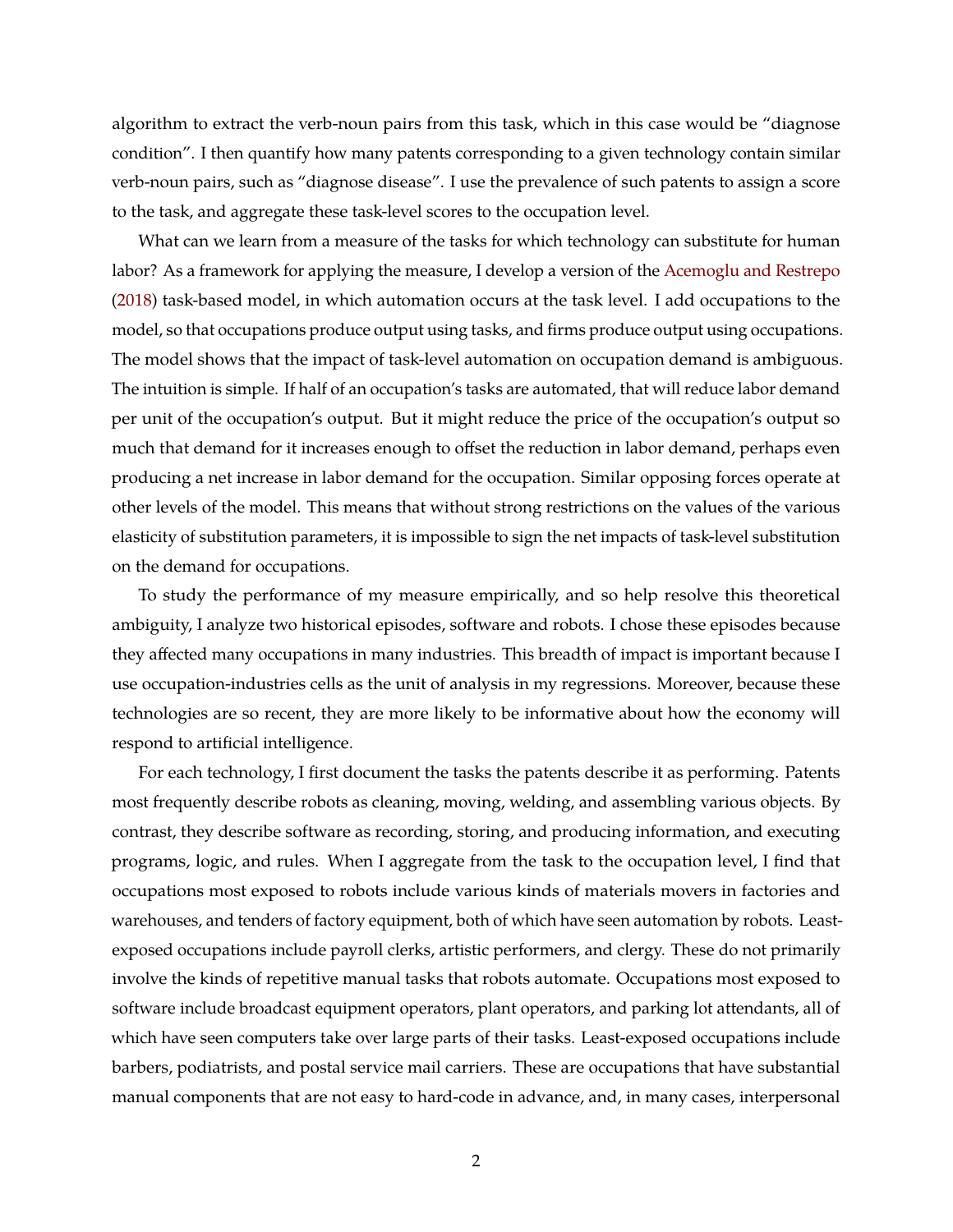algorithm to extract the verb-noun pairs from this task, which in this case would be "diagnose condition". I then quantify how many patents corresponding to a given technology contain similar verb-noun pairs, such as "diagnose disease". I use the prevalence of such patents to assign a score to the task, and aggregate these task-level scores to the occupation level.

What can we learn from a measure of the tasks for which technology can substitute for human labor? As a framework for applying the measure, I develop a version of the [Acemoglu and Restrepo](#page-48-0) [\(2018\)](#page-48-0) task-based model, in which automation occurs at the task level. I add occupations to the model, so that occupations produce output using tasks, and firms produce output using occupations. The model shows that the impact of task-level automation on occupation demand is ambiguous. The intuition is simple. If half of an occupation's tasks are automated, that will reduce labor demand per unit of the occupation's output. But it might reduce the price of the occupation's output so much that demand for it increases enough to offset the reduction in labor demand, perhaps even producing a net increase in labor demand for the occupation. Similar opposing forces operate at other levels of the model. This means that without strong restrictions on the values of the various elasticity of substitution parameters, it is impossible to sign the net impacts of task-level substitution on the demand for occupations.

To study the performance of my measure empirically, and so help resolve this theoretical ambiguity, I analyze two historical episodes, software and robots. I chose these episodes because they affected many occupations in many industries. This breadth of impact is important because I use occupation-industries cells as the unit of analysis in my regressions. Moreover, because these technologies are so recent, they are more likely to be informative about how the economy will respond to artificial intelligence.

For each technology, I first document the tasks the patents describe it as performing. Patents most frequently describe robots as cleaning, moving, welding, and assembling various objects. By contrast, they describe software as recording, storing, and producing information, and executing programs, logic, and rules. When I aggregate from the task to the occupation level, I find that occupations most exposed to robots include various kinds of materials movers in factories and warehouses, and tenders of factory equipment, both of which have seen automation by robots. Leastexposed occupations include payroll clerks, artistic performers, and clergy. These do not primarily involve the kinds of repetitive manual tasks that robots automate. Occupations most exposed to software include broadcast equipment operators, plant operators, and parking lot attendants, all of which have seen computers take over large parts of their tasks. Least-exposed occupations include barbers, podiatrists, and postal service mail carriers. These are occupations that have substantial manual components that are not easy to hard-code in advance, and, in many cases, interpersonal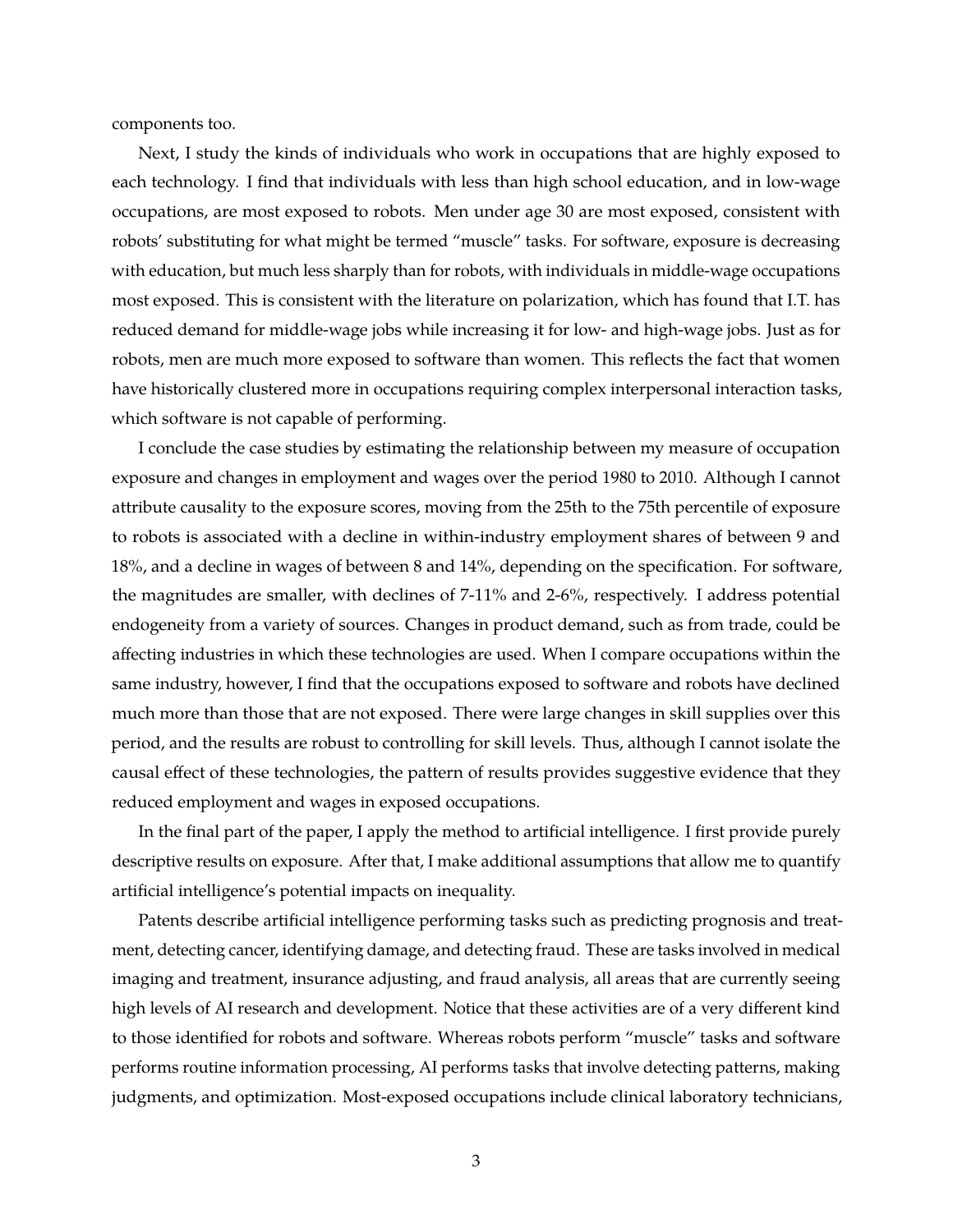components too.

Next, I study the kinds of individuals who work in occupations that are highly exposed to each technology. I find that individuals with less than high school education, and in low-wage occupations, are most exposed to robots. Men under age 30 are most exposed, consistent with robots' substituting for what might be termed "muscle" tasks. For software, exposure is decreasing with education, but much less sharply than for robots, with individuals in middle-wage occupations most exposed. This is consistent with the literature on polarization, which has found that I.T. has reduced demand for middle-wage jobs while increasing it for low- and high-wage jobs. Just as for robots, men are much more exposed to software than women. This reflects the fact that women have historically clustered more in occupations requiring complex interpersonal interaction tasks, which software is not capable of performing.

I conclude the case studies by estimating the relationship between my measure of occupation exposure and changes in employment and wages over the period 1980 to 2010. Although I cannot attribute causality to the exposure scores, moving from the 25th to the 75th percentile of exposure to robots is associated with a decline in within-industry employment shares of between 9 and 18%, and a decline in wages of between 8 and 14%, depending on the specification. For software, the magnitudes are smaller, with declines of 7-11% and 2-6%, respectively. I address potential endogeneity from a variety of sources. Changes in product demand, such as from trade, could be affecting industries in which these technologies are used. When I compare occupations within the same industry, however, I find that the occupations exposed to software and robots have declined much more than those that are not exposed. There were large changes in skill supplies over this period, and the results are robust to controlling for skill levels. Thus, although I cannot isolate the causal effect of these technologies, the pattern of results provides suggestive evidence that they reduced employment and wages in exposed occupations.

In the final part of the paper, I apply the method to artificial intelligence. I first provide purely descriptive results on exposure. After that, I make additional assumptions that allow me to quantify artificial intelligence's potential impacts on inequality.

Patents describe artificial intelligence performing tasks such as predicting prognosis and treatment, detecting cancer, identifying damage, and detecting fraud. These are tasks involved in medical imaging and treatment, insurance adjusting, and fraud analysis, all areas that are currently seeing high levels of AI research and development. Notice that these activities are of a very different kind to those identified for robots and software. Whereas robots perform "muscle" tasks and software performs routine information processing, AI performs tasks that involve detecting patterns, making judgments, and optimization. Most-exposed occupations include clinical laboratory technicians,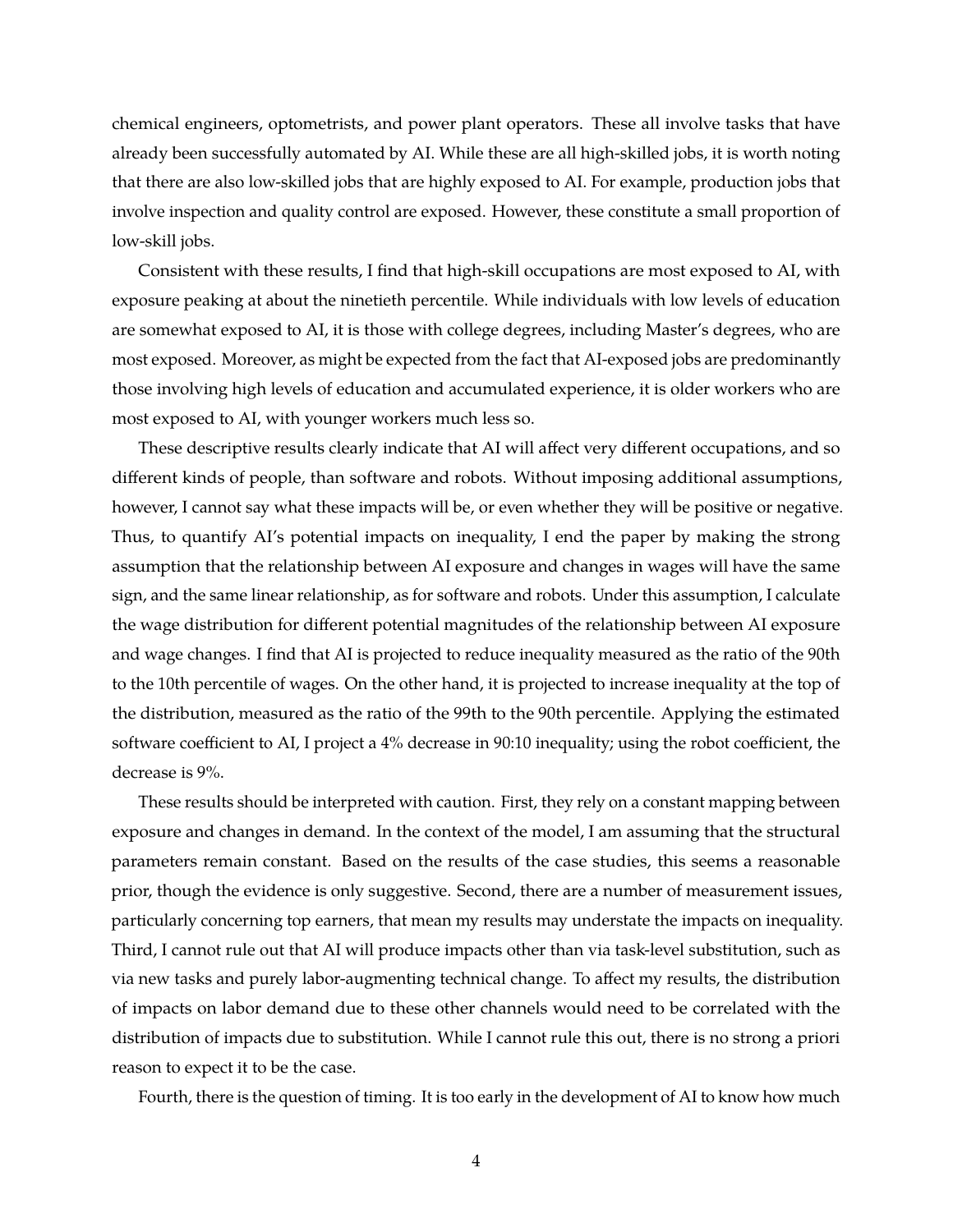chemical engineers, optometrists, and power plant operators. These all involve tasks that have already been successfully automated by AI. While these are all high-skilled jobs, it is worth noting that there are also low-skilled jobs that are highly exposed to AI. For example, production jobs that involve inspection and quality control are exposed. However, these constitute a small proportion of low-skill jobs.

Consistent with these results, I find that high-skill occupations are most exposed to AI, with exposure peaking at about the ninetieth percentile. While individuals with low levels of education are somewhat exposed to AI, it is those with college degrees, including Master's degrees, who are most exposed. Moreover, as might be expected from the fact that AI-exposed jobs are predominantly those involving high levels of education and accumulated experience, it is older workers who are most exposed to AI, with younger workers much less so.

These descriptive results clearly indicate that AI will affect very different occupations, and so different kinds of people, than software and robots. Without imposing additional assumptions, however, I cannot say what these impacts will be, or even whether they will be positive or negative. Thus, to quantify AI's potential impacts on inequality, I end the paper by making the strong assumption that the relationship between AI exposure and changes in wages will have the same sign, and the same linear relationship, as for software and robots. Under this assumption, I calculate the wage distribution for different potential magnitudes of the relationship between AI exposure and wage changes. I find that AI is projected to reduce inequality measured as the ratio of the 90th to the 10th percentile of wages. On the other hand, it is projected to increase inequality at the top of the distribution, measured as the ratio of the 99th to the 90th percentile. Applying the estimated software coefficient to AI, I project a 4% decrease in 90:10 inequality; using the robot coefficient, the decrease is 9%.

These results should be interpreted with caution. First, they rely on a constant mapping between exposure and changes in demand. In the context of the model, I am assuming that the structural parameters remain constant. Based on the results of the case studies, this seems a reasonable prior, though the evidence is only suggestive. Second, there are a number of measurement issues, particularly concerning top earners, that mean my results may understate the impacts on inequality. Third, I cannot rule out that AI will produce impacts other than via task-level substitution, such as via new tasks and purely labor-augmenting technical change. To affect my results, the distribution of impacts on labor demand due to these other channels would need to be correlated with the distribution of impacts due to substitution. While I cannot rule this out, there is no strong a priori reason to expect it to be the case.

Fourth, there is the question of timing. It is too early in the development of AI to know how much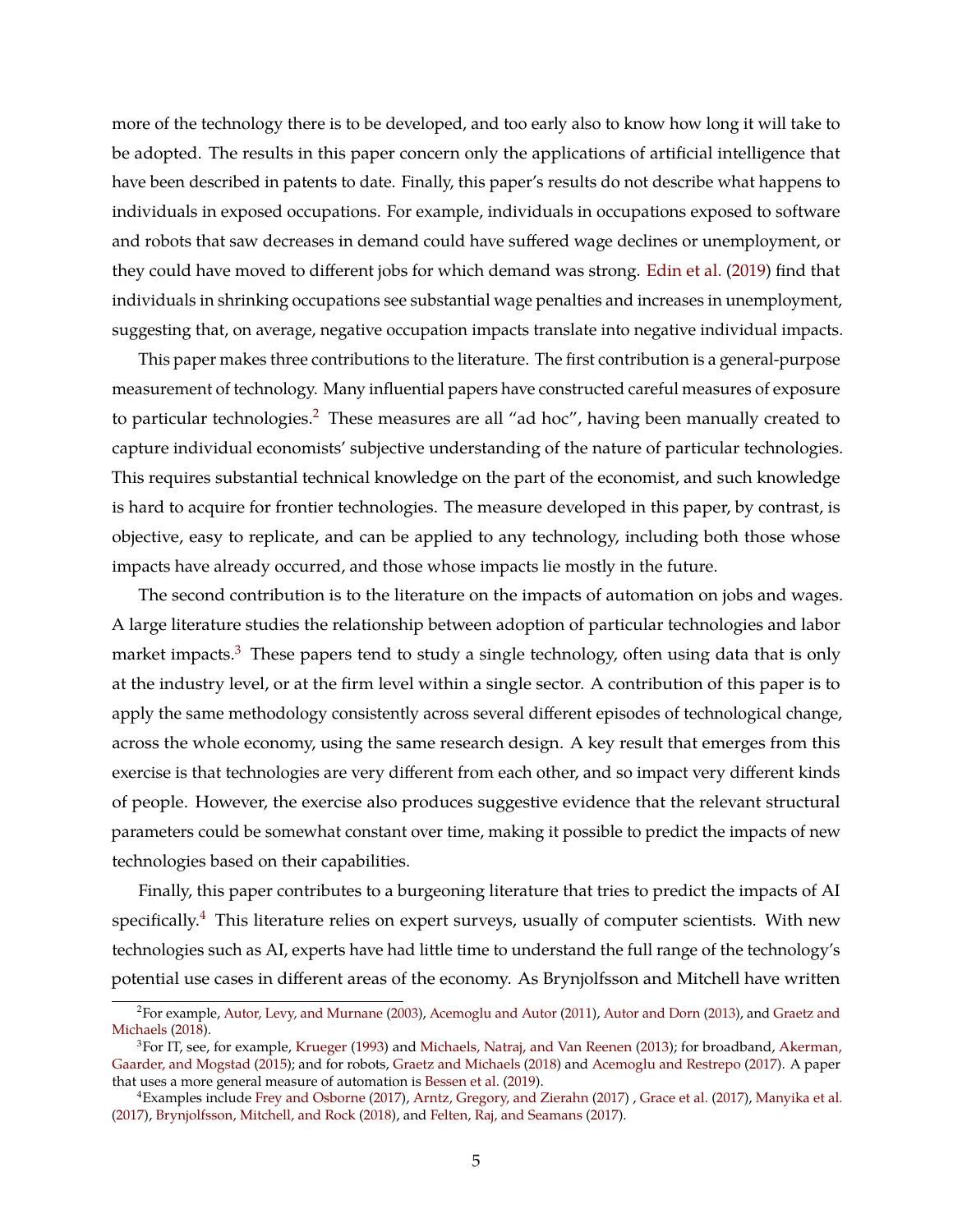more of the technology there is to be developed, and too early also to know how long it will take to be adopted. The results in this paper concern only the applications of artificial intelligence that have been described in patents to date. Finally, this paper's results do not describe what happens to individuals in exposed occupations. For example, individuals in occupations exposed to software and robots that saw decreases in demand could have suffered wage declines or unemployment, or they could have moved to different jobs for which demand was strong. [Edin et al.](#page-49-0) [\(2019\)](#page-49-0) find that individuals in shrinking occupations see substantial wage penalties and increases in unemployment, suggesting that, on average, negative occupation impacts translate into negative individual impacts.

This paper makes three contributions to the literature. The first contribution is a general-purpose measurement of technology. Many influential papers have constructed careful measures of exposure to particular technologies.<sup>[2](#page-6-0)</sup> These measures are all "ad hoc", having been manually created to capture individual economists' subjective understanding of the nature of particular technologies. This requires substantial technical knowledge on the part of the economist, and such knowledge is hard to acquire for frontier technologies. The measure developed in this paper, by contrast, is objective, easy to replicate, and can be applied to any technology, including both those whose impacts have already occurred, and those whose impacts lie mostly in the future.

The second contribution is to the literature on the impacts of automation on jobs and wages. A large literature studies the relationship between adoption of particular technologies and labor market impacts.<sup>[3](#page-6-1)</sup> These papers tend to study a single technology, often using data that is only at the industry level, or at the firm level within a single sector. A contribution of this paper is to apply the same methodology consistently across several different episodes of technological change, across the whole economy, using the same research design. A key result that emerges from this exercise is that technologies are very different from each other, and so impact very different kinds of people. However, the exercise also produces suggestive evidence that the relevant structural parameters could be somewhat constant over time, making it possible to predict the impacts of new technologies based on their capabilities.

Finally, this paper contributes to a burgeoning literature that tries to predict the impacts of AI specifically.<sup>[4](#page-6-2)</sup> This literature relies on expert surveys, usually of computer scientists. With new technologies such as AI, experts have had little time to understand the full range of the technology's potential use cases in different areas of the economy. As Brynjolfsson and Mitchell have written

<span id="page-6-0"></span><sup>2</sup>For example, [Autor, Levy, and Murnane](#page-48-1) [\(2003\)](#page-48-1), [Acemoglu and Autor](#page-48-2) [\(2011\)](#page-48-2), [Autor and Dorn](#page-48-3) [\(2013\)](#page-48-3), and [Graetz and](#page-50-0) [Michaels](#page-50-0) [\(2018\)](#page-50-0).

<span id="page-6-1"></span><sup>&</sup>lt;sup>3</sup>For IT, see, for example, [Krueger](#page-50-1) [\(1993\)](#page-50-1) and [Michaels, Natraj, and Van Reenen](#page-51-0) [\(2013\)](#page-51-0); for broadband, [Akerman,](#page-48-4) [Gaarder, and Mogstad](#page-48-4) [\(2015\)](#page-48-4); and for robots, [Graetz and Michaels](#page-50-0) [\(2018\)](#page-50-0) and [Acemoglu and Restrepo](#page-48-5) [\(2017\)](#page-48-5). A paper that uses a more general measure of automation is [Bessen et al.](#page-48-6) [\(2019\)](#page-48-6).

<span id="page-6-2"></span><sup>4</sup>Examples include [Frey and Osborne](#page-50-2) [\(2017\)](#page-50-2), [Arntz, Gregory, and Zierahn](#page-48-7) [\(2017\)](#page-48-7) , [Grace et al.](#page-50-3) [\(2017\)](#page-50-3), [Manyika et al.](#page-51-1) [\(2017\)](#page-51-1), [Brynjolfsson, Mitchell, and Rock](#page-49-1) [\(2018\)](#page-49-1), and [Felten, Raj, and Seamans](#page-49-2) [\(2017\)](#page-49-2).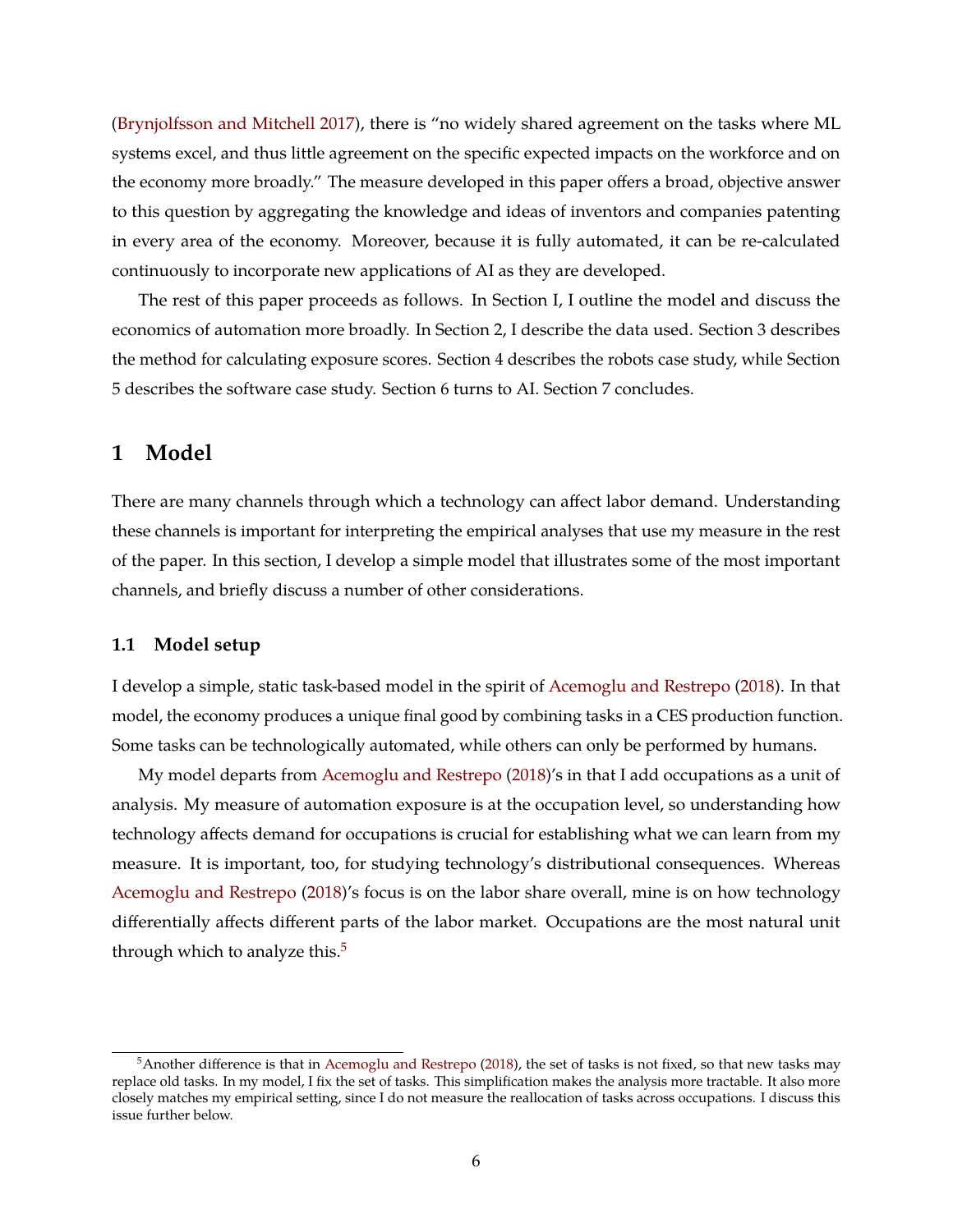[\(Brynjolfsson and Mitchell](#page-49-3) [2017\)](#page-49-3), there is "no widely shared agreement on the tasks where ML systems excel, and thus little agreement on the specific expected impacts on the workforce and on the economy more broadly." The measure developed in this paper offers a broad, objective answer to this question by aggregating the knowledge and ideas of inventors and companies patenting in every area of the economy. Moreover, because it is fully automated, it can be re-calculated continuously to incorporate new applications of AI as they are developed.

The rest of this paper proceeds as follows. In Section I, I outline the model and discuss the economics of automation more broadly. In Section 2, I describe the data used. Section 3 describes the method for calculating exposure scores. Section 4 describes the robots case study, while Section 5 describes the software case study. Section 6 turns to AI. Section 7 concludes.

## **1 Model**

There are many channels through which a technology can affect labor demand. Understanding these channels is important for interpreting the empirical analyses that use my measure in the rest of the paper. In this section, I develop a simple model that illustrates some of the most important channels, and briefly discuss a number of other considerations.

### **1.1 Model setup**

I develop a simple, static task-based model in the spirit of [Acemoglu and Restrepo](#page-48-0) [\(2018\)](#page-48-0). In that model, the economy produces a unique final good by combining tasks in a CES production function. Some tasks can be technologically automated, while others can only be performed by humans.

My model departs from [Acemoglu and Restrepo](#page-48-0) [\(2018\)](#page-48-0)'s in that I add occupations as a unit of analysis. My measure of automation exposure is at the occupation level, so understanding how technology affects demand for occupations is crucial for establishing what we can learn from my measure. It is important, too, for studying technology's distributional consequences. Whereas [Acemoglu and Restrepo](#page-48-0) [\(2018\)](#page-48-0)'s focus is on the labor share overall, mine is on how technology differentially affects different parts of the labor market. Occupations are the most natural unit through which to analyze this. $5$ 

<span id="page-7-0"></span><sup>&</sup>lt;sup>5</sup>Another difference is that in [Acemoglu and Restrepo](#page-48-0) [\(2018\)](#page-48-0), the set of tasks is not fixed, so that new tasks may replace old tasks. In my model, I fix the set of tasks. This simplification makes the analysis more tractable. It also more closely matches my empirical setting, since I do not measure the reallocation of tasks across occupations. I discuss this issue further below.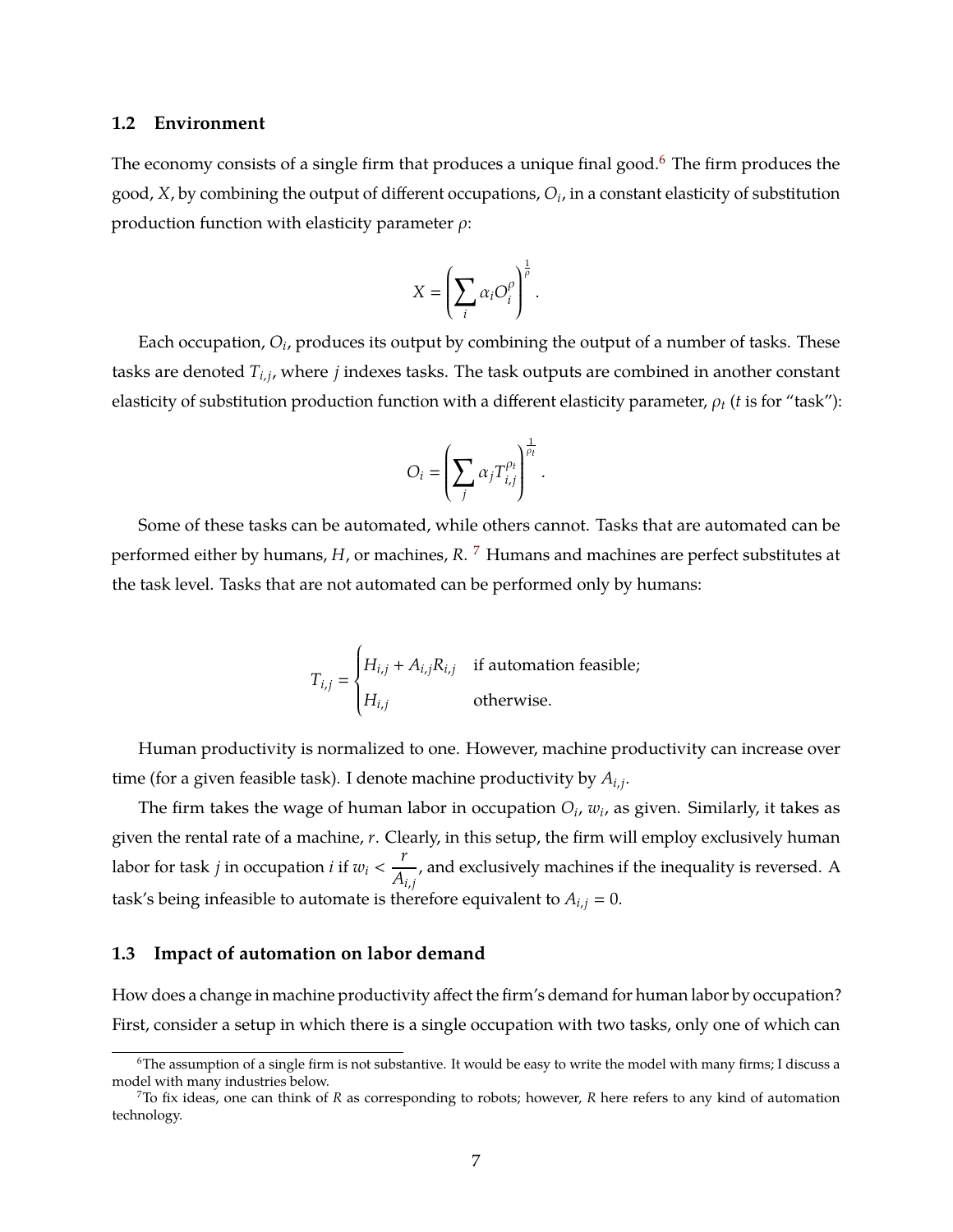### **1.2 Environment**

The economy consists of a single firm that produces a unique final good.<sup>[6](#page-8-0)</sup> The firm produces the good, *X*, by combining the output of different occupations, *O<sup>i</sup>* , in a constant elasticity of substitution production function with elasticity parameter  $\rho$ :

$$
X = \left(\sum_i \alpha_i O_i^{\rho}\right)^{\frac{1}{\rho}}.
$$

Each occupation*,*  $O_i$ *,* produces its output by combining the output of a number of tasks. These tasks are denoted *Ti*,*<sup>j</sup>* , where *j* indexes tasks. The task outputs are combined in another constant elasticity of substitution production function with a different elasticity parameter,  $\rho_t$  (*t* is for "task"):

$$
O_i = \left(\sum_j \alpha_j T_{i,j}^{\rho_t}\right)^{\frac{1}{\rho_t}}.
$$

Some of these tasks can be automated, while others cannot. Tasks that are automated can be performed either by humans, *H*, or machines, *R*. [7](#page-8-1) Humans and machines are perfect substitutes at the task level. Tasks that are not automated can be performed only by humans:

$$
T_{i,j} = \begin{cases} H_{i,j} + A_{i,j} R_{i,j} & \text{if automation feasible;} \\ H_{i,j} & \text{otherwise.} \end{cases}
$$

Human productivity is normalized to one. However, machine productivity can increase over time (for a given feasible task). I denote machine productivity by *Ai*,*<sup>j</sup>* .

The firm takes the wage of human labor in occupation  $O_i$ ,  $w_i$ , as given. Similarly, it takes as given the rental rate of a machine, *r*. Clearly, in this setup, the firm will employ exclusively human labor for task *j* in occupation *i* if  $w_i < \frac{r}{4}$ *Ai*,*<sup>j</sup>* , and exclusively machines if the inequality is reversed. A task's being infeasible to automate is therefore equivalent to  $A_{i,j} = 0$ .

## **1.3 Impact of automation on labor demand**

How does a change in machine productivity affect the firm's demand for human labor by occupation? First, consider a setup in which there is a single occupation with two tasks, only one of which can

<span id="page-8-0"></span><sup>6</sup>The assumption of a single firm is not substantive. It would be easy to write the model with many firms; I discuss a model with many industries below.

<span id="page-8-1"></span><sup>7</sup>To fix ideas, one can think of *R* as corresponding to robots; however, *R* here refers to any kind of automation technology.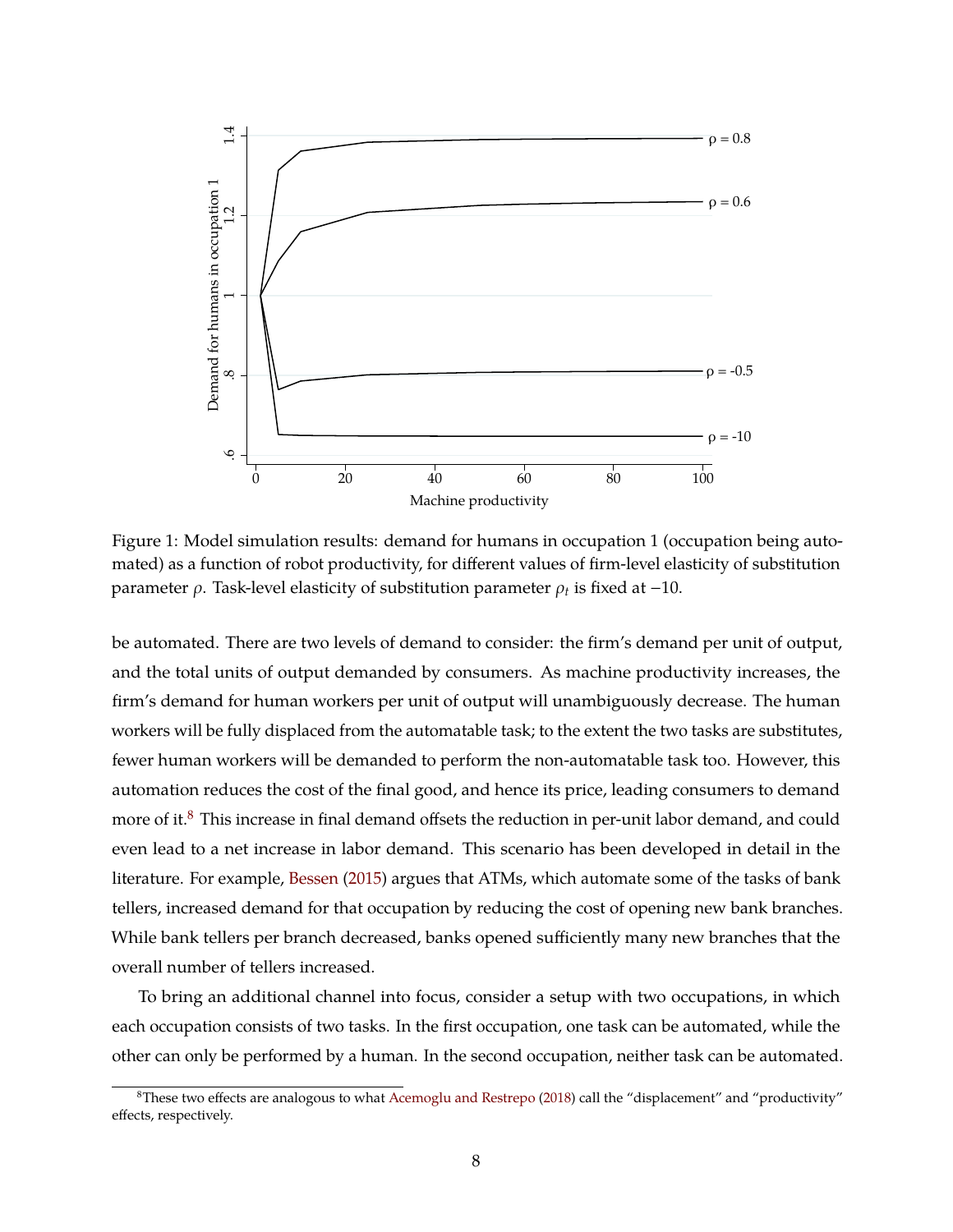<span id="page-9-1"></span>

Figure 1: Model simulation results: demand for humans in occupation 1 (occupation being automated) as a function of robot productivity, for different values of firm-level elasticity of substitution parameter  $\rho$ . Task-level elasticity of substitution parameter  $\rho_t$  is fixed at  $-10$ .

be automated. There are two levels of demand to consider: the firm's demand per unit of output, and the total units of output demanded by consumers. As machine productivity increases, the firm's demand for human workers per unit of output will unambiguously decrease. The human workers will be fully displaced from the automatable task; to the extent the two tasks are substitutes, fewer human workers will be demanded to perform the non-automatable task too. However, this automation reduces the cost of the final good, and hence its price, leading consumers to demand more of it.<sup>[8](#page-9-0)</sup> This increase in final demand offsets the reduction in per-unit labor demand, and could even lead to a net increase in labor demand. This scenario has been developed in detail in the literature. For example, [Bessen](#page-48-8) [\(2015\)](#page-48-8) argues that ATMs, which automate some of the tasks of bank tellers, increased demand for that occupation by reducing the cost of opening new bank branches. While bank tellers per branch decreased, banks opened sufficiently many new branches that the overall number of tellers increased.

To bring an additional channel into focus, consider a setup with two occupations, in which each occupation consists of two tasks. In the first occupation, one task can be automated, while the other can only be performed by a human. In the second occupation, neither task can be automated.

<span id="page-9-0"></span><sup>&</sup>lt;sup>8</sup>These two effects are analogous to what [Acemoglu and Restrepo](#page-48-0) [\(2018\)](#page-48-0) call the "displacement" and "productivity" effects, respectively.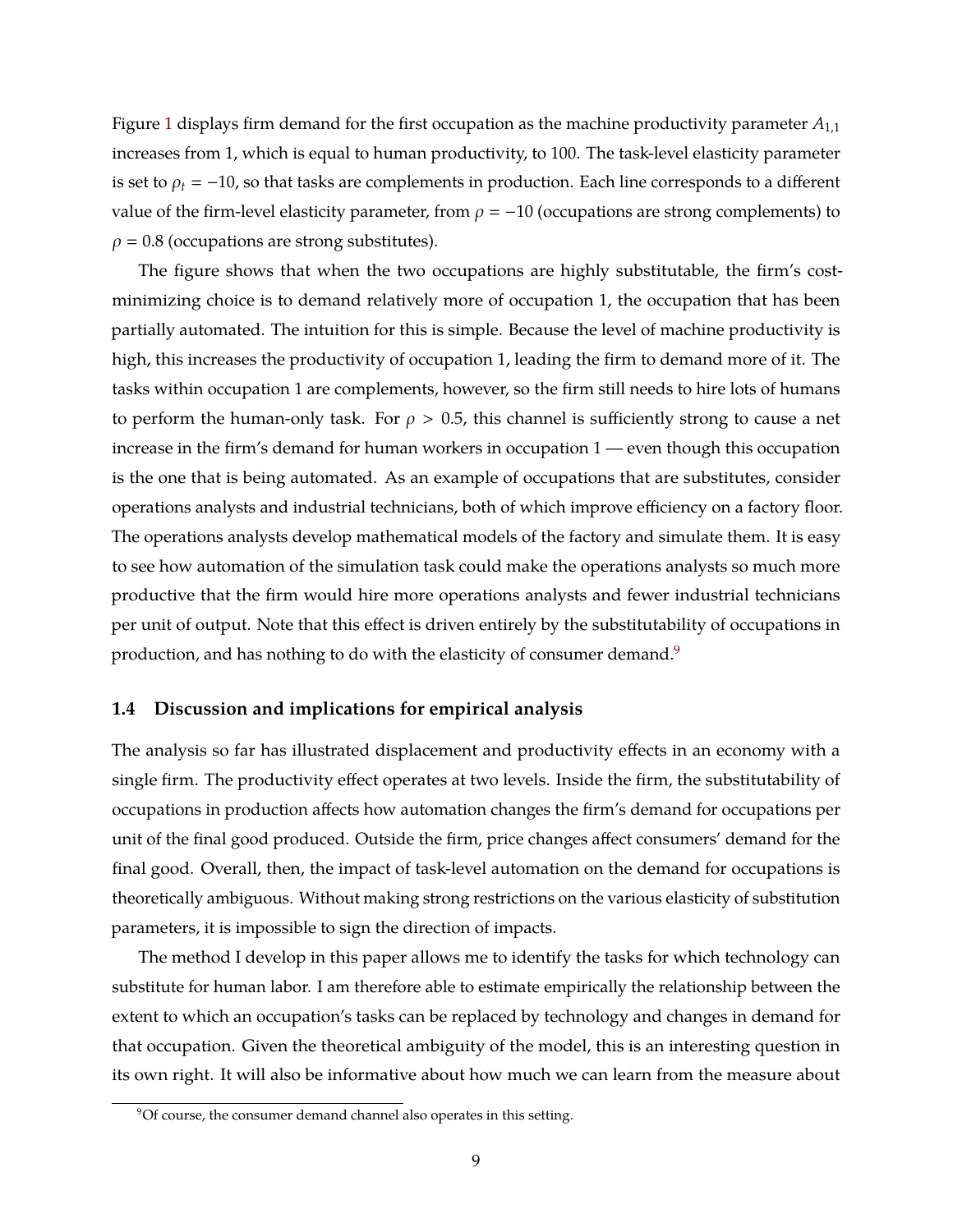Figure [1](#page-9-1) displays firm demand for the first occupation as the machine productivity parameter *A*1,<sup>1</sup> increases from 1, which is equal to human productivity, to 100. The task-level elasticity parameter is set to  $\rho_t = -10$ , so that tasks are complements in production. Each line corresponds to a different value of the firm-level elasticity parameter, from  $\rho = -10$  (occupations are strong complements) to  $\rho = 0.8$  (occupations are strong substitutes).

The figure shows that when the two occupations are highly substitutable, the firm's costminimizing choice is to demand relatively more of occupation 1, the occupation that has been partially automated. The intuition for this is simple. Because the level of machine productivity is high, this increases the productivity of occupation 1, leading the firm to demand more of it. The tasks within occupation 1 are complements, however, so the firm still needs to hire lots of humans to perform the human-only task. For  $\rho > 0.5$ , this channel is sufficiently strong to cause a net increase in the firm's demand for human workers in occupation 1 — even though this occupation is the one that is being automated. As an example of occupations that are substitutes, consider operations analysts and industrial technicians, both of which improve efficiency on a factory floor. The operations analysts develop mathematical models of the factory and simulate them. It is easy to see how automation of the simulation task could make the operations analysts so much more productive that the firm would hire more operations analysts and fewer industrial technicians per unit of output. Note that this effect is driven entirely by the substitutability of occupations in production, and has nothing to do with the elasticity of consumer demand.<sup>[9](#page-10-0)</sup>

### **1.4 Discussion and implications for empirical analysis**

The analysis so far has illustrated displacement and productivity effects in an economy with a single firm. The productivity effect operates at two levels. Inside the firm, the substitutability of occupations in production affects how automation changes the firm's demand for occupations per unit of the final good produced. Outside the firm, price changes affect consumers' demand for the final good. Overall, then, the impact of task-level automation on the demand for occupations is theoretically ambiguous. Without making strong restrictions on the various elasticity of substitution parameters, it is impossible to sign the direction of impacts.

The method I develop in this paper allows me to identify the tasks for which technology can substitute for human labor. I am therefore able to estimate empirically the relationship between the extent to which an occupation's tasks can be replaced by technology and changes in demand for that occupation. Given the theoretical ambiguity of the model, this is an interesting question in its own right. It will also be informative about how much we can learn from the measure about

<span id="page-10-0"></span><sup>&</sup>lt;sup>9</sup>Of course, the consumer demand channel also operates in this setting.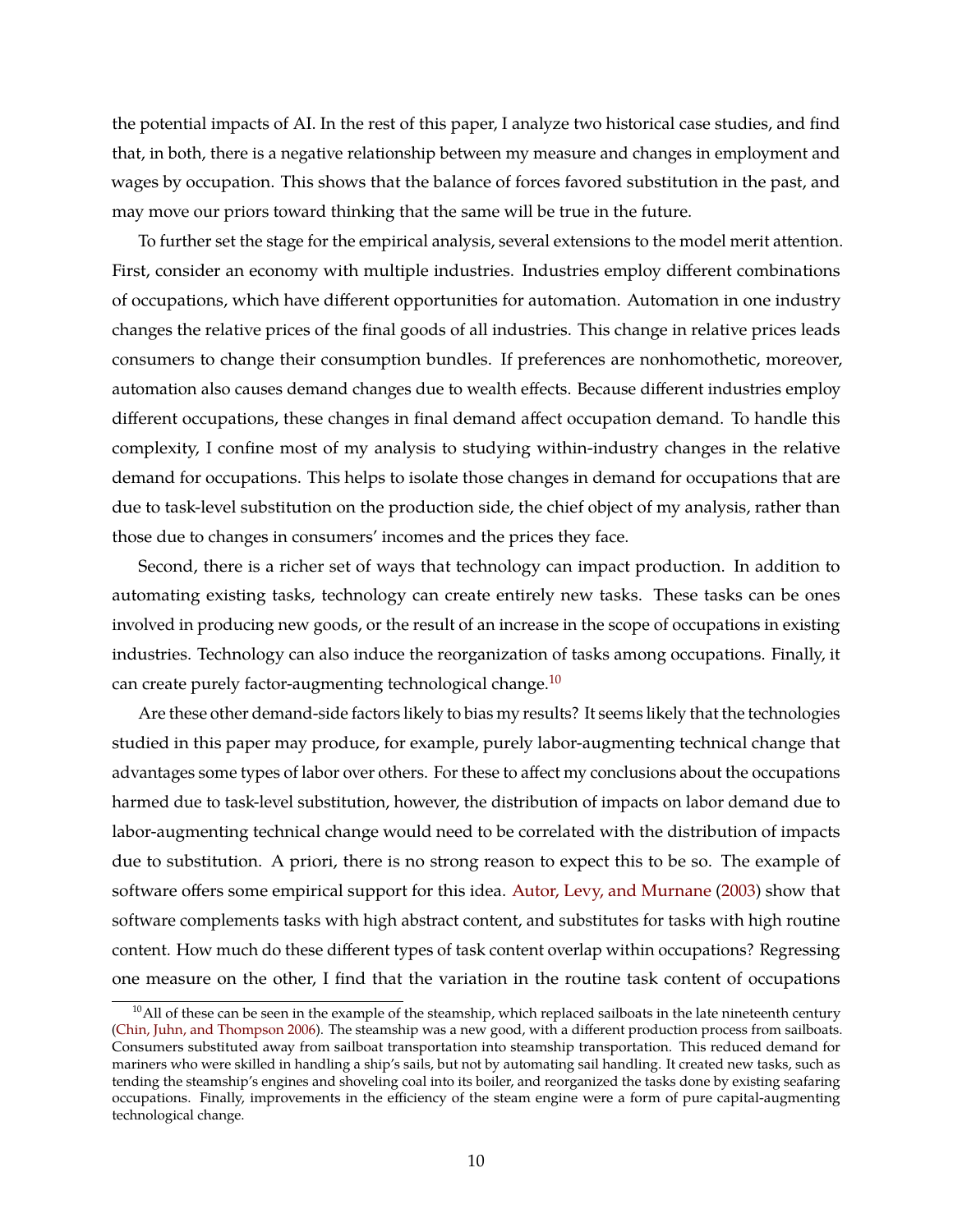the potential impacts of AI. In the rest of this paper, I analyze two historical case studies, and find that, in both, there is a negative relationship between my measure and changes in employment and wages by occupation. This shows that the balance of forces favored substitution in the past, and may move our priors toward thinking that the same will be true in the future.

To further set the stage for the empirical analysis, several extensions to the model merit attention. First, consider an economy with multiple industries. Industries employ different combinations of occupations, which have different opportunities for automation. Automation in one industry changes the relative prices of the final goods of all industries. This change in relative prices leads consumers to change their consumption bundles. If preferences are nonhomothetic, moreover, automation also causes demand changes due to wealth effects. Because different industries employ different occupations, these changes in final demand affect occupation demand. To handle this complexity, I confine most of my analysis to studying within-industry changes in the relative demand for occupations. This helps to isolate those changes in demand for occupations that are due to task-level substitution on the production side, the chief object of my analysis, rather than those due to changes in consumers' incomes and the prices they face.

Second, there is a richer set of ways that technology can impact production. In addition to automating existing tasks, technology can create entirely new tasks. These tasks can be ones involved in producing new goods, or the result of an increase in the scope of occupations in existing industries. Technology can also induce the reorganization of tasks among occupations. Finally, it can create purely factor-augmenting technological change.<sup>[10](#page-11-0)</sup>

Are these other demand-side factors likely to bias my results? It seems likely that the technologies studied in this paper may produce, for example, purely labor-augmenting technical change that advantages some types of labor over others. For these to affect my conclusions about the occupations harmed due to task-level substitution, however, the distribution of impacts on labor demand due to labor-augmenting technical change would need to be correlated with the distribution of impacts due to substitution. A priori, there is no strong reason to expect this to be so. The example of software offers some empirical support for this idea. [Autor, Levy, and Murnane](#page-48-1) [\(2003\)](#page-48-1) show that software complements tasks with high abstract content, and substitutes for tasks with high routine content. How much do these different types of task content overlap within occupations? Regressing one measure on the other, I find that the variation in the routine task content of occupations

<span id="page-11-0"></span> $10$ All of these can be seen in the example of the steamship, which replaced sailboats in the late nineteenth century [\(Chin, Juhn, and Thompson](#page-49-4) [2006\)](#page-49-4). The steamship was a new good, with a different production process from sailboats. Consumers substituted away from sailboat transportation into steamship transportation. This reduced demand for mariners who were skilled in handling a ship's sails, but not by automating sail handling. It created new tasks, such as tending the steamship's engines and shoveling coal into its boiler, and reorganized the tasks done by existing seafaring occupations. Finally, improvements in the efficiency of the steam engine were a form of pure capital-augmenting technological change.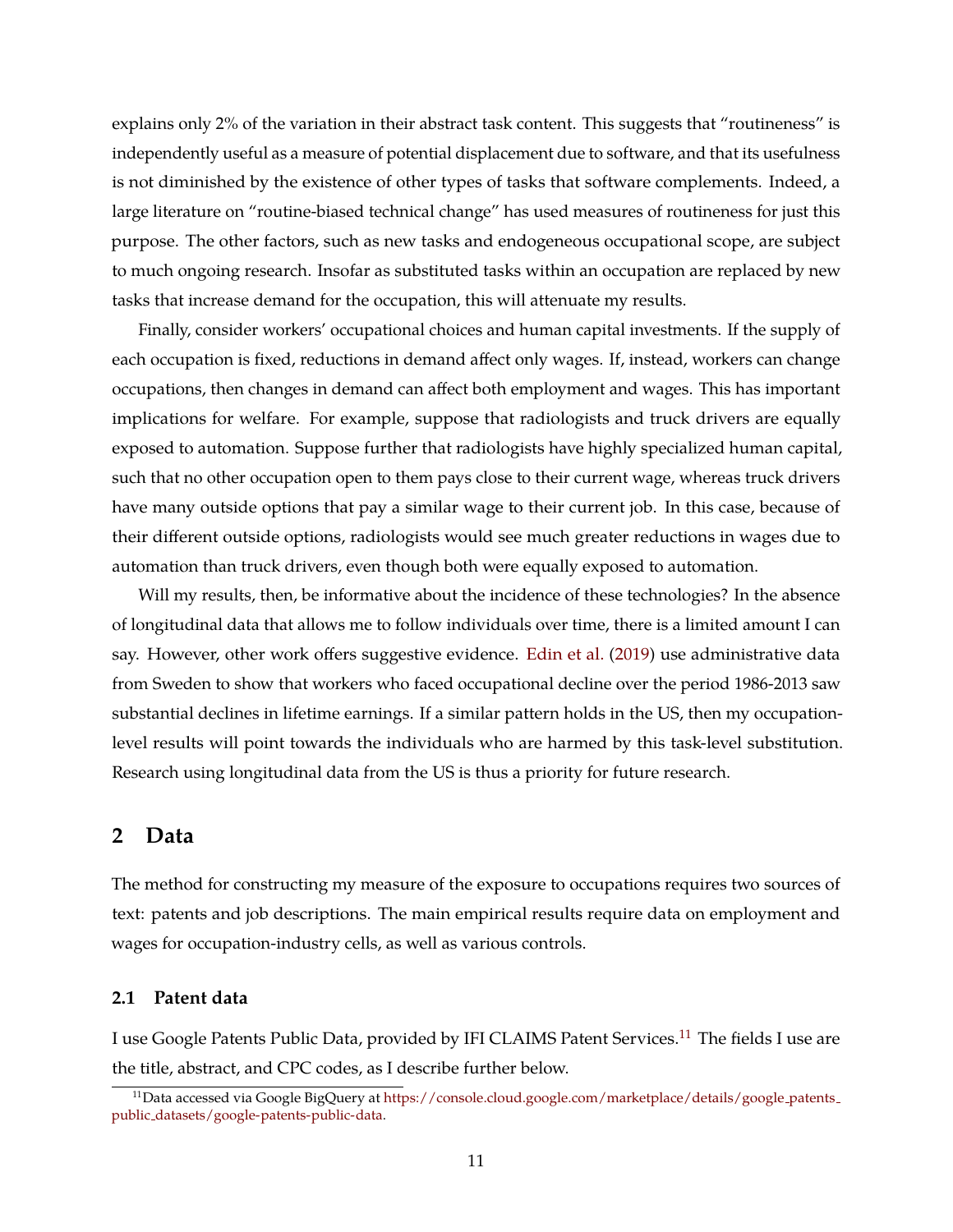explains only 2% of the variation in their abstract task content. This suggests that "routineness" is independently useful as a measure of potential displacement due to software, and that its usefulness is not diminished by the existence of other types of tasks that software complements. Indeed, a large literature on "routine-biased technical change" has used measures of routineness for just this purpose. The other factors, such as new tasks and endogeneous occupational scope, are subject to much ongoing research. Insofar as substituted tasks within an occupation are replaced by new tasks that increase demand for the occupation, this will attenuate my results.

Finally, consider workers' occupational choices and human capital investments. If the supply of each occupation is fixed, reductions in demand affect only wages. If, instead, workers can change occupations, then changes in demand can affect both employment and wages. This has important implications for welfare. For example, suppose that radiologists and truck drivers are equally exposed to automation. Suppose further that radiologists have highly specialized human capital, such that no other occupation open to them pays close to their current wage, whereas truck drivers have many outside options that pay a similar wage to their current job. In this case, because of their different outside options, radiologists would see much greater reductions in wages due to automation than truck drivers, even though both were equally exposed to automation.

Will my results, then, be informative about the incidence of these technologies? In the absence of longitudinal data that allows me to follow individuals over time, there is a limited amount I can say. However, other work offers suggestive evidence. [Edin et al.](#page-49-0) [\(2019\)](#page-49-0) use administrative data from Sweden to show that workers who faced occupational decline over the period 1986-2013 saw substantial declines in lifetime earnings. If a similar pattern holds in the US, then my occupationlevel results will point towards the individuals who are harmed by this task-level substitution. Research using longitudinal data from the US is thus a priority for future research.

### **2 Data**

The method for constructing my measure of the exposure to occupations requires two sources of text: patents and job descriptions. The main empirical results require data on employment and wages for occupation-industry cells, as well as various controls.

### **2.1 Patent data**

I use Google Patents Public Data, provided by IFI CLAIMS Patent Services.<sup>[11](#page-12-0)</sup> The fields I use are the title, abstract, and CPC codes, as I describe further below.

<span id="page-12-0"></span> $11$ Data accessed via Google BigQuery at [https://console.cloud.google.com/marketplace/details/google](https://console.cloud.google.com/marketplace/details/google_patents_public_datasets/google-patents-public-data)\_patents\_ public [datasets/google-patents-public-data.](https://console.cloud.google.com/marketplace/details/google_patents_public_datasets/google-patents-public-data)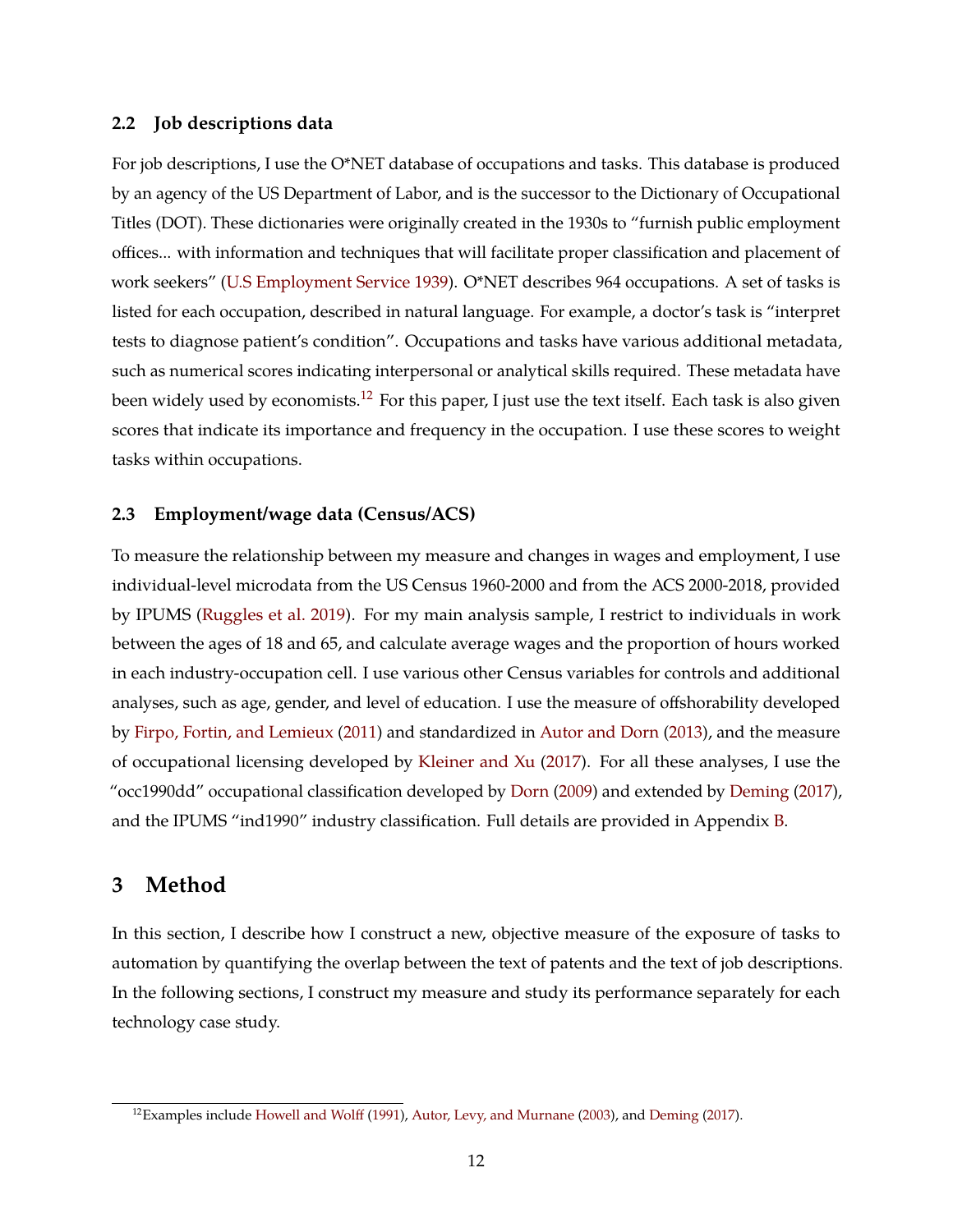### **2.2 Job descriptions data**

For job descriptions, I use the O\*NET database of occupations and tasks. This database is produced by an agency of the US Department of Labor, and is the successor to the Dictionary of Occupational Titles (DOT). These dictionaries were originally created in the 1930s to "furnish public employment offices... with information and techniques that will facilitate proper classification and placement of work seekers" [\(U.S Employment Service](#page-51-2) [1939\)](#page-51-2). O\*NET describes 964 occupations. A set of tasks is listed for each occupation, described in natural language. For example, a doctor's task is "interpret tests to diagnose patient's condition". Occupations and tasks have various additional metadata, such as numerical scores indicating interpersonal or analytical skills required. These metadata have been widely used by economists.<sup>[12](#page-13-0)</sup> For this paper, I just use the text itself. Each task is also given scores that indicate its importance and frequency in the occupation. I use these scores to weight tasks within occupations.

### **2.3 Employment/wage data (Census/ACS)**

To measure the relationship between my measure and changes in wages and employment, I use individual-level microdata from the US Census 1960-2000 and from the ACS 2000-2018, provided by IPUMS [\(Ruggles et al.](#page-51-3) [2019\)](#page-51-3). For my main analysis sample, I restrict to individuals in work between the ages of 18 and 65, and calculate average wages and the proportion of hours worked in each industry-occupation cell. I use various other Census variables for controls and additional analyses, such as age, gender, and level of education. I use the measure of offshorability developed by [Firpo, Fortin, and Lemieux](#page-50-4) [\(2011\)](#page-50-4) and standardized in [Autor and Dorn](#page-48-3) [\(2013\)](#page-48-3), and the measure of occupational licensing developed by [Kleiner and Xu](#page-50-5) [\(2017\)](#page-50-5). For all these analyses, I use the "occ1990dd" occupational classification developed by [Dorn](#page-49-5) [\(2009\)](#page-49-5) and extended by [Deming](#page-49-6) [\(2017\)](#page-49-6), and the IPUMS "ind1990" industry classification. Full details are provided in Appendix [B.](#page-53-0)

### **3 Method**

In this section, I describe how I construct a new, objective measure of the exposure of tasks to automation by quantifying the overlap between the text of patents and the text of job descriptions. In the following sections, I construct my measure and study its performance separately for each technology case study.

<span id="page-13-0"></span> $12$ Examples include [Howell and Wolff](#page-50-6) [\(1991\)](#page-50-6), [Autor, Levy, and Murnane](#page-48-1) [\(2003\)](#page-48-1), and [Deming](#page-49-6) [\(2017\)](#page-49-6).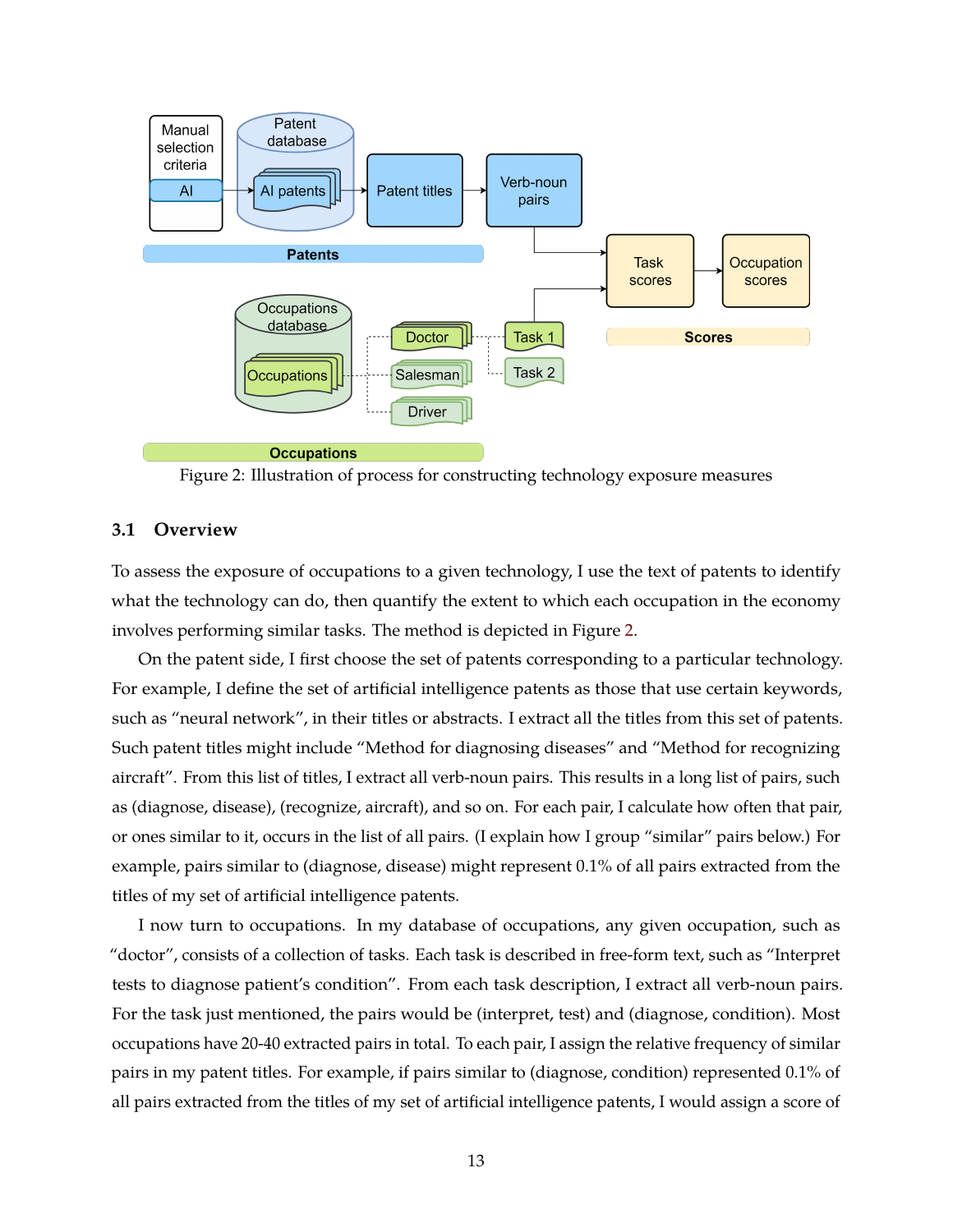<span id="page-14-0"></span>

Figure 2: Illustration of process for constructing technology exposure measures

### **3.1 Overview**

To assess the exposure of occupations to a given technology, I use the text of patents to identify what the technology can do, then quantify the extent to which each occupation in the economy involves performing similar tasks. The method is depicted in Figure [2.](#page-14-0)

On the patent side, I first choose the set of patents corresponding to a particular technology. For example, I define the set of artificial intelligence patents as those that use certain keywords, such as "neural network", in their titles or abstracts. I extract all the titles from this set of patents. Such patent titles might include "Method for diagnosing diseases" and "Method for recognizing aircraft". From this list of titles, I extract all verb-noun pairs. This results in a long list of pairs, such as (diagnose, disease), (recognize, aircraft), and so on. For each pair, I calculate how often that pair, or ones similar to it, occurs in the list of all pairs. (I explain how I group "similar" pairs below.) For example, pairs similar to (diagnose, disease) might represent 0.1% of all pairs extracted from the titles of my set of artificial intelligence patents.

I now turn to occupations. In my database of occupations, any given occupation, such as "doctor", consists of a collection of tasks. Each task is described in free-form text, such as "Interpret tests to diagnose patient's condition". From each task description, I extract all verb-noun pairs. For the task just mentioned, the pairs would be (interpret, test) and (diagnose, condition). Most occupations have 20-40 extracted pairs in total. To each pair, I assign the relative frequency of similar pairs in my patent titles. For example, if pairs similar to (diagnose, condition) represented 0.1% of all pairs extracted from the titles of my set of artificial intelligence patents, I would assign a score of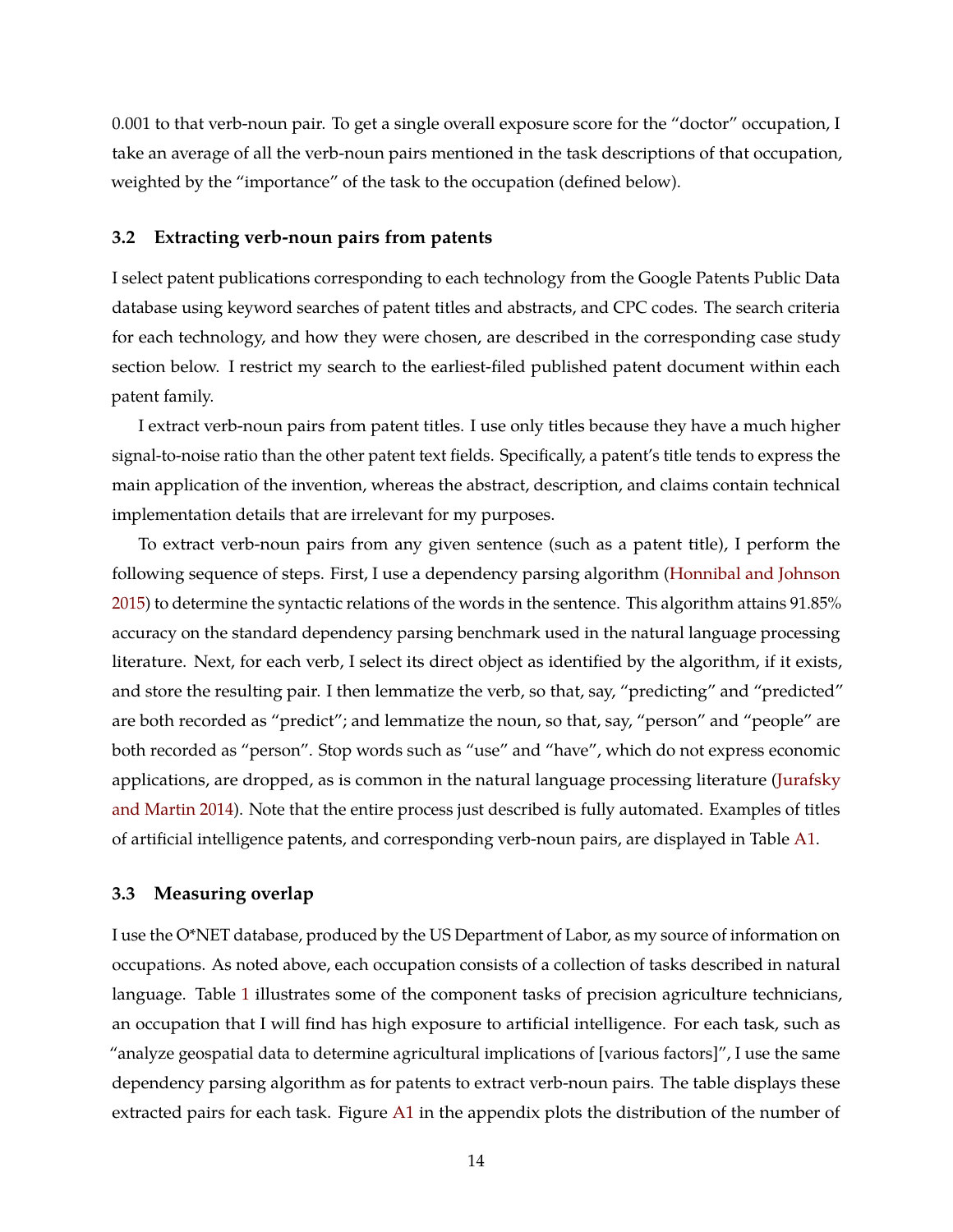0.001 to that verb-noun pair. To get a single overall exposure score for the "doctor" occupation, I take an average of all the verb-noun pairs mentioned in the task descriptions of that occupation, weighted by the "importance" of the task to the occupation (defined below).

#### **3.2 Extracting verb-noun pairs from patents**

I select patent publications corresponding to each technology from the Google Patents Public Data database using keyword searches of patent titles and abstracts, and CPC codes. The search criteria for each technology, and how they were chosen, are described in the corresponding case study section below. I restrict my search to the earliest-filed published patent document within each patent family.

I extract verb-noun pairs from patent titles. I use only titles because they have a much higher signal-to-noise ratio than the other patent text fields. Specifically, a patent's title tends to express the main application of the invention, whereas the abstract, description, and claims contain technical implementation details that are irrelevant for my purposes.

To extract verb-noun pairs from any given sentence (such as a patent title), I perform the following sequence of steps. First, I use a dependency parsing algorithm [\(Honnibal and Johnson](#page-50-7) [2015\)](#page-50-7) to determine the syntactic relations of the words in the sentence. This algorithm attains 91.85% accuracy on the standard dependency parsing benchmark used in the natural language processing literature. Next, for each verb, I select its direct object as identified by the algorithm, if it exists, and store the resulting pair. I then lemmatize the verb, so that, say, "predicting" and "predicted" are both recorded as "predict"; and lemmatize the noun, so that, say, "person" and "people" are both recorded as "person". Stop words such as "use" and "have", which do not express economic applications, are dropped, as is common in the natural language processing literature [\(Jurafsky](#page-50-8) [and Martin](#page-50-8) [2014\)](#page-50-8). Note that the entire process just described is fully automated. Examples of titles of artificial intelligence patents, and corresponding verb-noun pairs, are displayed in Table [A1.](#page-55-0)

### **3.3 Measuring overlap**

I use the O\*NET database, produced by the US Department of Labor, as my source of information on occupations. As noted above, each occupation consists of a collection of tasks described in natural language. Table [1](#page-16-0) illustrates some of the component tasks of precision agriculture technicians, an occupation that I will find has high exposure to artificial intelligence. For each task, such as "analyze geospatial data to determine agricultural implications of [various factors]", I use the same dependency parsing algorithm as for patents to extract verb-noun pairs. The table displays these extracted pairs for each task. Figure [A1](#page-56-0) in the appendix plots the distribution of the number of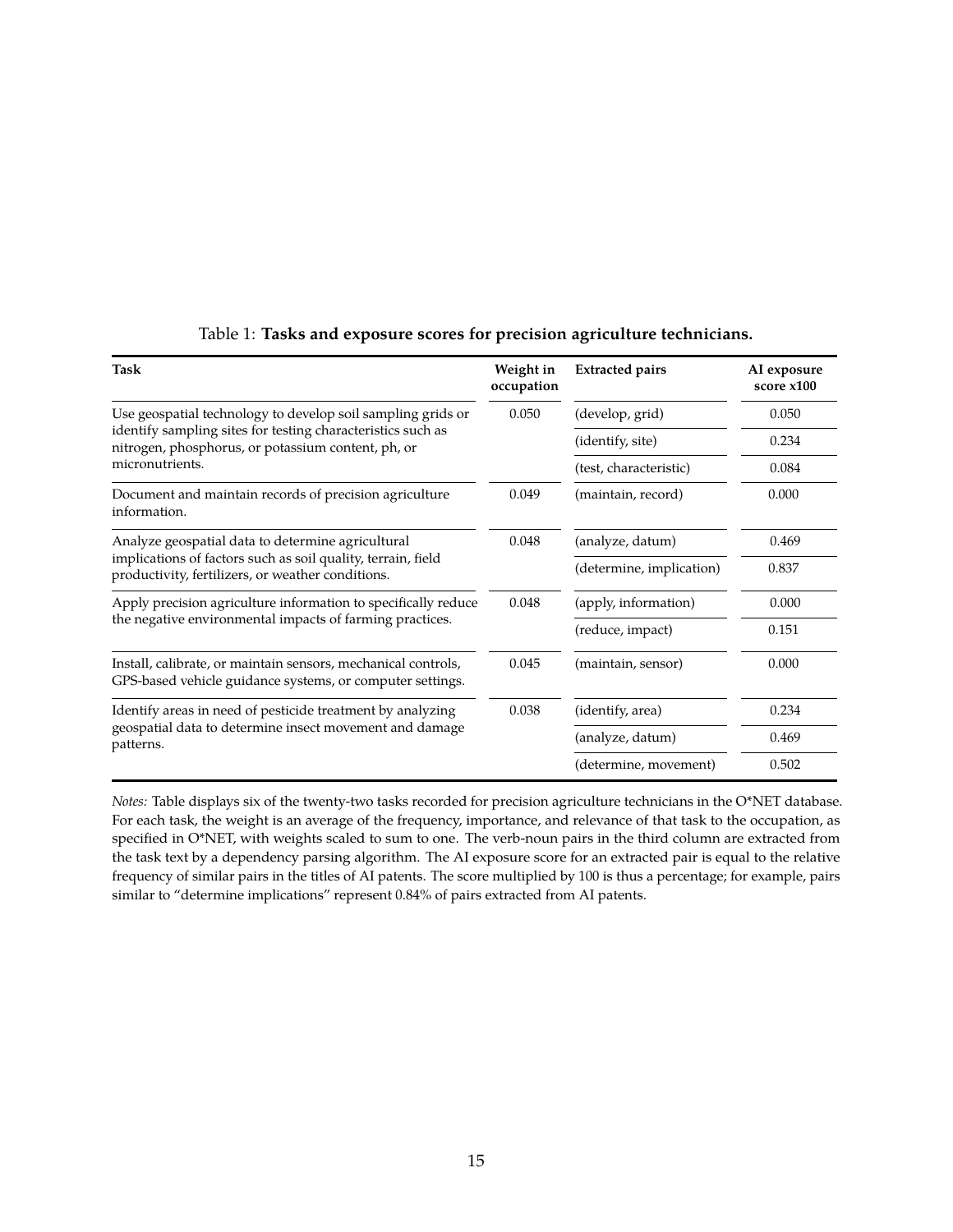<span id="page-16-0"></span>

| Task                                                                                                                       | Weight in<br>occupation | <b>Extracted pairs</b>   | AI exposure<br>score x100 |
|----------------------------------------------------------------------------------------------------------------------------|-------------------------|--------------------------|---------------------------|
| Use geospatial technology to develop soil sampling grids or                                                                | 0.050                   | (develop, grid)          | 0.050                     |
| identify sampling sites for testing characteristics such as<br>nitrogen, phosphorus, or potassium content, ph, or          |                         | (identify, site)         | 0.234                     |
| micronutrients.                                                                                                            |                         | (test, characteristic)   | 0.084                     |
| Document and maintain records of precision agriculture<br>0.049<br>information.                                            |                         | (maintain, record)       | 0.000                     |
| Analyze geospatial data to determine agricultural                                                                          | 0.048                   | (analyze, datum)         | 0.469                     |
| implications of factors such as soil quality, terrain, field<br>productivity, fertilizers, or weather conditions.          |                         | (determine, implication) | 0.837                     |
| Apply precision agriculture information to specifically reduce                                                             | 0.048                   | (apply, information)     | 0.000                     |
| the negative environmental impacts of farming practices.                                                                   |                         | (reduce, impact)         | 0.151                     |
| Install, calibrate, or maintain sensors, mechanical controls,<br>GPS-based vehicle guidance systems, or computer settings. | 0.045                   | (maintain, sensor)       | 0.000                     |
| Identify areas in need of pesticide treatment by analyzing                                                                 | 0.038                   | (identify, area)         | 0.234                     |
| geospatial data to determine insect movement and damage<br>patterns.                                                       |                         | (analyze, datum)         | 0.469                     |
|                                                                                                                            |                         | (determine, movement)    | 0.502                     |

### Table 1: **Tasks and exposure scores for precision agriculture technicians.**

*Notes:* Table displays six of the twenty-two tasks recorded for precision agriculture technicians in the O\*NET database. For each task, the weight is an average of the frequency, importance, and relevance of that task to the occupation, as specified in O\*NET, with weights scaled to sum to one. The verb-noun pairs in the third column are extracted from the task text by a dependency parsing algorithm. The AI exposure score for an extracted pair is equal to the relative frequency of similar pairs in the titles of AI patents. The score multiplied by 100 is thus a percentage; for example, pairs similar to "determine implications" represent 0.84% of pairs extracted from AI patents.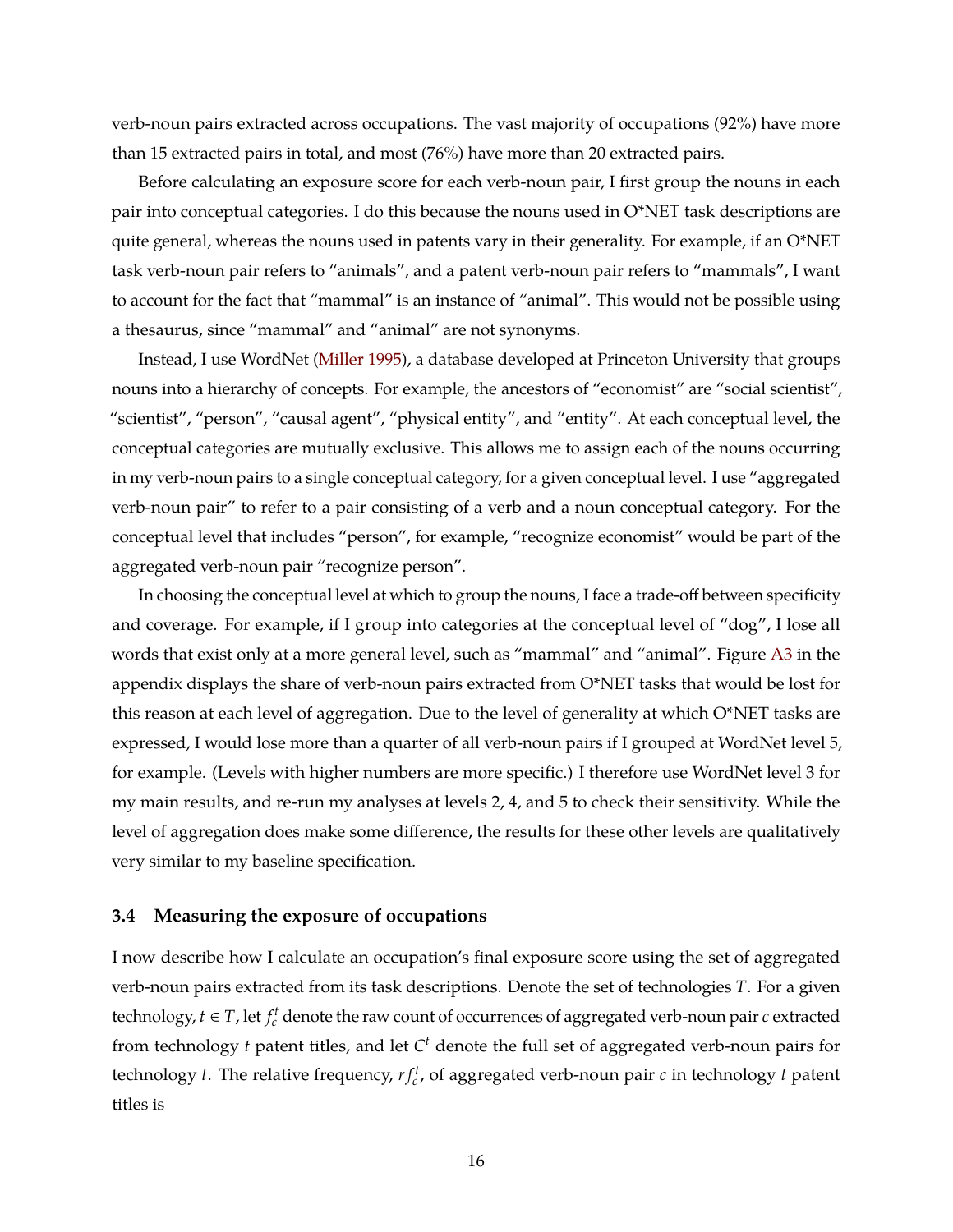verb-noun pairs extracted across occupations. The vast majority of occupations (92%) have more than 15 extracted pairs in total, and most (76%) have more than 20 extracted pairs.

Before calculating an exposure score for each verb-noun pair, I first group the nouns in each pair into conceptual categories. I do this because the nouns used in O\*NET task descriptions are quite general, whereas the nouns used in patents vary in their generality. For example, if an O\*NET task verb-noun pair refers to "animals", and a patent verb-noun pair refers to "mammals", I want to account for the fact that "mammal" is an instance of "animal". This would not be possible using a thesaurus, since "mammal" and "animal" are not synonyms.

Instead, I use WordNet [\(Miller](#page-51-4) [1995\)](#page-51-4), a database developed at Princeton University that groups nouns into a hierarchy of concepts. For example, the ancestors of "economist" are "social scientist", "scientist", "person", "causal agent", "physical entity", and "entity". At each conceptual level, the conceptual categories are mutually exclusive. This allows me to assign each of the nouns occurring in my verb-noun pairs to a single conceptual category, for a given conceptual level. I use "aggregated verb-noun pair" to refer to a pair consisting of a verb and a noun conceptual category. For the conceptual level that includes "person", for example, "recognize economist" would be part of the aggregated verb-noun pair "recognize person".

In choosing the conceptual level at which to group the nouns, I face a trade-off between specificity and coverage. For example, if I group into categories at the conceptual level of "dog", I lose all words that exist only at a more general level, such as "mammal" and "animal". Figure [A3](#page-57-0) in the appendix displays the share of verb-noun pairs extracted from O\*NET tasks that would be lost for this reason at each level of aggregation. Due to the level of generality at which O\*NET tasks are expressed, I would lose more than a quarter of all verb-noun pairs if I grouped at WordNet level 5, for example. (Levels with higher numbers are more specific.) I therefore use WordNet level 3 for my main results, and re-run my analyses at levels 2, 4, and 5 to check their sensitivity. While the level of aggregation does make some difference, the results for these other levels are qualitatively very similar to my baseline specification.

### **3.4 Measuring the exposure of occupations**

I now describe how I calculate an occupation's final exposure score using the set of aggregated verb-noun pairs extracted from its task descriptions. Denote the set of technologies *T*. For a given technology,  $t \in T$  , let  $f_c^t$  denote the raw count of occurrences of aggregated verb-noun pair  $c$  extracted from technology *t* patent titles, and let *C <sup>t</sup>* denote the full set of aggregated verb-noun pairs for technology *t*. The relative frequency,  $rf_c^t$ , of aggregated verb-noun pair  $c$  in technology  $t$  patent titles is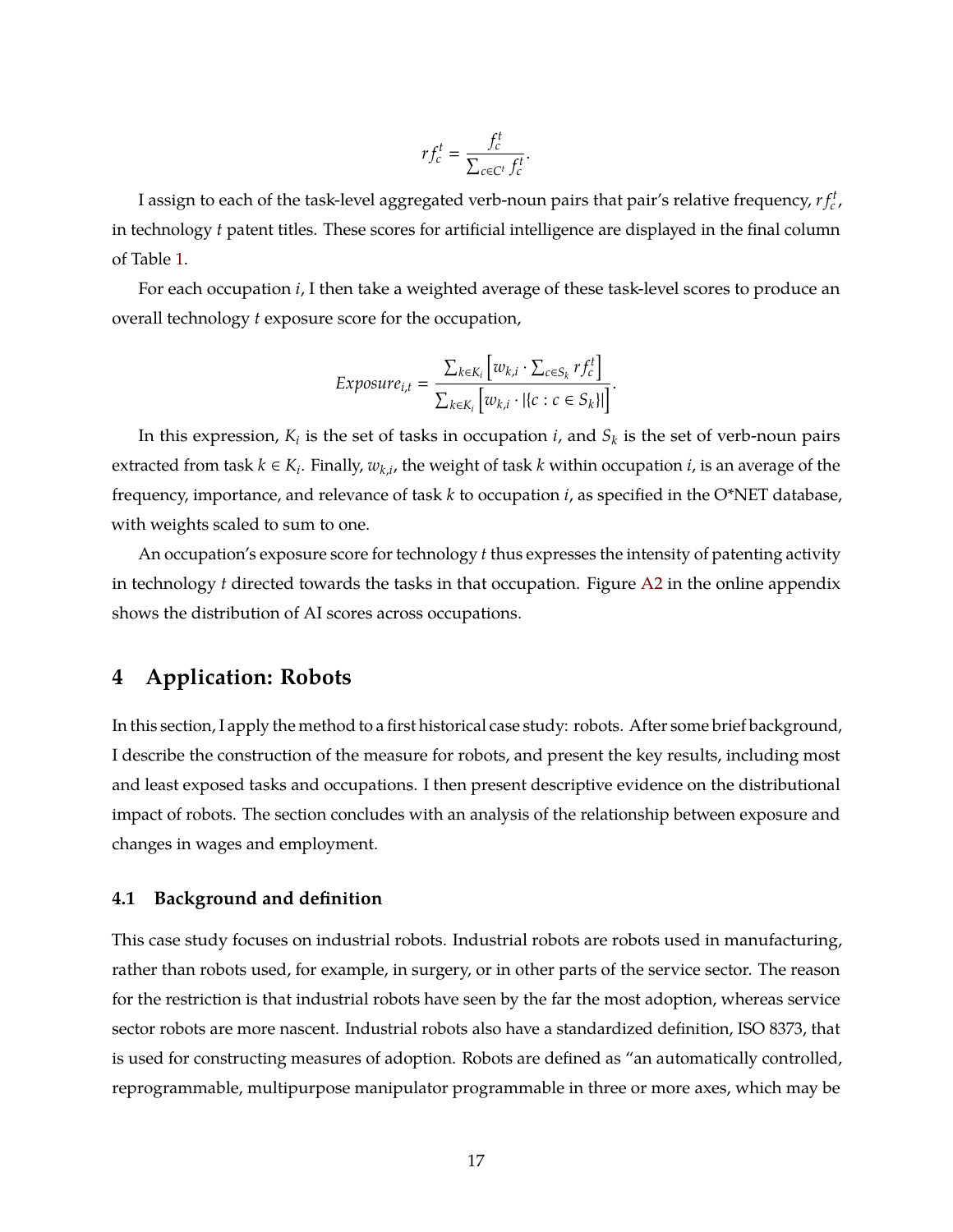$$
r f_c^t = \frac{f_c^t}{\sum_{c \in C^t} f_c^t}.
$$

I assign to each of the task-level aggregated verb-noun pairs that pair's relative frequency,  $r f_c^t$ , in technology *t* patent titles. These scores for artificial intelligence are displayed in the final column of Table [1.](#page-16-0)

For each occupation *i*, I then take a weighted average of these task-level scores to produce an overall technology *t* exposure score for the occupation,

$$
Exposure_{i,t} = \frac{\sum_{k \in K_i} [w_{k,i} \cdot \sum_{c \in S_k} rf_c^t]}{\sum_{k \in K_i} [w_{k,i} \cdot | \{c : c \in S_k\} |]}.
$$

In this expression,  $K_i$  is the set of tasks in occupation  $i$ , and  $S_k$  is the set of verb-noun pairs extracted from task  $k \in K_i$ . Finally,  $w_{k,i}$ , the weight of task  $k$  within occupation  $i$ , is an average of the frequency, importance, and relevance of task *k* to occupation *i*, as specified in the O\*NET database, with weights scaled to sum to one.

An occupation's exposure score for technology *t* thus expresses the intensity of patenting activity in technology *t* directed towards the tasks in that occupation. Figure [A2](#page-56-1) in the online appendix shows the distribution of AI scores across occupations.

## **4 Application: Robots**

In this section, I apply the method to a first historical case study: robots. After some brief background, I describe the construction of the measure for robots, and present the key results, including most and least exposed tasks and occupations. I then present descriptive evidence on the distributional impact of robots. The section concludes with an analysis of the relationship between exposure and changes in wages and employment.

### **4.1 Background and definition**

This case study focuses on industrial robots. Industrial robots are robots used in manufacturing, rather than robots used, for example, in surgery, or in other parts of the service sector. The reason for the restriction is that industrial robots have seen by the far the most adoption, whereas service sector robots are more nascent. Industrial robots also have a standardized definition, ISO 8373, that is used for constructing measures of adoption. Robots are defined as "an automatically controlled, reprogrammable, multipurpose manipulator programmable in three or more axes, which may be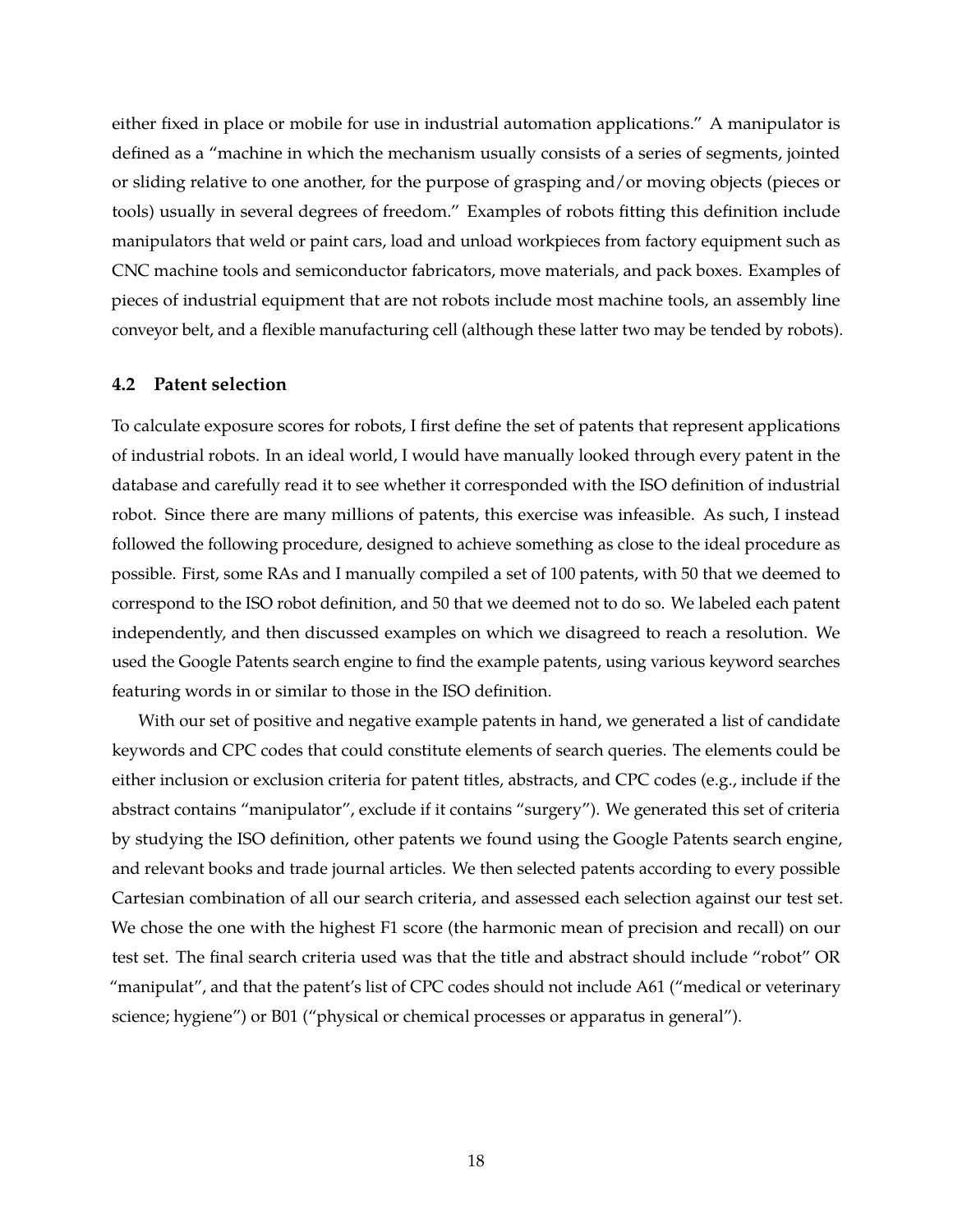either fixed in place or mobile for use in industrial automation applications." A manipulator is defined as a "machine in which the mechanism usually consists of a series of segments, jointed or sliding relative to one another, for the purpose of grasping and/or moving objects (pieces or tools) usually in several degrees of freedom." Examples of robots fitting this definition include manipulators that weld or paint cars, load and unload workpieces from factory equipment such as CNC machine tools and semiconductor fabricators, move materials, and pack boxes. Examples of pieces of industrial equipment that are not robots include most machine tools, an assembly line conveyor belt, and a flexible manufacturing cell (although these latter two may be tended by robots).

### **4.2 Patent selection**

To calculate exposure scores for robots, I first define the set of patents that represent applications of industrial robots. In an ideal world, I would have manually looked through every patent in the database and carefully read it to see whether it corresponded with the ISO definition of industrial robot. Since there are many millions of patents, this exercise was infeasible. As such, I instead followed the following procedure, designed to achieve something as close to the ideal procedure as possible. First, some RAs and I manually compiled a set of 100 patents, with 50 that we deemed to correspond to the ISO robot definition, and 50 that we deemed not to do so. We labeled each patent independently, and then discussed examples on which we disagreed to reach a resolution. We used the Google Patents search engine to find the example patents, using various keyword searches featuring words in or similar to those in the ISO definition.

With our set of positive and negative example patents in hand, we generated a list of candidate keywords and CPC codes that could constitute elements of search queries. The elements could be either inclusion or exclusion criteria for patent titles, abstracts, and CPC codes (e.g., include if the abstract contains "manipulator", exclude if it contains "surgery"). We generated this set of criteria by studying the ISO definition, other patents we found using the Google Patents search engine, and relevant books and trade journal articles. We then selected patents according to every possible Cartesian combination of all our search criteria, and assessed each selection against our test set. We chose the one with the highest F1 score (the harmonic mean of precision and recall) on our test set. The final search criteria used was that the title and abstract should include "robot" OR "manipulat", and that the patent's list of CPC codes should not include A61 ("medical or veterinary science; hygiene") or B01 ("physical or chemical processes or apparatus in general").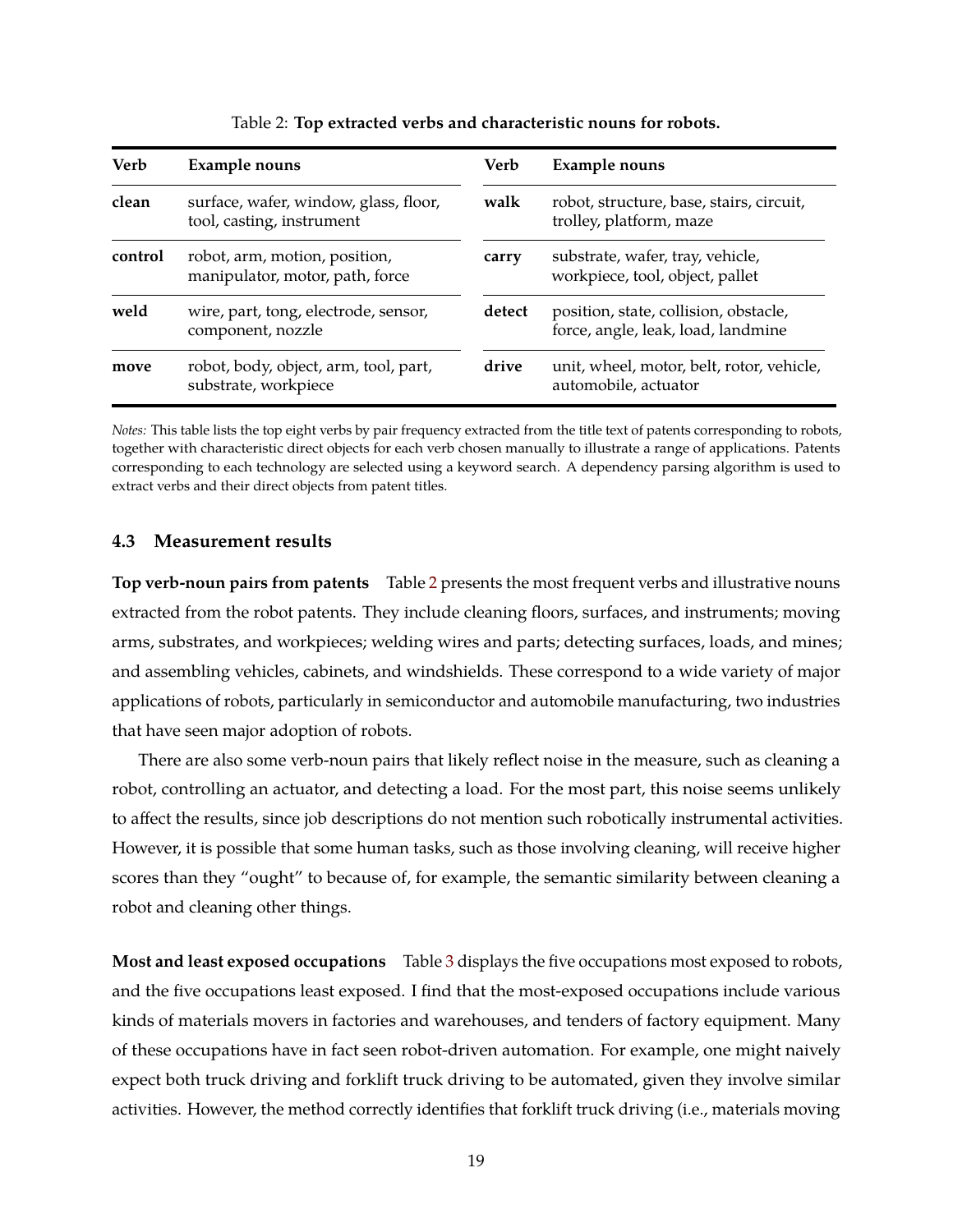<span id="page-20-0"></span>

| Verb    | Example nouns                                                      | Verb   | <b>Example nouns</b>                                                        |
|---------|--------------------------------------------------------------------|--------|-----------------------------------------------------------------------------|
| clean   | surface, wafer, window, glass, floor,<br>tool, casting, instrument | walk   | robot, structure, base, stairs, circuit,<br>trolley, platform, maze         |
| control | robot, arm, motion, position,<br>manipulator, motor, path, force   | carry  | substrate, wafer, tray, vehicle,<br>workpiece, tool, object, pallet         |
| weld    | wire, part, tong, electrode, sensor,<br>component, nozzle          | detect | position, state, collision, obstacle,<br>force, angle, leak, load, landmine |
| move    | robot, body, object, arm, tool, part,<br>substrate, workpiece      | drive  | unit, wheel, motor, belt, rotor, vehicle,<br>automobile, actuator           |

Table 2: **Top extracted verbs and characteristic nouns for robots.**

*Notes:* This table lists the top eight verbs by pair frequency extracted from the title text of patents corresponding to robots, together with characteristic direct objects for each verb chosen manually to illustrate a range of applications. Patents corresponding to each technology are selected using a keyword search. A dependency parsing algorithm is used to extract verbs and their direct objects from patent titles.

### **4.3 Measurement results**

**Top verb-noun pairs from patents** Table [2](#page-20-0) presents the most frequent verbs and illustrative nouns extracted from the robot patents. They include cleaning floors, surfaces, and instruments; moving arms, substrates, and workpieces; welding wires and parts; detecting surfaces, loads, and mines; and assembling vehicles, cabinets, and windshields. These correspond to a wide variety of major applications of robots, particularly in semiconductor and automobile manufacturing, two industries that have seen major adoption of robots.

There are also some verb-noun pairs that likely reflect noise in the measure, such as cleaning a robot, controlling an actuator, and detecting a load. For the most part, this noise seems unlikely to affect the results, since job descriptions do not mention such robotically instrumental activities. However, it is possible that some human tasks, such as those involving cleaning, will receive higher scores than they "ought" to because of, for example, the semantic similarity between cleaning a robot and cleaning other things.

**Most and least exposed occupations** Table [3](#page-21-0) displays the five occupations most exposed to robots, and the five occupations least exposed. I find that the most-exposed occupations include various kinds of materials movers in factories and warehouses, and tenders of factory equipment. Many of these occupations have in fact seen robot-driven automation. For example, one might naively expect both truck driving and forklift truck driving to be automated, given they involve similar activities. However, the method correctly identifies that forklift truck driving (i.e., materials moving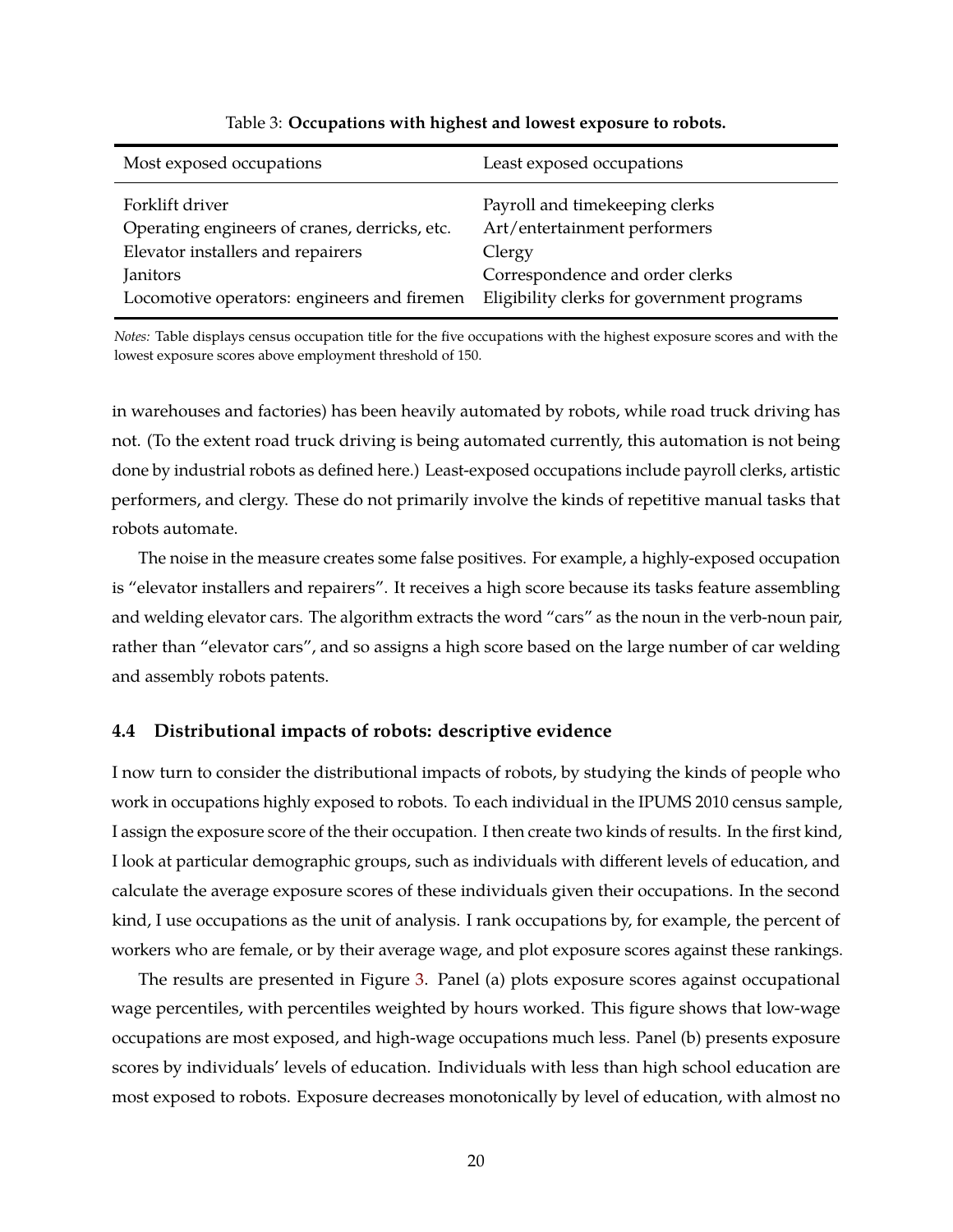<span id="page-21-0"></span>

| Most exposed occupations                      | Least exposed occupations                  |
|-----------------------------------------------|--------------------------------------------|
| Forklift driver                               | Payroll and timekeeping clerks             |
| Operating engineers of cranes, derricks, etc. | Art/entertainment performers               |
| Elevator installers and repairers             | Clergy                                     |
| Janitors                                      | Correspondence and order clerks            |
| Locomotive operators: engineers and firemen   | Eligibility clerks for government programs |

#### Table 3: **Occupations with highest and lowest exposure to robots.**

*Notes:* Table displays census occupation title for the five occupations with the highest exposure scores and with the lowest exposure scores above employment threshold of 150.

in warehouses and factories) has been heavily automated by robots, while road truck driving has not. (To the extent road truck driving is being automated currently, this automation is not being done by industrial robots as defined here.) Least-exposed occupations include payroll clerks, artistic performers, and clergy. These do not primarily involve the kinds of repetitive manual tasks that robots automate.

The noise in the measure creates some false positives. For example, a highly-exposed occupation is "elevator installers and repairers". It receives a high score because its tasks feature assembling and welding elevator cars. The algorithm extracts the word "cars" as the noun in the verb-noun pair, rather than "elevator cars", and so assigns a high score based on the large number of car welding and assembly robots patents.

### **4.4 Distributional impacts of robots: descriptive evidence**

I now turn to consider the distributional impacts of robots, by studying the kinds of people who work in occupations highly exposed to robots. To each individual in the IPUMS 2010 census sample, I assign the exposure score of the their occupation. I then create two kinds of results. In the first kind, I look at particular demographic groups, such as individuals with different levels of education, and calculate the average exposure scores of these individuals given their occupations. In the second kind, I use occupations as the unit of analysis. I rank occupations by, for example, the percent of workers who are female, or by their average wage, and plot exposure scores against these rankings.

The results are presented in Figure [3.](#page-22-0) Panel (a) plots exposure scores against occupational wage percentiles, with percentiles weighted by hours worked. This figure shows that low-wage occupations are most exposed, and high-wage occupations much less. Panel (b) presents exposure scores by individuals' levels of education. Individuals with less than high school education are most exposed to robots. Exposure decreases monotonically by level of education, with almost no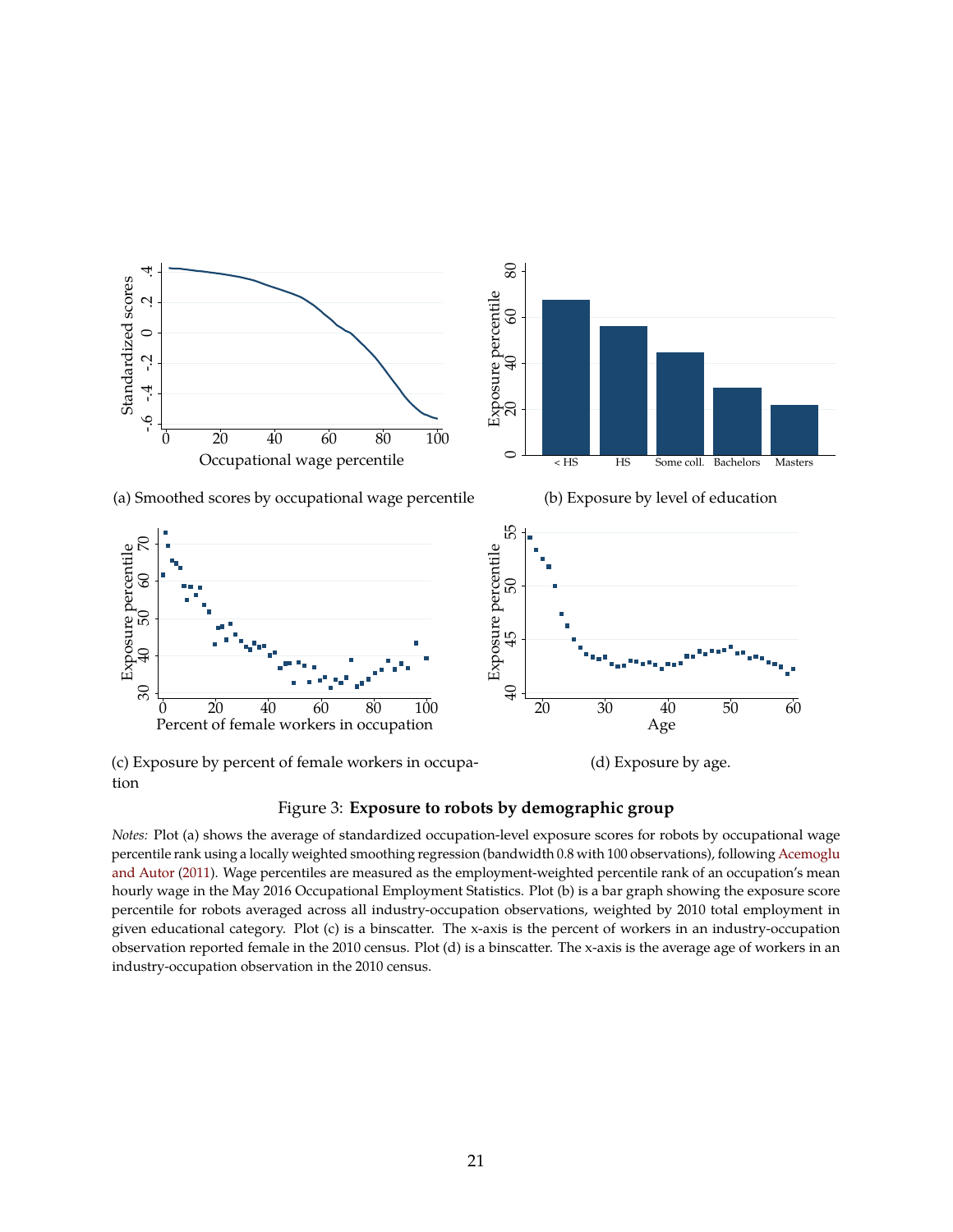<span id="page-22-0"></span>

(c) Exposure by percent of female workers in occupa-

(d) Exposure by age.



*Notes:* Plot (a) shows the average of standardized occupation-level exposure scores for robots by occupational wage percentile rank using a locally weighted smoothing regression (bandwidth 0.8 with 100 observations), following [Acemoglu](#page-48-2) [and Autor](#page-48-2) [\(2011\)](#page-48-2). Wage percentiles are measured as the employment-weighted percentile rank of an occupation's mean hourly wage in the May 2016 Occupational Employment Statistics. Plot (b) is a bar graph showing the exposure score percentile for robots averaged across all industry-occupation observations, weighted by 2010 total employment in given educational category. Plot (c) is a binscatter. The x-axis is the percent of workers in an industry-occupation observation reported female in the 2010 census. Plot (d) is a binscatter. The x-axis is the average age of workers in an industry-occupation observation in the 2010 census.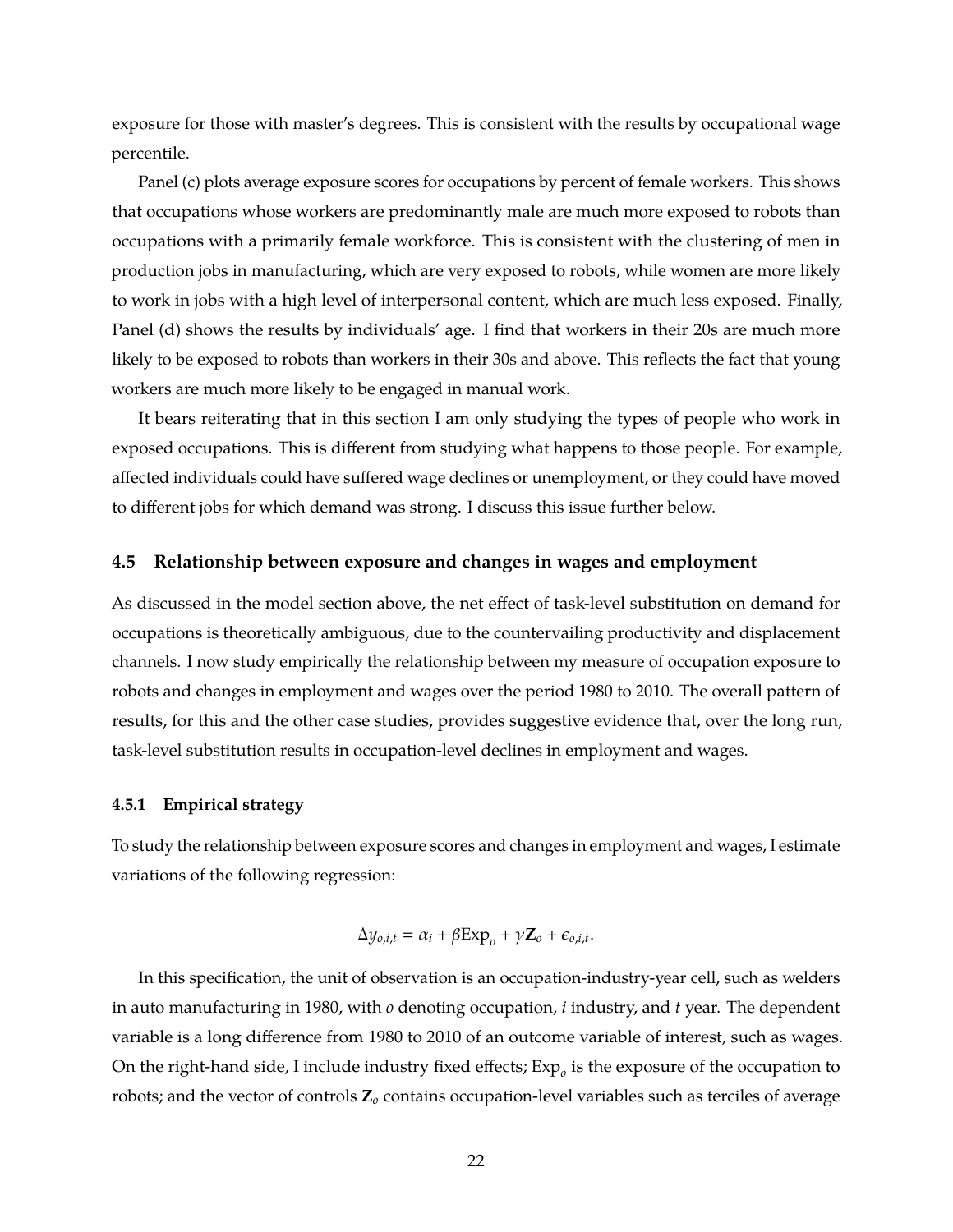exposure for those with master's degrees. This is consistent with the results by occupational wage percentile.

Panel (c) plots average exposure scores for occupations by percent of female workers. This shows that occupations whose workers are predominantly male are much more exposed to robots than occupations with a primarily female workforce. This is consistent with the clustering of men in production jobs in manufacturing, which are very exposed to robots, while women are more likely to work in jobs with a high level of interpersonal content, which are much less exposed. Finally, Panel (d) shows the results by individuals' age. I find that workers in their 20s are much more likely to be exposed to robots than workers in their 30s and above. This reflects the fact that young workers are much more likely to be engaged in manual work.

It bears reiterating that in this section I am only studying the types of people who work in exposed occupations. This is different from studying what happens to those people. For example, affected individuals could have suffered wage declines or unemployment, or they could have moved to different jobs for which demand was strong. I discuss this issue further below.

### **4.5 Relationship between exposure and changes in wages and employment**

As discussed in the model section above, the net effect of task-level substitution on demand for occupations is theoretically ambiguous, due to the countervailing productivity and displacement channels. I now study empirically the relationship between my measure of occupation exposure to robots and changes in employment and wages over the period 1980 to 2010. The overall pattern of results, for this and the other case studies, provides suggestive evidence that, over the long run, task-level substitution results in occupation-level declines in employment and wages.

### <span id="page-23-0"></span>**4.5.1 Empirical strategy**

To study the relationship between exposure scores and changes in employment and wages, I estimate variations of the following regression:

$$
\Delta y_{o,i,t} = \alpha_i + \beta \exp_o + \gamma \mathbf{Z}_o + \epsilon_{o,i,t}.
$$

In this specification, the unit of observation is an occupation-industry-year cell, such as welders in auto manufacturing in 1980, with *o* denoting occupation, *i* industry, and *t* year. The dependent variable is a long difference from 1980 to 2010 of an outcome variable of interest, such as wages. On the right-hand side, I include industry fixed effects;  $Exp<sub>o</sub>$  is the exposure of the occupation to robots; and the vector of controls **Z***<sup>o</sup>* contains occupation-level variables such as terciles of average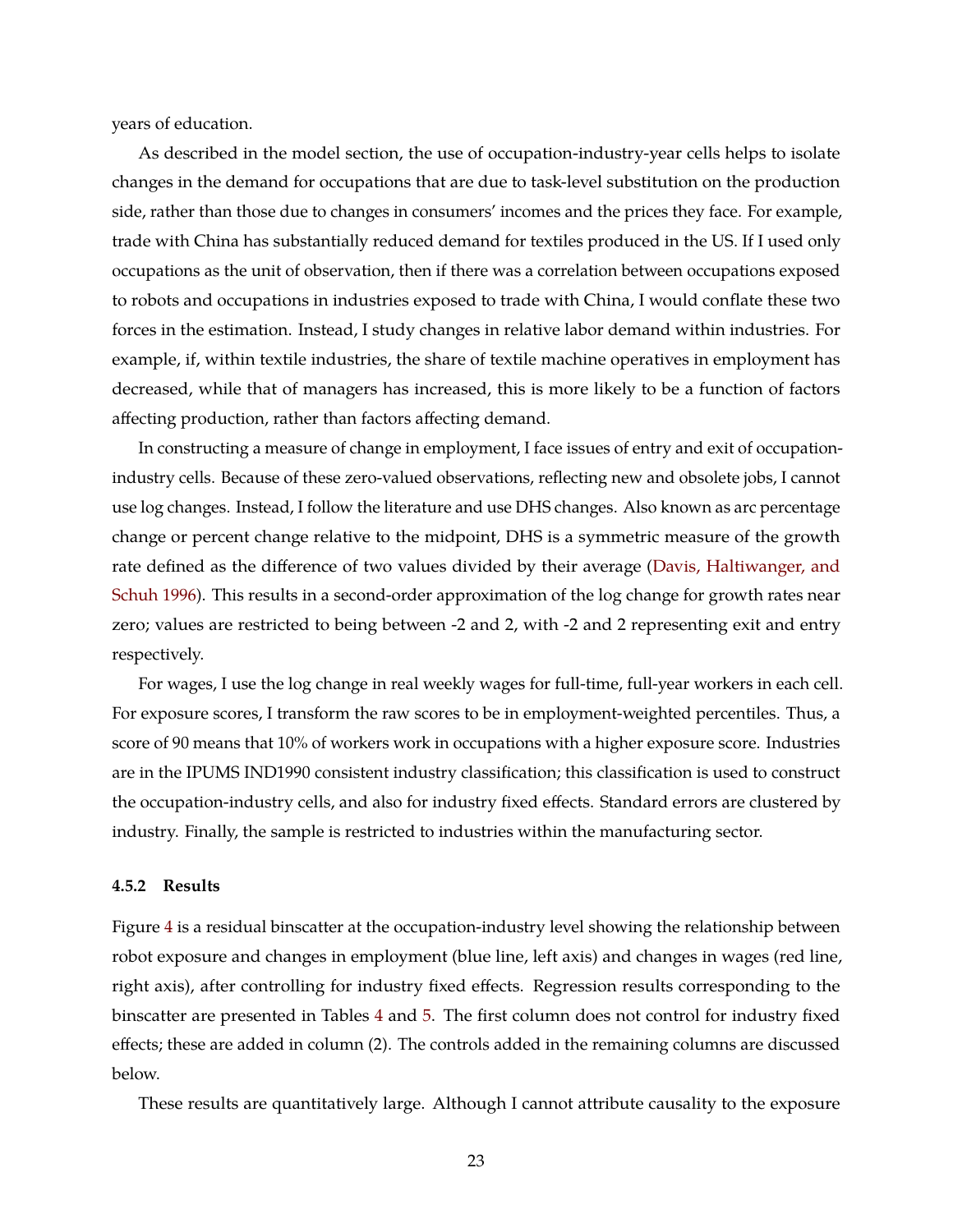years of education.

As described in the model section, the use of occupation-industry-year cells helps to isolate changes in the demand for occupations that are due to task-level substitution on the production side, rather than those due to changes in consumers' incomes and the prices they face. For example, trade with China has substantially reduced demand for textiles produced in the US. If I used only occupations as the unit of observation, then if there was a correlation between occupations exposed to robots and occupations in industries exposed to trade with China, I would conflate these two forces in the estimation. Instead, I study changes in relative labor demand within industries. For example, if, within textile industries, the share of textile machine operatives in employment has decreased, while that of managers has increased, this is more likely to be a function of factors affecting production, rather than factors affecting demand.

In constructing a measure of change in employment, I face issues of entry and exit of occupationindustry cells. Because of these zero-valued observations, reflecting new and obsolete jobs, I cannot use log changes. Instead, I follow the literature and use DHS changes. Also known as arc percentage change or percent change relative to the midpoint, DHS is a symmetric measure of the growth rate defined as the difference of two values divided by their average [\(Davis, Haltiwanger, and](#page-49-7) [Schuh](#page-49-7) [1996\)](#page-49-7). This results in a second-order approximation of the log change for growth rates near zero; values are restricted to being between -2 and 2, with -2 and 2 representing exit and entry respectively.

For wages, I use the log change in real weekly wages for full-time, full-year workers in each cell. For exposure scores, I transform the raw scores to be in employment-weighted percentiles. Thus, a score of 90 means that 10% of workers work in occupations with a higher exposure score. Industries are in the IPUMS IND1990 consistent industry classification; this classification is used to construct the occupation-industry cells, and also for industry fixed effects. Standard errors are clustered by industry. Finally, the sample is restricted to industries within the manufacturing sector.

#### **4.5.2 Results**

Figure [4](#page-25-0) is a residual binscatter at the occupation-industry level showing the relationship between robot exposure and changes in employment (blue line, left axis) and changes in wages (red line, right axis), after controlling for industry fixed effects. Regression results corresponding to the binscatter are presented in Tables [4](#page-26-0) and [5.](#page-27-0) The first column does not control for industry fixed effects; these are added in column (2). The controls added in the remaining columns are discussed below.

These results are quantitatively large. Although I cannot attribute causality to the exposure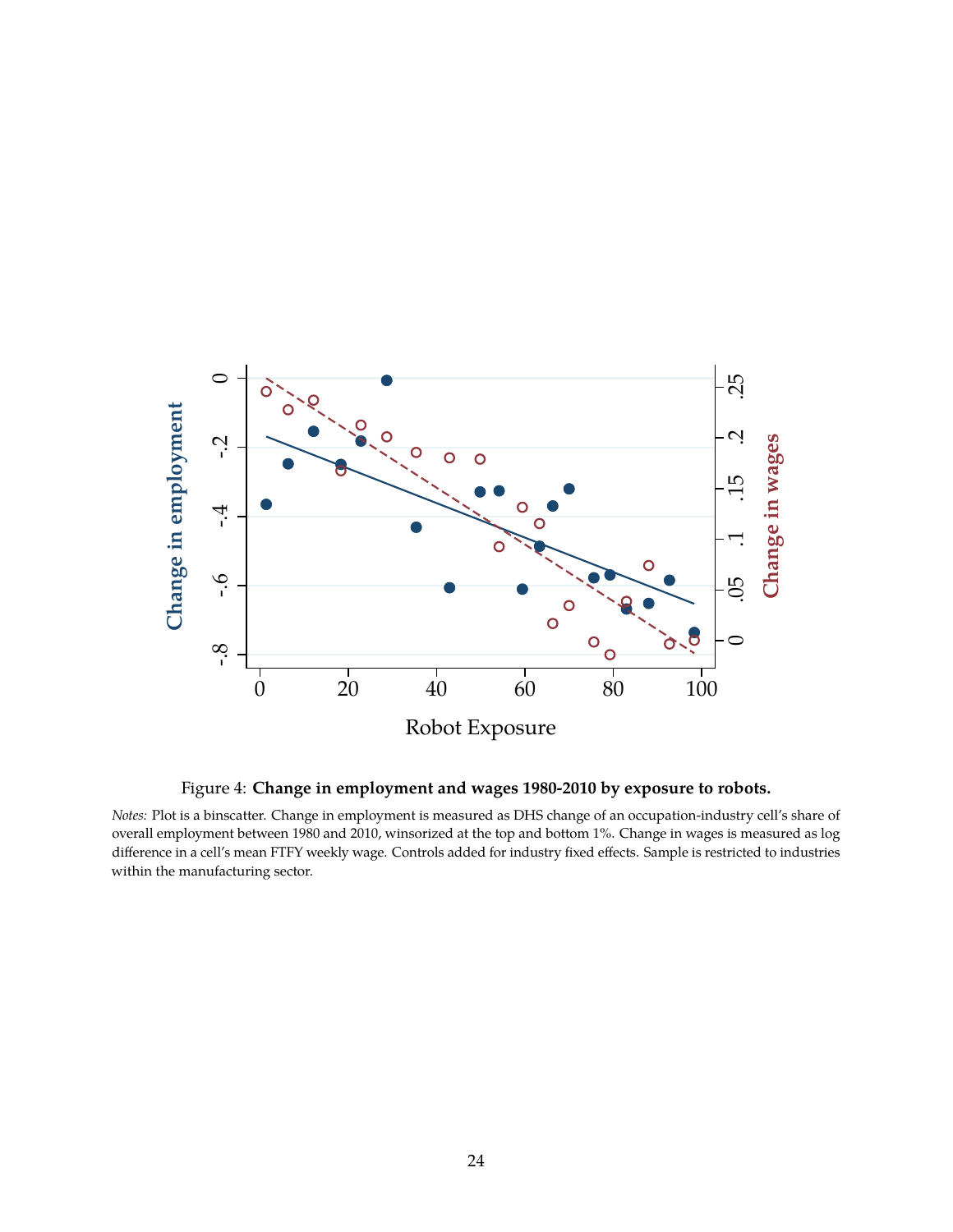<span id="page-25-0"></span>

Figure 4: **Change in employment and wages 1980-2010 by exposure to robots.**

*Notes:* Plot is a binscatter. Change in employment is measured as DHS change of an occupation-industry cell's share of overall employment between 1980 and 2010, winsorized at the top and bottom 1%. Change in wages is measured as log difference in a cell's mean FTFY weekly wage. Controls added for industry fixed effects. Sample is restricted to industries within the manufacturing sector.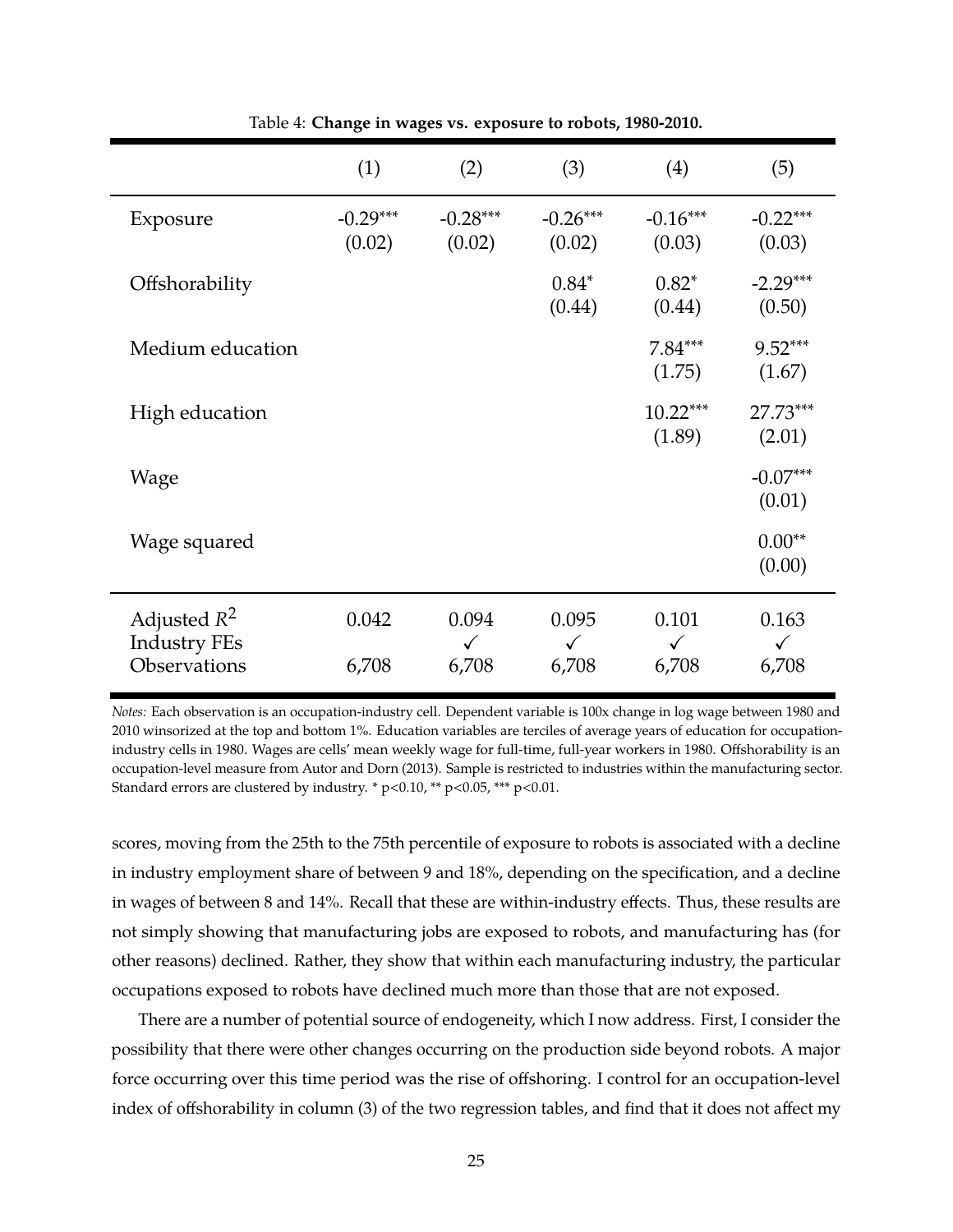<span id="page-26-0"></span>

|                                       | (1)                  | (2)                   | (3)                   | (4)                   | (5)                   |
|---------------------------------------|----------------------|-----------------------|-----------------------|-----------------------|-----------------------|
| Exposure                              | $-0.29***$<br>(0.02) | $-0.28***$<br>(0.02)  | $-0.26***$<br>(0.02)  | $-0.16***$<br>(0.03)  | $-0.22***$<br>(0.03)  |
| Offshorability                        |                      |                       | $0.84*$<br>(0.44)     | $0.82*$<br>(0.44)     | $-2.29***$<br>(0.50)  |
| Medium education                      |                      |                       |                       | $7.84***$<br>(1.75)   | $9.52***$<br>(1.67)   |
| High education                        |                      |                       |                       | $10.22***$<br>(1.89)  | 27.73***<br>(2.01)    |
| Wage                                  |                      |                       |                       |                       | $-0.07***$<br>(0.01)  |
| Wage squared                          |                      |                       |                       |                       | $0.00**$<br>(0.00)    |
| Adjusted $R^2$<br><b>Industry FEs</b> | 0.042                | 0.094<br>$\checkmark$ | 0.095<br>$\checkmark$ | 0.101<br>$\checkmark$ | 0.163<br>$\checkmark$ |
| Observations                          | 6,708                | 6,708                 | 6,708                 | 6,708                 | 6,708                 |

Table 4: **Change in wages vs. exposure to robots, 1980-2010.**

*Notes:* Each observation is an occupation-industry cell. Dependent variable is 100x change in log wage between 1980 and 2010 winsorized at the top and bottom 1%. Education variables are terciles of average years of education for occupationindustry cells in 1980. Wages are cells' mean weekly wage for full-time, full-year workers in 1980. Offshorability is an occupation-level measure from Autor and Dorn (2013). Sample is restricted to industries within the manufacturing sector. Standard errors are clustered by industry. \* p<0.10, \*\* p<0.05, \*\*\* p<0.01.

scores, moving from the 25th to the 75th percentile of exposure to robots is associated with a decline in industry employment share of between 9 and 18%, depending on the specification, and a decline in wages of between 8 and 14%. Recall that these are within-industry effects. Thus, these results are not simply showing that manufacturing jobs are exposed to robots, and manufacturing has (for other reasons) declined. Rather, they show that within each manufacturing industry, the particular occupations exposed to robots have declined much more than those that are not exposed.

There are a number of potential source of endogeneity, which I now address. First, I consider the possibility that there were other changes occurring on the production side beyond robots. A major force occurring over this time period was the rise of offshoring. I control for an occupation-level index of offshorability in column (3) of the two regression tables, and find that it does not affect my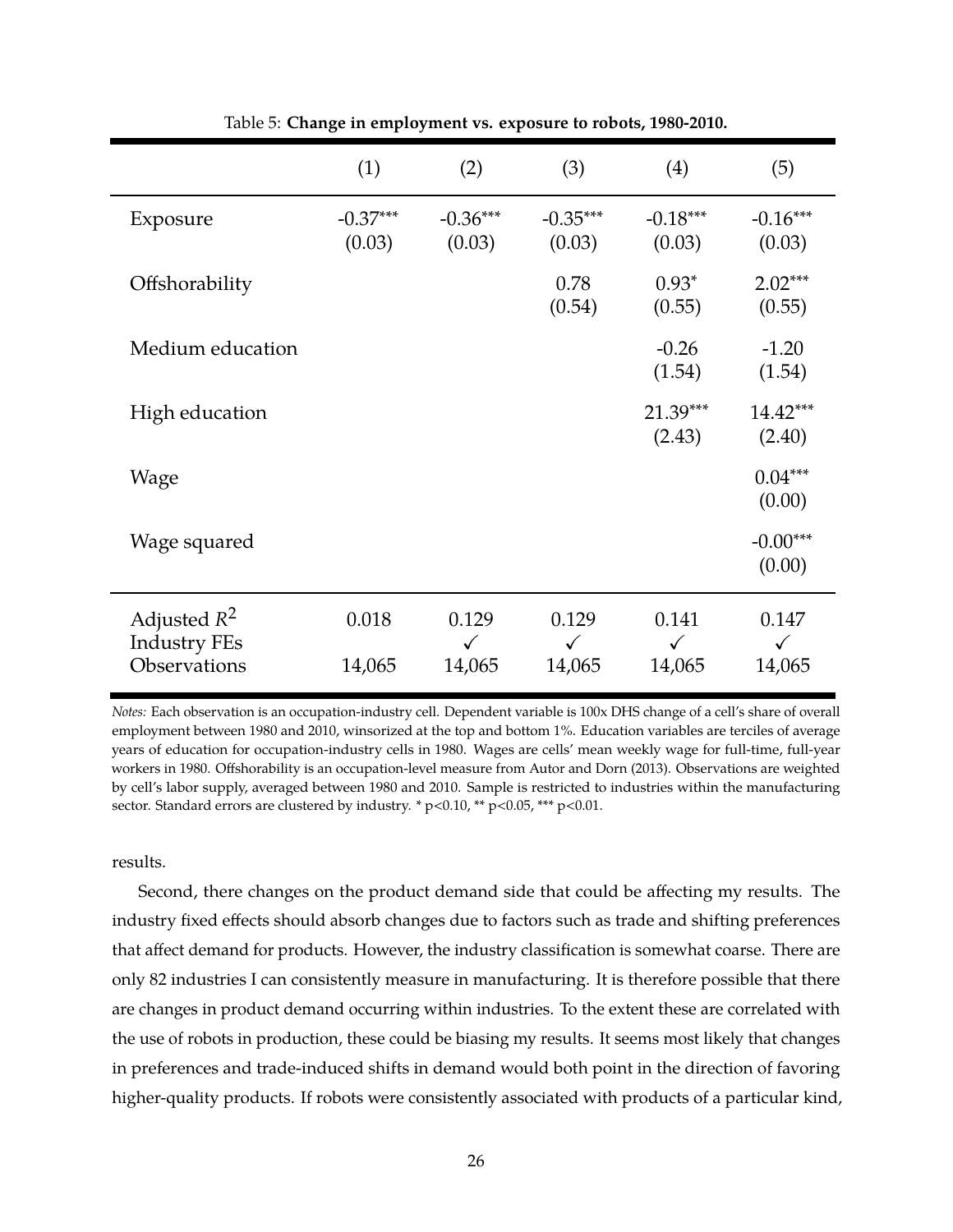<span id="page-27-0"></span>

|                                                       | (1)                  | (2)                             | (3)                             | (4)                             | (5)                             |
|-------------------------------------------------------|----------------------|---------------------------------|---------------------------------|---------------------------------|---------------------------------|
| Exposure                                              | $-0.37***$<br>(0.03) | $-0.36***$<br>(0.03)            | $-0.35***$<br>(0.03)            | $-0.18***$<br>(0.03)            | $-0.16***$<br>(0.03)            |
| Offshorability                                        |                      |                                 | 0.78<br>(0.54)                  | $0.93*$<br>(0.55)               | $2.02***$<br>(0.55)             |
| Medium education                                      |                      |                                 |                                 | $-0.26$<br>(1.54)               | $-1.20$<br>(1.54)               |
| High education                                        |                      |                                 |                                 | 21.39***<br>(2.43)              | $14.42***$<br>(2.40)            |
| Wage                                                  |                      |                                 |                                 |                                 | $0.04***$<br>(0.00)             |
| Wage squared                                          |                      |                                 |                                 |                                 | $-0.00***$<br>(0.00)            |
| Adjusted $R^2$<br><b>Industry FEs</b><br>Observations | 0.018<br>14,065      | 0.129<br>$\checkmark$<br>14,065 | 0.129<br>$\checkmark$<br>14,065 | 0.141<br>$\checkmark$<br>14,065 | 0.147<br>$\checkmark$<br>14,065 |
|                                                       |                      |                                 |                                 |                                 |                                 |

Table 5: **Change in employment vs. exposure to robots, 1980-2010.**

*Notes:* Each observation is an occupation-industry cell. Dependent variable is 100x DHS change of a cell's share of overall employment between 1980 and 2010, winsorized at the top and bottom 1%. Education variables are terciles of average years of education for occupation-industry cells in 1980. Wages are cells' mean weekly wage for full-time, full-year workers in 1980. Offshorability is an occupation-level measure from Autor and Dorn (2013). Observations are weighted by cell's labor supply, averaged between 1980 and 2010. Sample is restricted to industries within the manufacturing sector. Standard errors are clustered by industry. \* p<0.10, \*\* p<0.05, \*\*\* p<0.01.

results.

Second, there changes on the product demand side that could be affecting my results. The industry fixed effects should absorb changes due to factors such as trade and shifting preferences that affect demand for products. However, the industry classification is somewhat coarse. There are only 82 industries I can consistently measure in manufacturing. It is therefore possible that there are changes in product demand occurring within industries. To the extent these are correlated with the use of robots in production, these could be biasing my results. It seems most likely that changes in preferences and trade-induced shifts in demand would both point in the direction of favoring higher-quality products. If robots were consistently associated with products of a particular kind,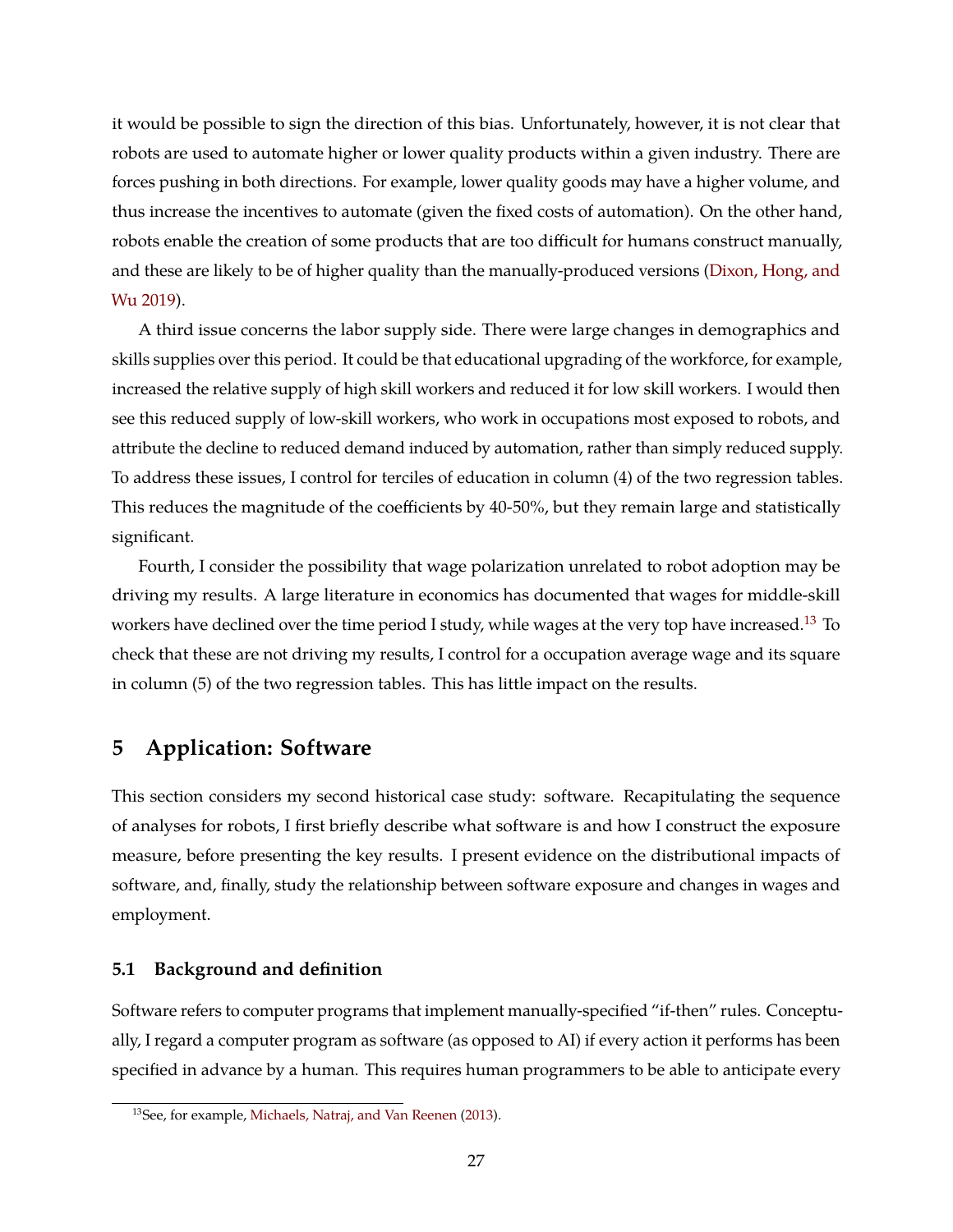it would be possible to sign the direction of this bias. Unfortunately, however, it is not clear that robots are used to automate higher or lower quality products within a given industry. There are forces pushing in both directions. For example, lower quality goods may have a higher volume, and thus increase the incentives to automate (given the fixed costs of automation). On the other hand, robots enable the creation of some products that are too difficult for humans construct manually, and these are likely to be of higher quality than the manually-produced versions [\(Dixon, Hong, and](#page-49-8) [Wu](#page-49-8) [2019\)](#page-49-8).

A third issue concerns the labor supply side. There were large changes in demographics and skills supplies over this period. It could be that educational upgrading of the workforce, for example, increased the relative supply of high skill workers and reduced it for low skill workers. I would then see this reduced supply of low-skill workers, who work in occupations most exposed to robots, and attribute the decline to reduced demand induced by automation, rather than simply reduced supply. To address these issues, I control for terciles of education in column (4) of the two regression tables. This reduces the magnitude of the coefficients by 40-50%, but they remain large and statistically significant.

Fourth, I consider the possibility that wage polarization unrelated to robot adoption may be driving my results. A large literature in economics has documented that wages for middle-skill workers have declined over the time period I study, while wages at the very top have increased.<sup>[13](#page-28-0)</sup> To check that these are not driving my results, I control for a occupation average wage and its square in column (5) of the two regression tables. This has little impact on the results.

## **5 Application: Software**

This section considers my second historical case study: software. Recapitulating the sequence of analyses for robots, I first briefly describe what software is and how I construct the exposure measure, before presenting the key results. I present evidence on the distributional impacts of software, and, finally, study the relationship between software exposure and changes in wages and employment.

### **5.1 Background and definition**

Software refers to computer programs that implement manually-specified "if-then" rules. Conceptually, I regard a computer program as software (as opposed to AI) if every action it performs has been specified in advance by a human. This requires human programmers to be able to anticipate every

<span id="page-28-0"></span><sup>13</sup>See, for example, [Michaels, Natraj, and Van Reenen](#page-51-0) [\(2013\)](#page-51-0).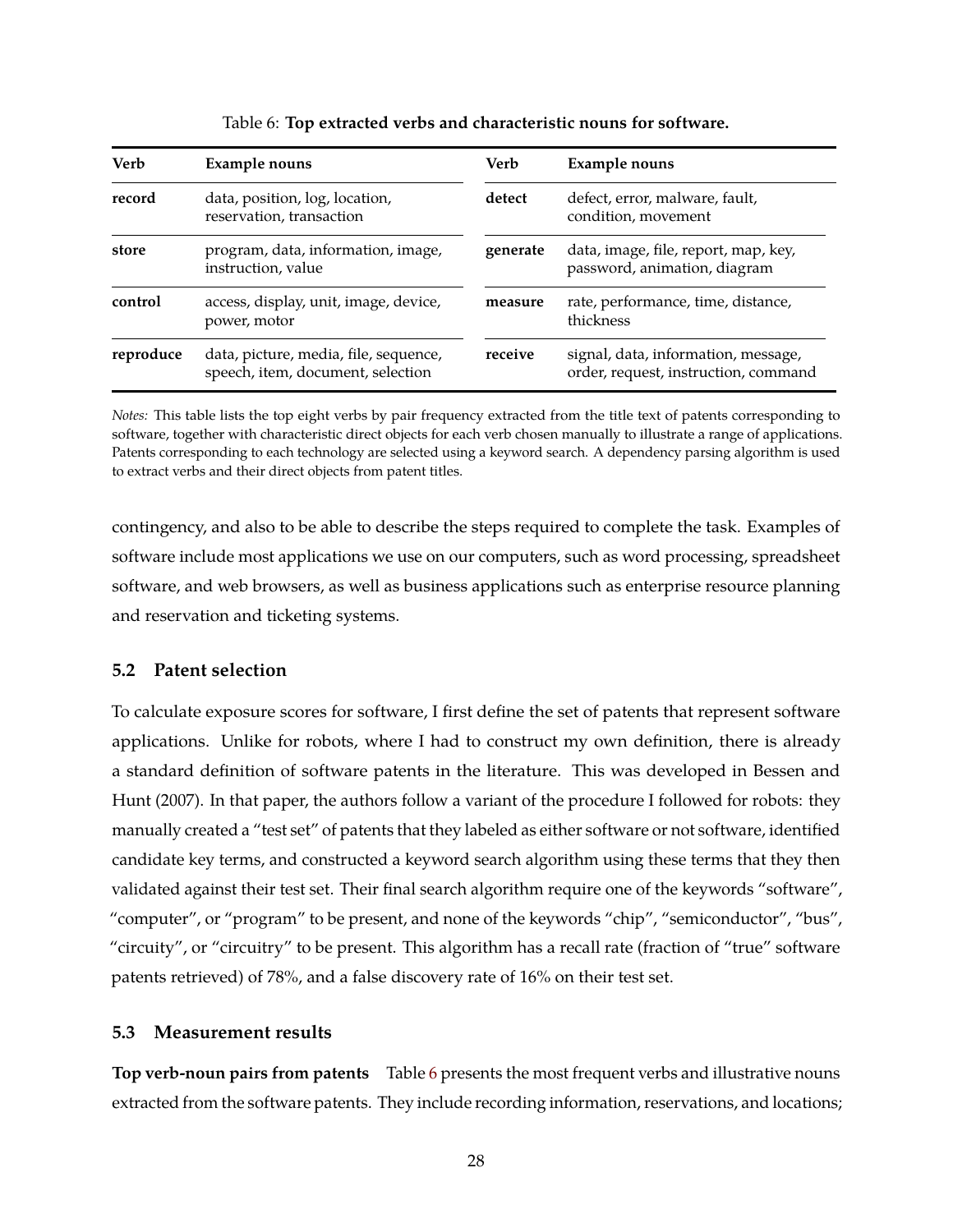<span id="page-29-0"></span>

| Verb      | Example nouns                                                              | Verb     | <b>Example nouns</b>                                                        |
|-----------|----------------------------------------------------------------------------|----------|-----------------------------------------------------------------------------|
| record    | data, position, log, location,<br>reservation, transaction                 | detect   | defect, error, malware, fault,<br>condition, movement                       |
| store     | program, data, information, image,<br>instruction, value                   | generate | data, image, file, report, map, key,<br>password, animation, diagram        |
| control   | access, display, unit, image, device,<br>power, motor                      | measure  | rate, performance, time, distance,<br>thickness                             |
| reproduce | data, picture, media, file, sequence,<br>speech, item, document, selection | receive  | signal, data, information, message,<br>order, request, instruction, command |

Table 6: **Top extracted verbs and characteristic nouns for software.**

*Notes:* This table lists the top eight verbs by pair frequency extracted from the title text of patents corresponding to software, together with characteristic direct objects for each verb chosen manually to illustrate a range of applications. Patents corresponding to each technology are selected using a keyword search. A dependency parsing algorithm is used to extract verbs and their direct objects from patent titles.

contingency, and also to be able to describe the steps required to complete the task. Examples of software include most applications we use on our computers, such as word processing, spreadsheet software, and web browsers, as well as business applications such as enterprise resource planning and reservation and ticketing systems.

### **5.2 Patent selection**

To calculate exposure scores for software, I first define the set of patents that represent software applications. Unlike for robots, where I had to construct my own definition, there is already a standard definition of software patents in the literature. This was developed in Bessen and Hunt (2007). In that paper, the authors follow a variant of the procedure I followed for robots: they manually created a "test set" of patents that they labeled as either software or not software, identified candidate key terms, and constructed a keyword search algorithm using these terms that they then validated against their test set. Their final search algorithm require one of the keywords "software", "computer", or "program" to be present, and none of the keywords "chip", "semiconductor", "bus", "circuity", or "circuitry" to be present. This algorithm has a recall rate (fraction of "true" software patents retrieved) of 78%, and a false discovery rate of 16% on their test set.

### **5.3 Measurement results**

**Top verb-noun pairs from patents** Table [6](#page-29-0) presents the most frequent verbs and illustrative nouns extracted from the software patents. They include recording information, reservations, and locations;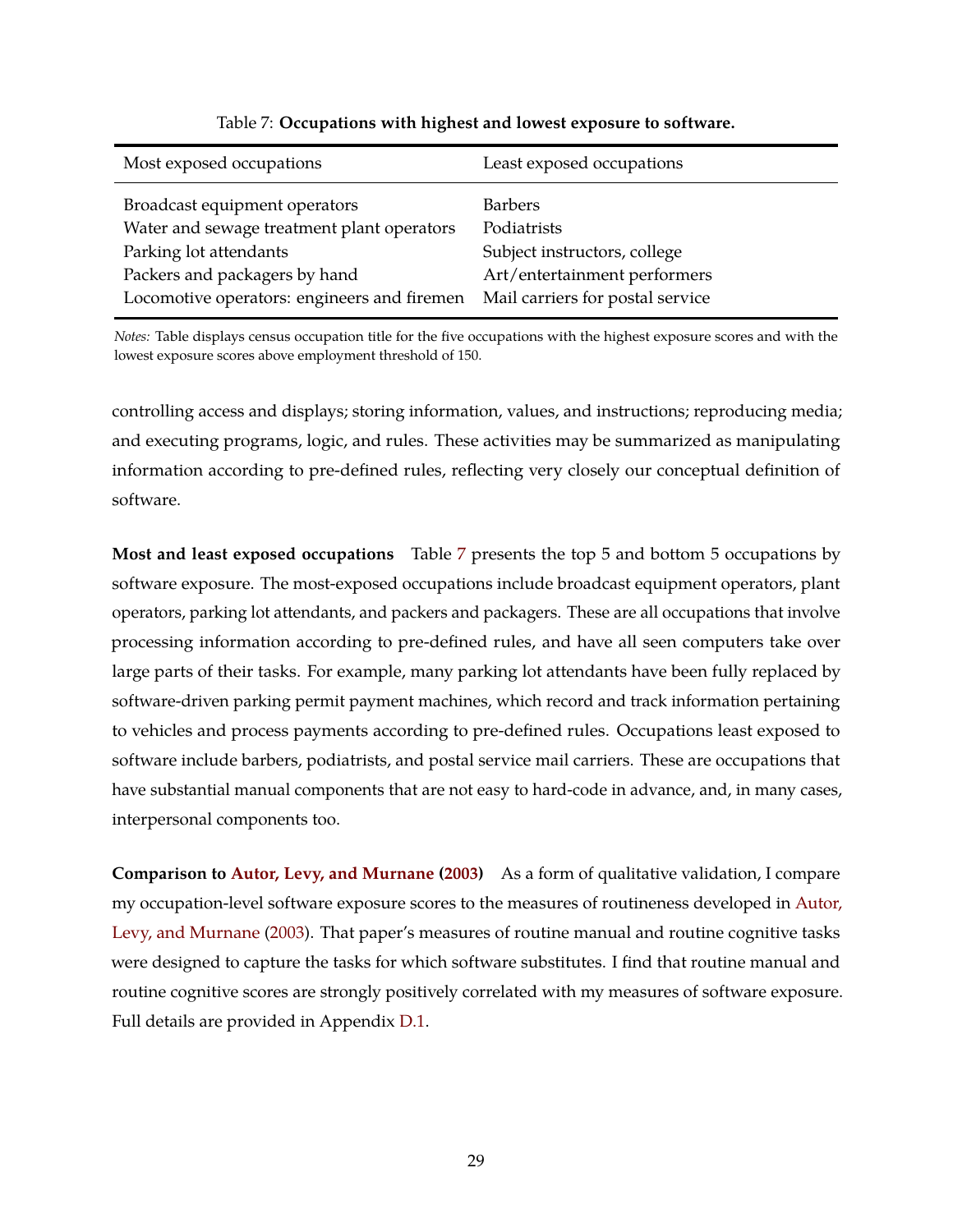<span id="page-30-0"></span>

| Most exposed occupations                    | Least exposed occupations        |
|---------------------------------------------|----------------------------------|
| Broadcast equipment operators               | <b>Barbers</b>                   |
| Water and sewage treatment plant operators  | Podiatrists                      |
| Parking lot attendants                      | Subject instructors, college     |
| Packers and packagers by hand               | Art/entertainment performers     |
| Locomotive operators: engineers and firemen | Mail carriers for postal service |

### Table 7: **Occupations with highest and lowest exposure to software.**

*Notes:* Table displays census occupation title for the five occupations with the highest exposure scores and with the lowest exposure scores above employment threshold of 150.

controlling access and displays; storing information, values, and instructions; reproducing media; and executing programs, logic, and rules. These activities may be summarized as manipulating information according to pre-defined rules, reflecting very closely our conceptual definition of software.

**Most and least exposed occupations** Table [7](#page-30-0) presents the top 5 and bottom 5 occupations by software exposure. The most-exposed occupations include broadcast equipment operators, plant operators, parking lot attendants, and packers and packagers. These are all occupations that involve processing information according to pre-defined rules, and have all seen computers take over large parts of their tasks. For example, many parking lot attendants have been fully replaced by software-driven parking permit payment machines, which record and track information pertaining to vehicles and process payments according to pre-defined rules. Occupations least exposed to software include barbers, podiatrists, and postal service mail carriers. These are occupations that have substantial manual components that are not easy to hard-code in advance, and, in many cases, interpersonal components too.

**Comparison to [Autor, Levy, and Murnane](#page-48-1) [\(2003\)](#page-48-1)** As a form of qualitative validation, I compare my occupation-level software exposure scores to the measures of routineness developed in [Autor,](#page-48-1) [Levy, and Murnane](#page-48-1) [\(2003\)](#page-48-1). That paper's measures of routine manual and routine cognitive tasks were designed to capture the tasks for which software substitutes. I find that routine manual and routine cognitive scores are strongly positively correlated with my measures of software exposure. Full details are provided in Appendix [D.1.](#page-58-0)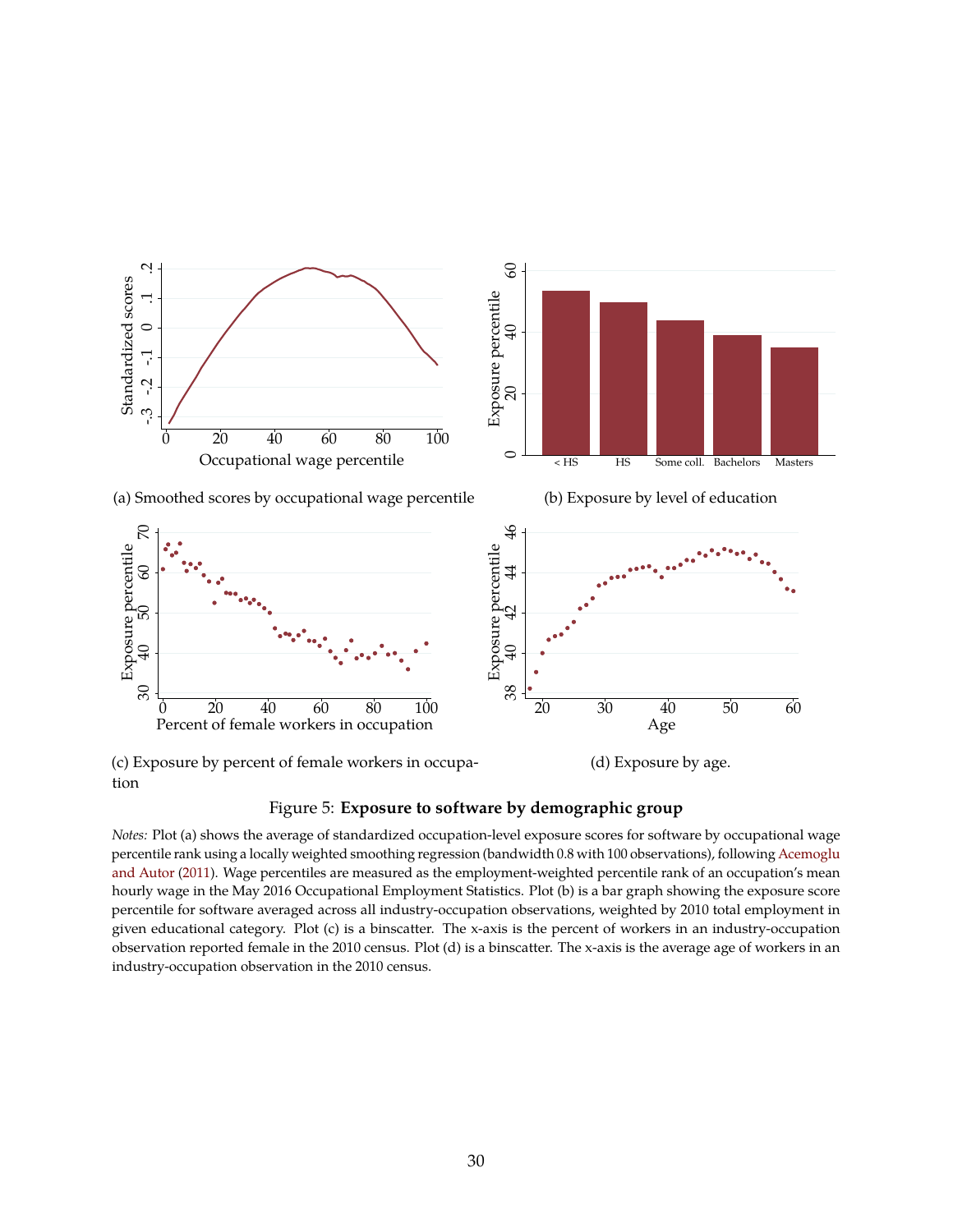<span id="page-31-0"></span>

(c) Exposure by percent of female workers in occupa-

Figure 5: **Exposure to software by demographic group**

*Notes:* Plot (a) shows the average of standardized occupation-level exposure scores for software by occupational wage percentile rank using a locally weighted smoothing regression (bandwidth 0.8 with 100 observations), following [Acemoglu](#page-48-2) [and Autor](#page-48-2) [\(2011\)](#page-48-2). Wage percentiles are measured as the employment-weighted percentile rank of an occupation's mean hourly wage in the May 2016 Occupational Employment Statistics. Plot (b) is a bar graph showing the exposure score percentile for software averaged across all industry-occupation observations, weighted by 2010 total employment in given educational category. Plot (c) is a binscatter. The x-axis is the percent of workers in an industry-occupation observation reported female in the 2010 census. Plot (d) is a binscatter. The x-axis is the average age of workers in an industry-occupation observation in the 2010 census.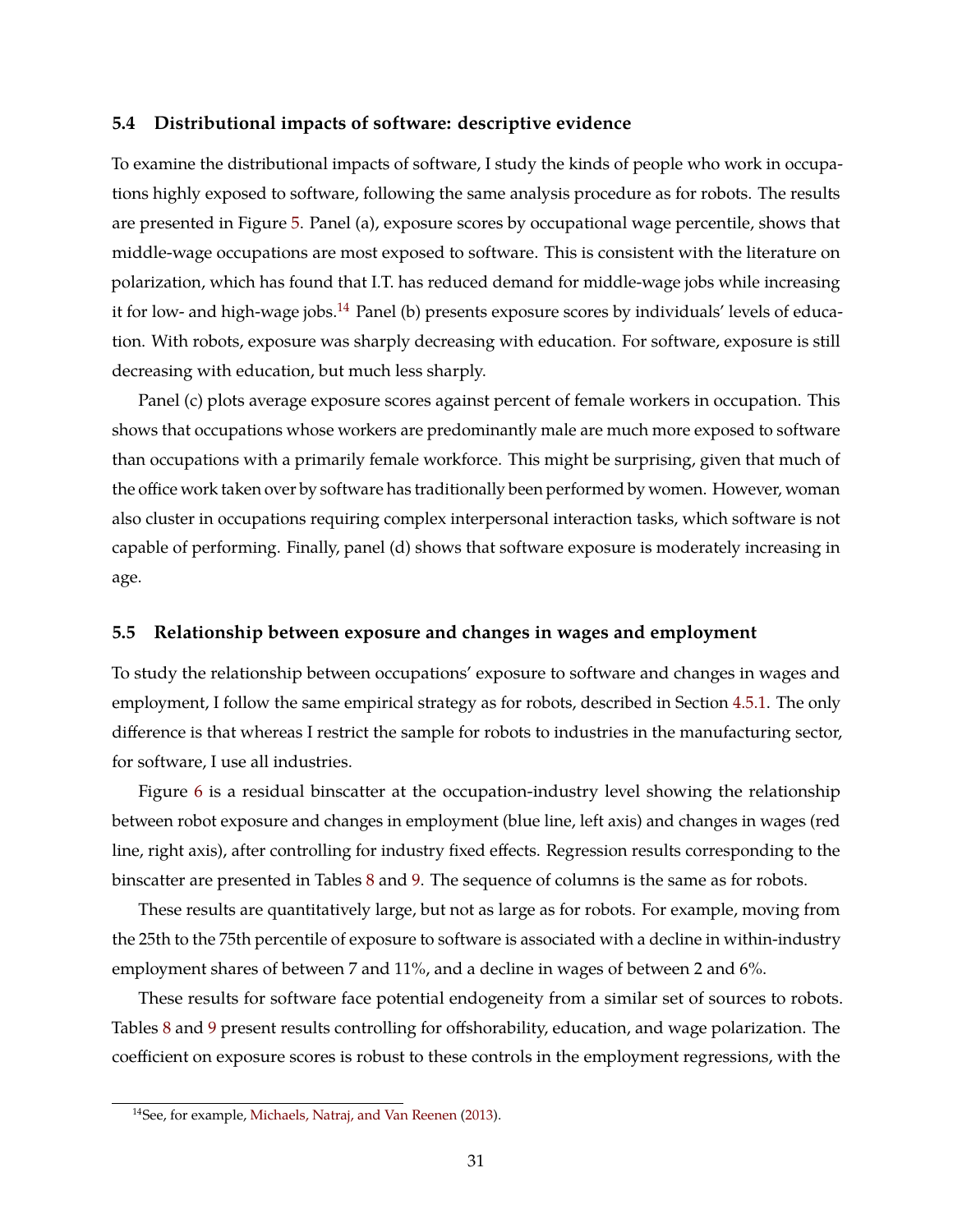### **5.4 Distributional impacts of software: descriptive evidence**

To examine the distributional impacts of software, I study the kinds of people who work in occupations highly exposed to software, following the same analysis procedure as for robots. The results are presented in Figure [5.](#page-31-0) Panel (a), exposure scores by occupational wage percentile, shows that middle-wage occupations are most exposed to software. This is consistent with the literature on polarization, which has found that I.T. has reduced demand for middle-wage jobs while increasing it for low- and high-wage jobs.<sup>[14](#page-32-0)</sup> Panel (b) presents exposure scores by individuals' levels of education. With robots, exposure was sharply decreasing with education. For software, exposure is still decreasing with education, but much less sharply.

Panel (c) plots average exposure scores against percent of female workers in occupation. This shows that occupations whose workers are predominantly male are much more exposed to software than occupations with a primarily female workforce. This might be surprising, given that much of the office work taken over by software has traditionally been performed by women. However, woman also cluster in occupations requiring complex interpersonal interaction tasks, which software is not capable of performing. Finally, panel (d) shows that software exposure is moderately increasing in age.

### **5.5 Relationship between exposure and changes in wages and employment**

To study the relationship between occupations' exposure to software and changes in wages and employment, I follow the same empirical strategy as for robots, described in Section [4.5.1.](#page-23-0) The only difference is that whereas I restrict the sample for robots to industries in the manufacturing sector, for software, I use all industries.

Figure [6](#page-33-0) is a residual binscatter at the occupation-industry level showing the relationship between robot exposure and changes in employment (blue line, left axis) and changes in wages (red line, right axis), after controlling for industry fixed effects. Regression results corresponding to the binscatter are presented in Tables [8](#page-34-0) and [9.](#page-35-0) The sequence of columns is the same as for robots.

These results are quantitatively large, but not as large as for robots. For example, moving from the 25th to the 75th percentile of exposure to software is associated with a decline in within-industry employment shares of between 7 and 11%, and a decline in wages of between 2 and 6%.

These results for software face potential endogeneity from a similar set of sources to robots. Tables [8](#page-34-0) and [9](#page-35-0) present results controlling for offshorability, education, and wage polarization. The coefficient on exposure scores is robust to these controls in the employment regressions, with the

<span id="page-32-0"></span><sup>14</sup>See, for example, [Michaels, Natraj, and Van Reenen](#page-51-0) [\(2013\)](#page-51-0).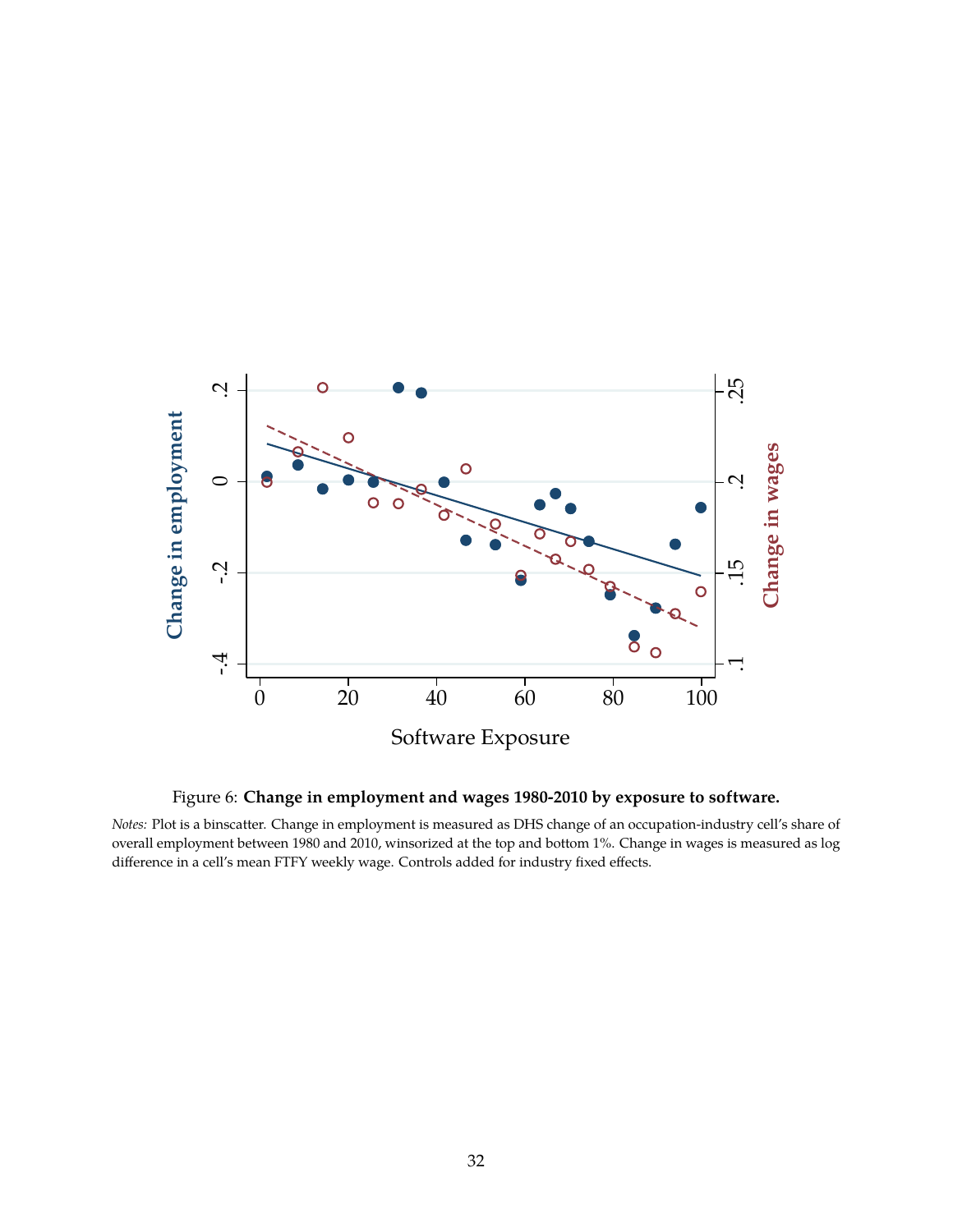<span id="page-33-0"></span>

Figure 6: **Change in employment and wages 1980-2010 by exposure to software.**

*Notes:* Plot is a binscatter. Change in employment is measured as DHS change of an occupation-industry cell's share of overall employment between 1980 and 2010, winsorized at the top and bottom 1%. Change in wages is measured as log difference in a cell's mean FTFY weekly wage. Controls added for industry fixed effects.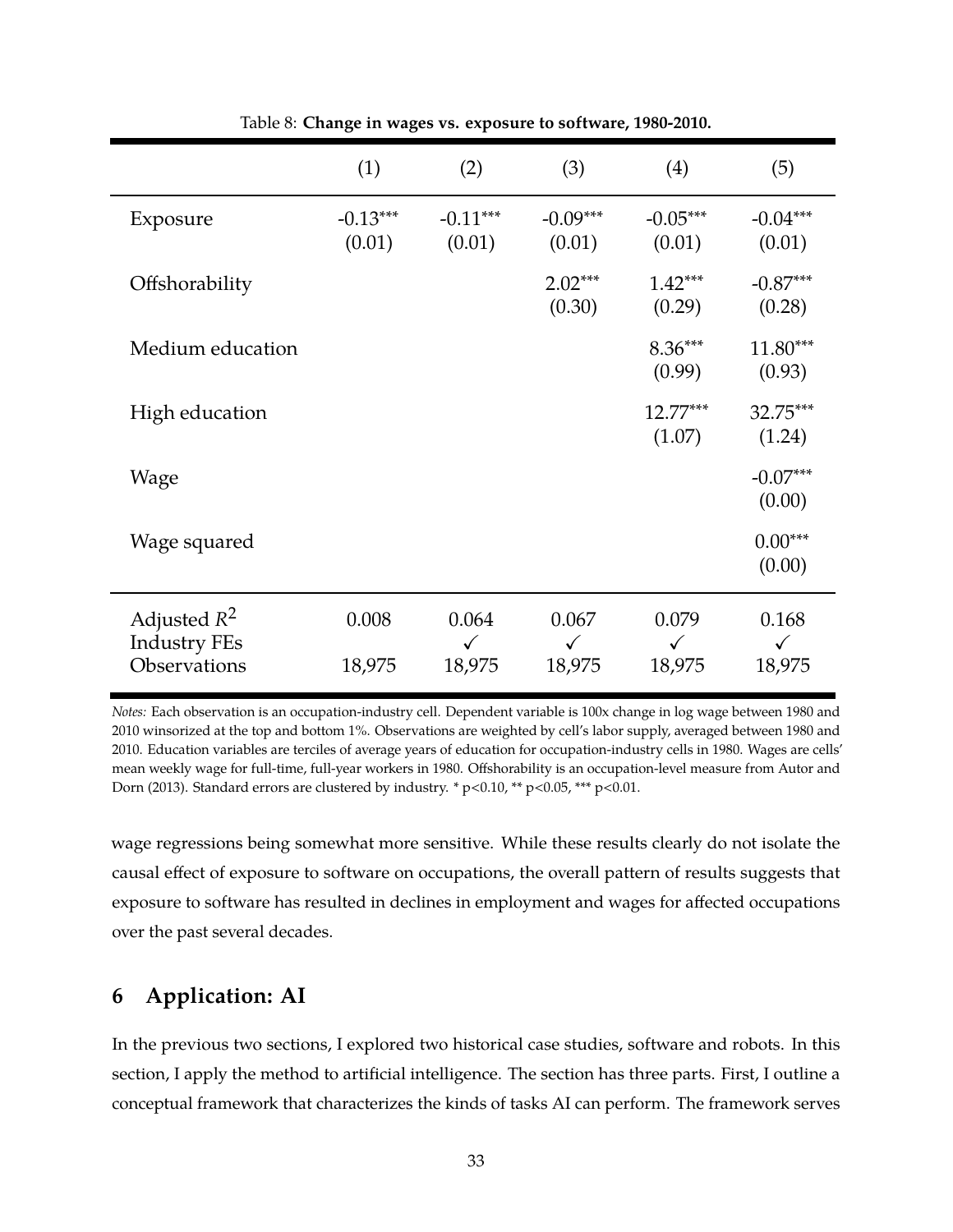<span id="page-34-0"></span>

|                                                       | (1)                  | (2)                             | (3)                             | (4)                             | (5)                             |
|-------------------------------------------------------|----------------------|---------------------------------|---------------------------------|---------------------------------|---------------------------------|
| Exposure                                              | $-0.13***$<br>(0.01) | $-0.11***$<br>(0.01)            | $-0.09***$<br>(0.01)            | $-0.05***$<br>(0.01)            | $-0.04***$<br>(0.01)            |
| Offshorability                                        |                      |                                 | $2.02***$<br>(0.30)             | $1.42***$<br>(0.29)             | $-0.87***$<br>(0.28)            |
| Medium education                                      |                      |                                 |                                 | $8.36***$<br>(0.99)             | $11.80***$<br>(0.93)            |
| High education                                        |                      |                                 |                                 | $12.77***$<br>(1.07)            | 32.75***<br>(1.24)              |
| Wage                                                  |                      |                                 |                                 |                                 | $-0.07***$<br>(0.00)            |
| Wage squared                                          |                      |                                 |                                 |                                 | $0.00***$<br>(0.00)             |
| Adjusted $R^2$<br><b>Industry FEs</b><br>Observations | 0.008<br>18,975      | 0.064<br>$\checkmark$<br>18,975 | 0.067<br>$\checkmark$<br>18,975 | 0.079<br>$\checkmark$<br>18,975 | 0.168<br>$\checkmark$<br>18,975 |

Table 8: **Change in wages vs. exposure to software, 1980-2010.**

*Notes:* Each observation is an occupation-industry cell. Dependent variable is 100x change in log wage between 1980 and 2010 winsorized at the top and bottom 1%. Observations are weighted by cell's labor supply, averaged between 1980 and 2010. Education variables are terciles of average years of education for occupation-industry cells in 1980. Wages are cells' mean weekly wage for full-time, full-year workers in 1980. Offshorability is an occupation-level measure from Autor and Dorn (2013). Standard errors are clustered by industry. \* p<0.10, \*\* p<0.05, \*\*\* p<0.01.

wage regressions being somewhat more sensitive. While these results clearly do not isolate the causal effect of exposure to software on occupations, the overall pattern of results suggests that exposure to software has resulted in declines in employment and wages for affected occupations over the past several decades.

## **6 Application: AI**

In the previous two sections, I explored two historical case studies, software and robots. In this section, I apply the method to artificial intelligence. The section has three parts. First, I outline a conceptual framework that characterizes the kinds of tasks AI can perform. The framework serves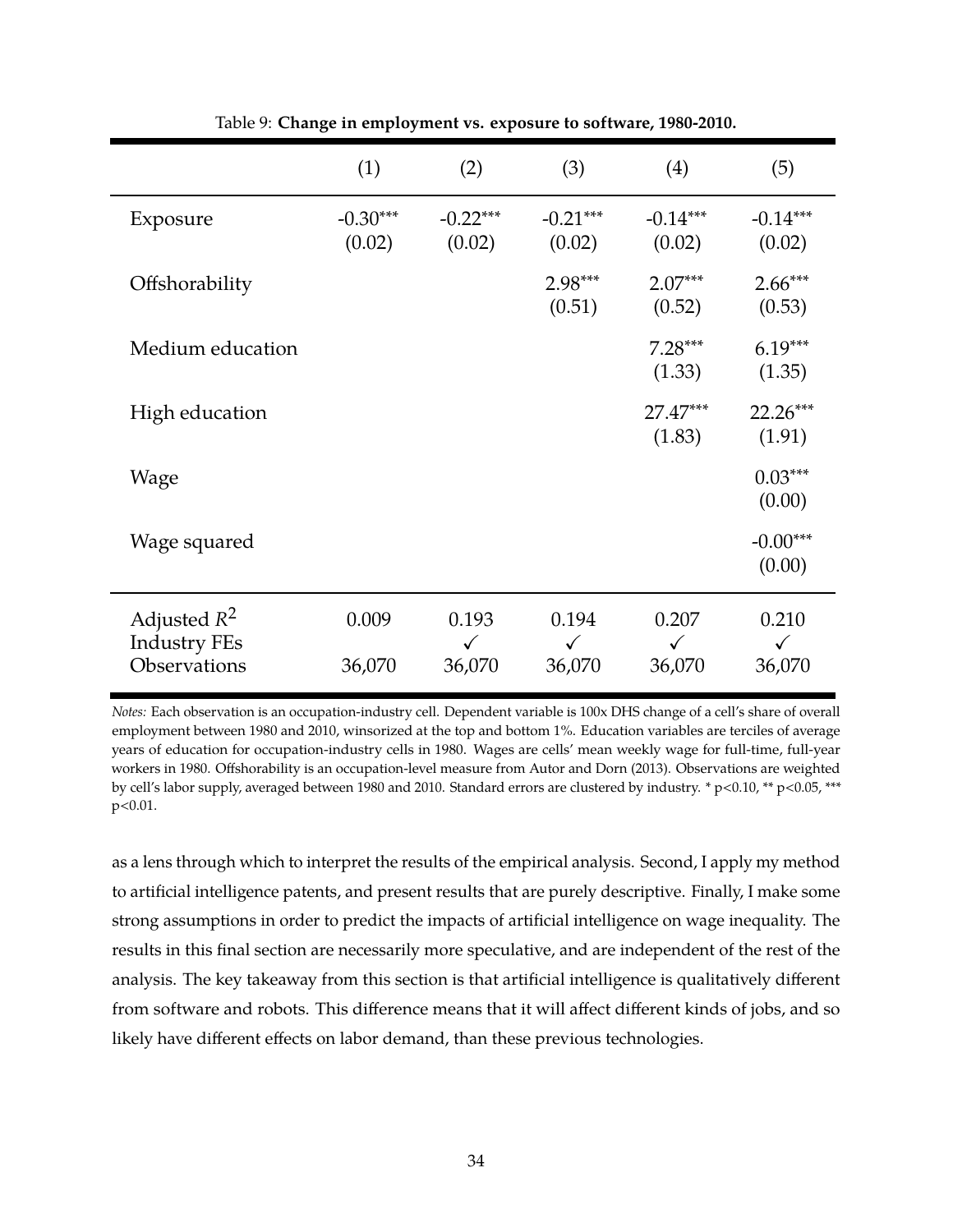<span id="page-35-0"></span>

|                                       | (1)                  | (2)                   | (3)                   | (4)                   | (5)                   |
|---------------------------------------|----------------------|-----------------------|-----------------------|-----------------------|-----------------------|
| Exposure                              | $-0.30***$<br>(0.02) | $-0.22***$<br>(0.02)  | $-0.21***$<br>(0.02)  | $-0.14***$<br>(0.02)  | $-0.14***$<br>(0.02)  |
| Offshorability                        |                      |                       | $2.98***$<br>(0.51)   | $2.07***$<br>(0.52)   | $2.66***$<br>(0.53)   |
| Medium education                      |                      |                       |                       | $7.28***$<br>(1.33)   | $6.19***$<br>(1.35)   |
| High education                        |                      |                       |                       | $27.47***$<br>(1.83)  | 22.26***<br>(1.91)    |
| Wage                                  |                      |                       |                       |                       | $0.03***$<br>(0.00)   |
| Wage squared                          |                      |                       |                       |                       | $-0.00***$<br>(0.00)  |
| Adjusted $R^2$<br><b>Industry FEs</b> | 0.009                | 0.193<br>$\checkmark$ | 0.194<br>$\checkmark$ | 0.207<br>$\checkmark$ | 0.210<br>$\checkmark$ |
| Observations                          | 36,070               | 36,070                | 36,070                | 36,070                | 36,070                |

Table 9: **Change in employment vs. exposure to software, 1980-2010.**

*Notes:* Each observation is an occupation-industry cell. Dependent variable is 100x DHS change of a cell's share of overall employment between 1980 and 2010, winsorized at the top and bottom 1%. Education variables are terciles of average years of education for occupation-industry cells in 1980. Wages are cells' mean weekly wage for full-time, full-year workers in 1980. Offshorability is an occupation-level measure from Autor and Dorn (2013). Observations are weighted by cell's labor supply, averaged between 1980 and 2010. Standard errors are clustered by industry. \* p<0.10, \*\* p<0.05, \*\*\* p<0.01.

as a lens through which to interpret the results of the empirical analysis. Second, I apply my method to artificial intelligence patents, and present results that are purely descriptive. Finally, I make some strong assumptions in order to predict the impacts of artificial intelligence on wage inequality. The results in this final section are necessarily more speculative, and are independent of the rest of the analysis. The key takeaway from this section is that artificial intelligence is qualitatively different from software and robots. This difference means that it will affect different kinds of jobs, and so likely have different effects on labor demand, than these previous technologies.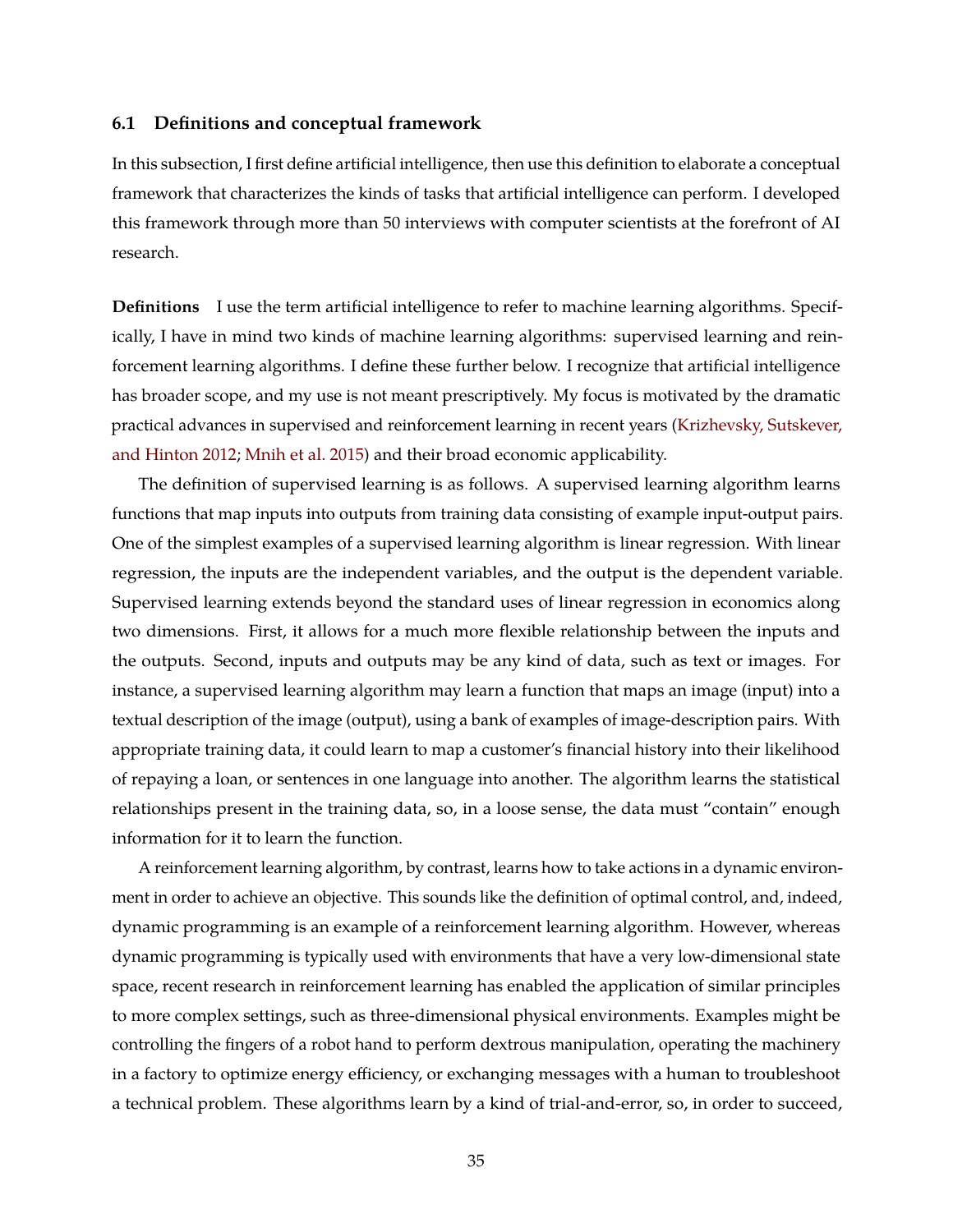### **6.1 Definitions and conceptual framework**

In this subsection, I first define artificial intelligence, then use this definition to elaborate a conceptual framework that characterizes the kinds of tasks that artificial intelligence can perform. I developed this framework through more than 50 interviews with computer scientists at the forefront of AI research.

**Definitions** I use the term artificial intelligence to refer to machine learning algorithms. Specifically, I have in mind two kinds of machine learning algorithms: supervised learning and reinforcement learning algorithms. I define these further below. I recognize that artificial intelligence has broader scope, and my use is not meant prescriptively. My focus is motivated by the dramatic practical advances in supervised and reinforcement learning in recent years [\(Krizhevsky, Sutskever,](#page-50-9) [and Hinton](#page-50-9) [2012;](#page-50-9) [Mnih et al.](#page-51-5) [2015\)](#page-51-5) and their broad economic applicability.

The definition of supervised learning is as follows. A supervised learning algorithm learns functions that map inputs into outputs from training data consisting of example input-output pairs. One of the simplest examples of a supervised learning algorithm is linear regression. With linear regression, the inputs are the independent variables, and the output is the dependent variable. Supervised learning extends beyond the standard uses of linear regression in economics along two dimensions. First, it allows for a much more flexible relationship between the inputs and the outputs. Second, inputs and outputs may be any kind of data, such as text or images. For instance, a supervised learning algorithm may learn a function that maps an image (input) into a textual description of the image (output), using a bank of examples of image-description pairs. With appropriate training data, it could learn to map a customer's financial history into their likelihood of repaying a loan, or sentences in one language into another. The algorithm learns the statistical relationships present in the training data, so, in a loose sense, the data must "contain" enough information for it to learn the function.

A reinforcement learning algorithm, by contrast, learns how to take actions in a dynamic environment in order to achieve an objective. This sounds like the definition of optimal control, and, indeed, dynamic programming is an example of a reinforcement learning algorithm. However, whereas dynamic programming is typically used with environments that have a very low-dimensional state space, recent research in reinforcement learning has enabled the application of similar principles to more complex settings, such as three-dimensional physical environments. Examples might be controlling the fingers of a robot hand to perform dextrous manipulation, operating the machinery in a factory to optimize energy efficiency, or exchanging messages with a human to troubleshoot a technical problem. These algorithms learn by a kind of trial-and-error, so, in order to succeed,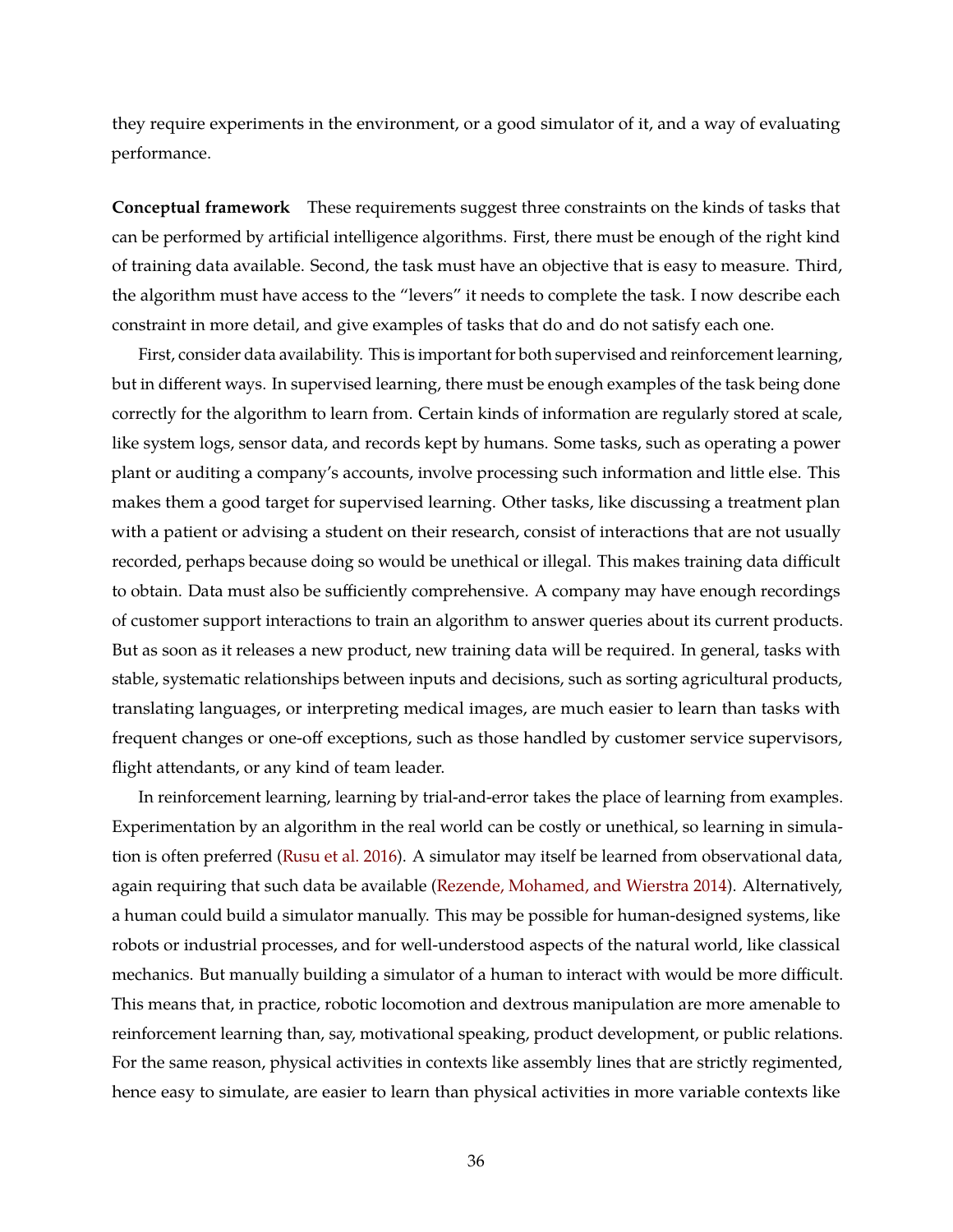they require experiments in the environment, or a good simulator of it, and a way of evaluating performance.

**Conceptual framework** These requirements suggest three constraints on the kinds of tasks that can be performed by artificial intelligence algorithms. First, there must be enough of the right kind of training data available. Second, the task must have an objective that is easy to measure. Third, the algorithm must have access to the "levers" it needs to complete the task. I now describe each constraint in more detail, and give examples of tasks that do and do not satisfy each one.

First, consider data availability. This is important for both supervised and reinforcement learning, but in different ways. In supervised learning, there must be enough examples of the task being done correctly for the algorithm to learn from. Certain kinds of information are regularly stored at scale, like system logs, sensor data, and records kept by humans. Some tasks, such as operating a power plant or auditing a company's accounts, involve processing such information and little else. This makes them a good target for supervised learning. Other tasks, like discussing a treatment plan with a patient or advising a student on their research, consist of interactions that are not usually recorded, perhaps because doing so would be unethical or illegal. This makes training data difficult to obtain. Data must also be sufficiently comprehensive. A company may have enough recordings of customer support interactions to train an algorithm to answer queries about its current products. But as soon as it releases a new product, new training data will be required. In general, tasks with stable, systematic relationships between inputs and decisions, such as sorting agricultural products, translating languages, or interpreting medical images, are much easier to learn than tasks with frequent changes or one-off exceptions, such as those handled by customer service supervisors, flight attendants, or any kind of team leader.

In reinforcement learning, learning by trial-and-error takes the place of learning from examples. Experimentation by an algorithm in the real world can be costly or unethical, so learning in simulation is often preferred [\(Rusu et al.](#page-51-6) [2016\)](#page-51-6). A simulator may itself be learned from observational data, again requiring that such data be available [\(Rezende, Mohamed, and Wierstra](#page-51-7) [2014\)](#page-51-7). Alternatively, a human could build a simulator manually. This may be possible for human-designed systems, like robots or industrial processes, and for well-understood aspects of the natural world, like classical mechanics. But manually building a simulator of a human to interact with would be more difficult. This means that, in practice, robotic locomotion and dextrous manipulation are more amenable to reinforcement learning than, say, motivational speaking, product development, or public relations. For the same reason, physical activities in contexts like assembly lines that are strictly regimented, hence easy to simulate, are easier to learn than physical activities in more variable contexts like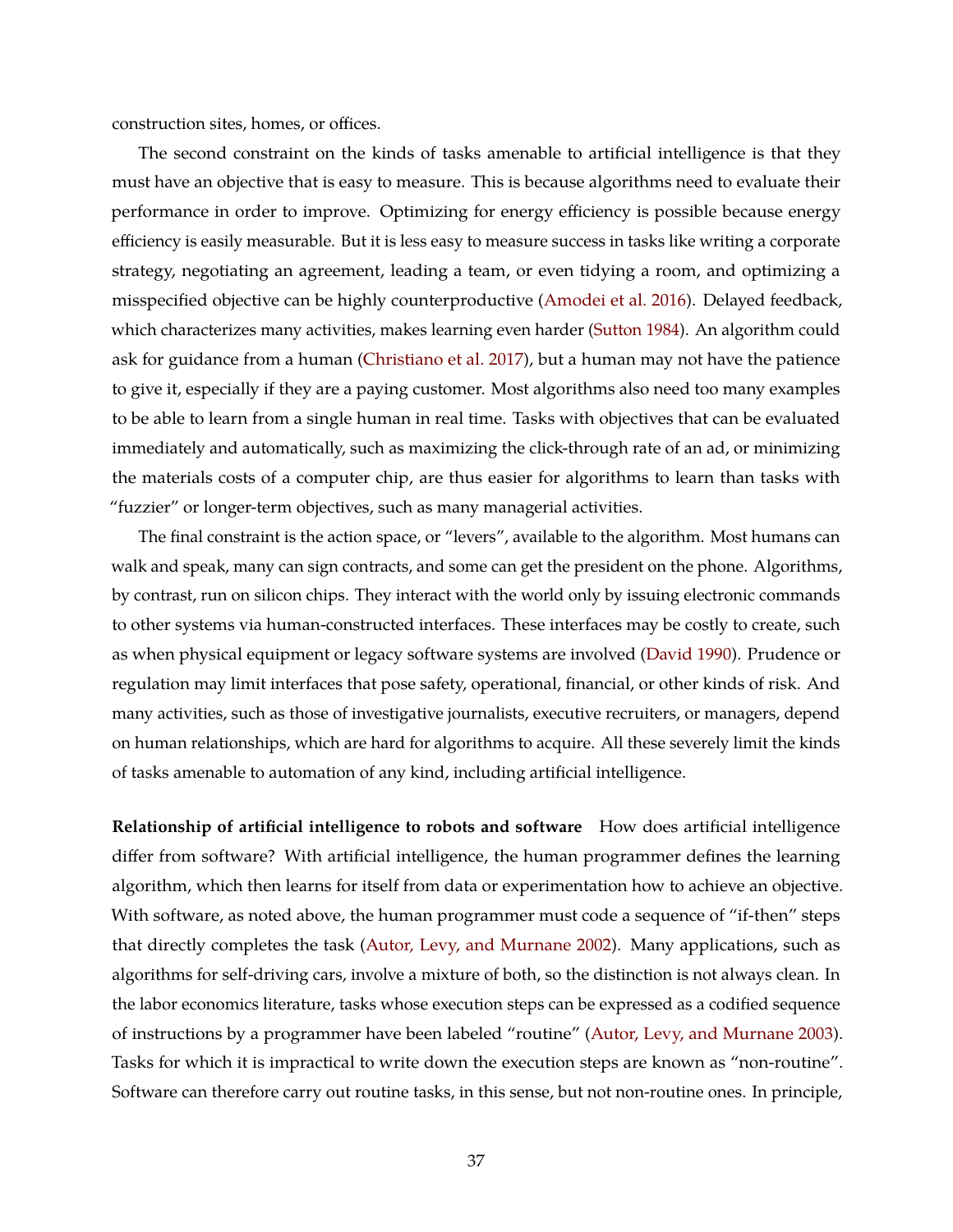construction sites, homes, or offices.

The second constraint on the kinds of tasks amenable to artificial intelligence is that they must have an objective that is easy to measure. This is because algorithms need to evaluate their performance in order to improve. Optimizing for energy efficiency is possible because energy efficiency is easily measurable. But it is less easy to measure success in tasks like writing a corporate strategy, negotiating an agreement, leading a team, or even tidying a room, and optimizing a misspecified objective can be highly counterproductive [\(Amodei et al.](#page-48-9) [2016\)](#page-48-9). Delayed feedback, which characterizes many activities, makes learning even harder [\(Sutton](#page-51-8) [1984\)](#page-51-8). An algorithm could ask for guidance from a human [\(Christiano et al.](#page-49-9) [2017\)](#page-49-9), but a human may not have the patience to give it, especially if they are a paying customer. Most algorithms also need too many examples to be able to learn from a single human in real time. Tasks with objectives that can be evaluated immediately and automatically, such as maximizing the click-through rate of an ad, or minimizing the materials costs of a computer chip, are thus easier for algorithms to learn than tasks with "fuzzier" or longer-term objectives, such as many managerial activities.

The final constraint is the action space, or "levers", available to the algorithm. Most humans can walk and speak, many can sign contracts, and some can get the president on the phone. Algorithms, by contrast, run on silicon chips. They interact with the world only by issuing electronic commands to other systems via human-constructed interfaces. These interfaces may be costly to create, such as when physical equipment or legacy software systems are involved [\(David](#page-49-10) [1990\)](#page-49-10). Prudence or regulation may limit interfaces that pose safety, operational, financial, or other kinds of risk. And many activities, such as those of investigative journalists, executive recruiters, or managers, depend on human relationships, which are hard for algorithms to acquire. All these severely limit the kinds of tasks amenable to automation of any kind, including artificial intelligence.

**Relationship of artificial intelligence to robots and software** How does artificial intelligence differ from software? With artificial intelligence, the human programmer defines the learning algorithm, which then learns for itself from data or experimentation how to achieve an objective. With software, as noted above, the human programmer must code a sequence of "if-then" steps that directly completes the task [\(Autor, Levy, and Murnane](#page-48-10) [2002\)](#page-48-10). Many applications, such as algorithms for self-driving cars, involve a mixture of both, so the distinction is not always clean. In the labor economics literature, tasks whose execution steps can be expressed as a codified sequence of instructions by a programmer have been labeled "routine" [\(Autor, Levy, and Murnane](#page-48-1) [2003\)](#page-48-1). Tasks for which it is impractical to write down the execution steps are known as "non-routine". Software can therefore carry out routine tasks, in this sense, but not non-routine ones. In principle,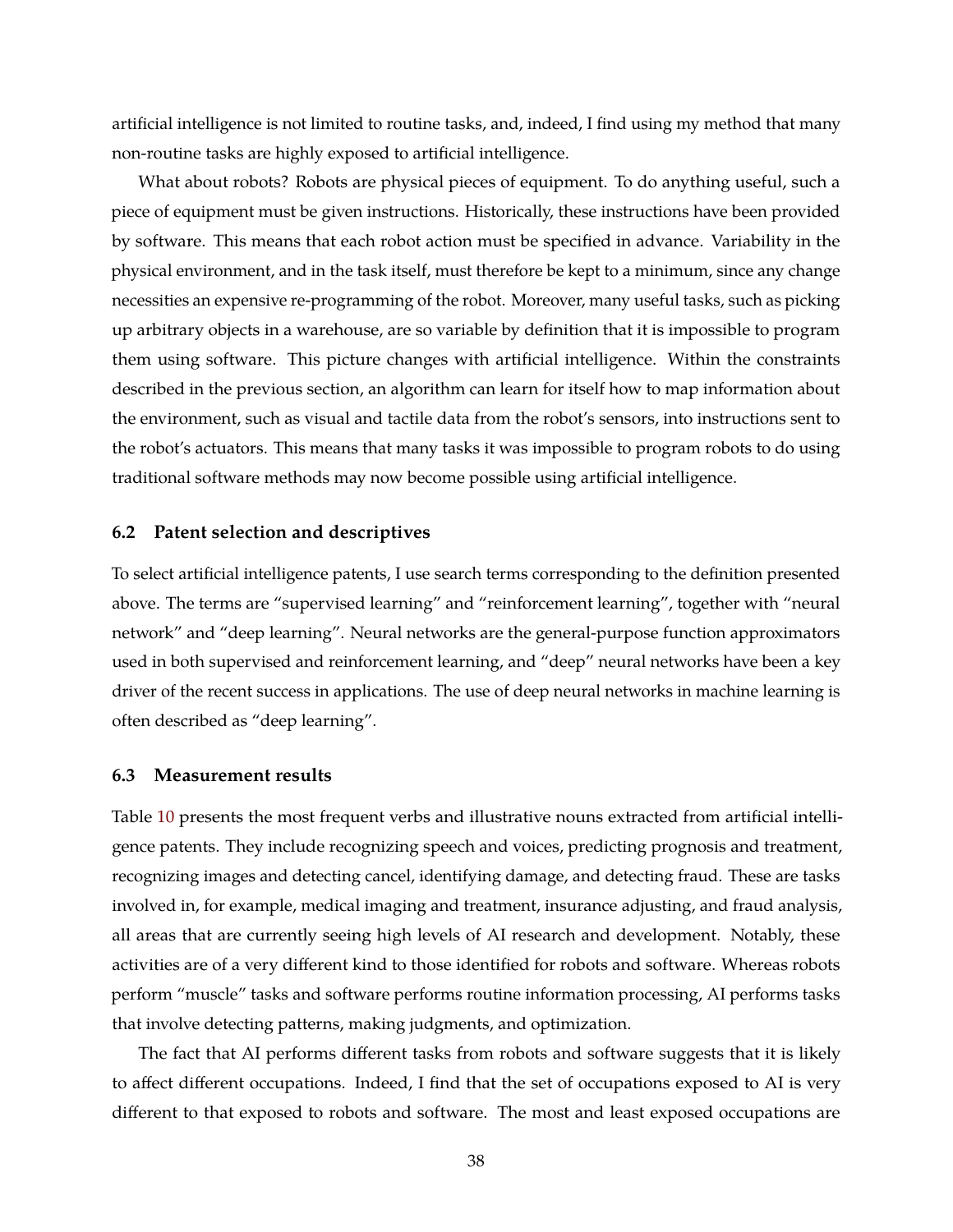artificial intelligence is not limited to routine tasks, and, indeed, I find using my method that many non-routine tasks are highly exposed to artificial intelligence.

What about robots? Robots are physical pieces of equipment. To do anything useful, such a piece of equipment must be given instructions. Historically, these instructions have been provided by software. This means that each robot action must be specified in advance. Variability in the physical environment, and in the task itself, must therefore be kept to a minimum, since any change necessities an expensive re-programming of the robot. Moreover, many useful tasks, such as picking up arbitrary objects in a warehouse, are so variable by definition that it is impossible to program them using software. This picture changes with artificial intelligence. Within the constraints described in the previous section, an algorithm can learn for itself how to map information about the environment, such as visual and tactile data from the robot's sensors, into instructions sent to the robot's actuators. This means that many tasks it was impossible to program robots to do using traditional software methods may now become possible using artificial intelligence.

### **6.2 Patent selection and descriptives**

To select artificial intelligence patents, I use search terms corresponding to the definition presented above. The terms are "supervised learning" and "reinforcement learning", together with "neural network" and "deep learning". Neural networks are the general-purpose function approximators used in both supervised and reinforcement learning, and "deep" neural networks have been a key driver of the recent success in applications. The use of deep neural networks in machine learning is often described as "deep learning".

### **6.3 Measurement results**

Table [10](#page-40-0) presents the most frequent verbs and illustrative nouns extracted from artificial intelligence patents. They include recognizing speech and voices, predicting prognosis and treatment, recognizing images and detecting cancel, identifying damage, and detecting fraud. These are tasks involved in, for example, medical imaging and treatment, insurance adjusting, and fraud analysis, all areas that are currently seeing high levels of AI research and development. Notably, these activities are of a very different kind to those identified for robots and software. Whereas robots perform "muscle" tasks and software performs routine information processing, AI performs tasks that involve detecting patterns, making judgments, and optimization.

The fact that AI performs different tasks from robots and software suggests that it is likely to affect different occupations. Indeed, I find that the set of occupations exposed to AI is very different to that exposed to robots and software. The most and least exposed occupations are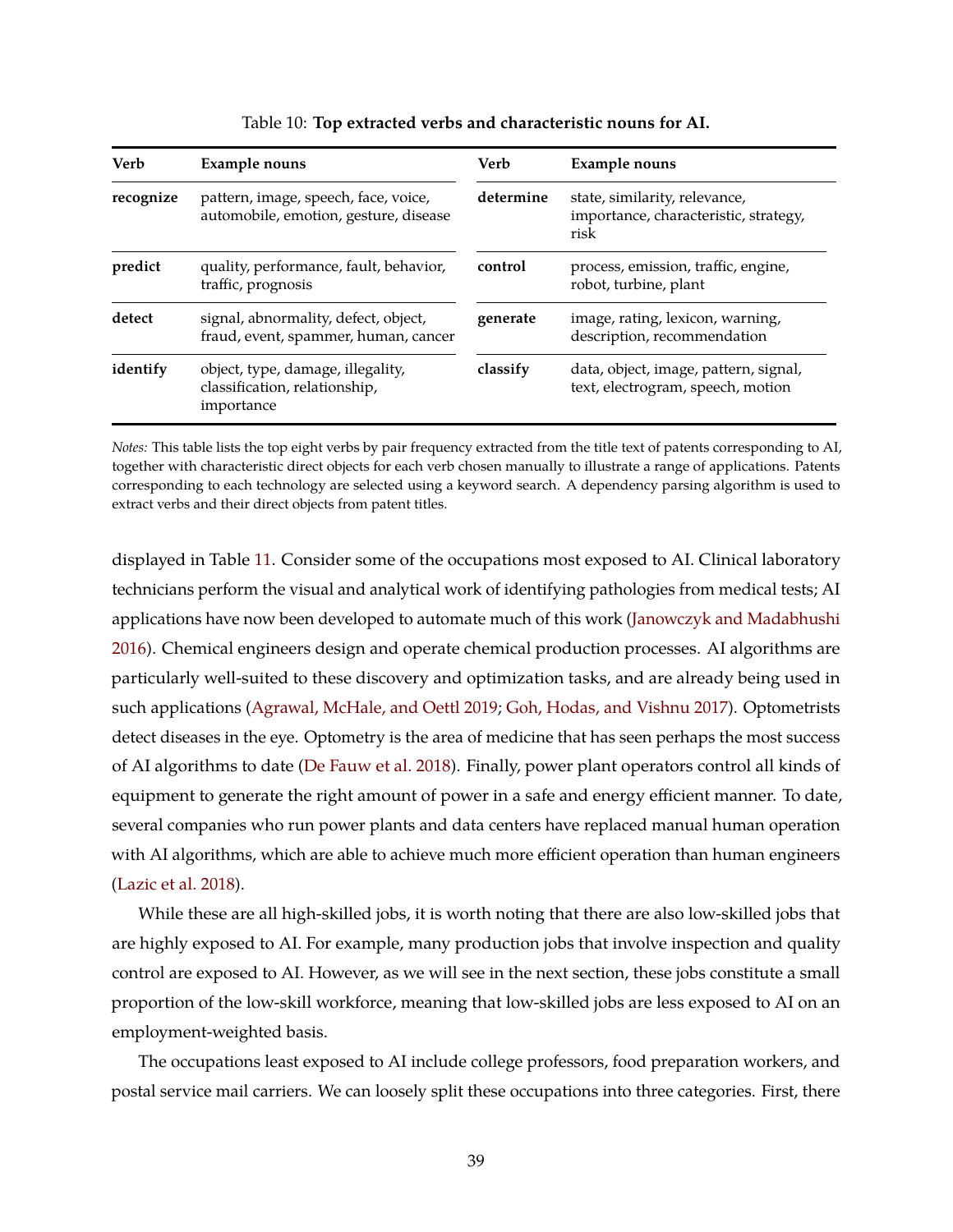<span id="page-40-0"></span>

| Verb      | <b>Example nouns</b>                                                             | <b>Verb</b> | Example nouns                                                                  |
|-----------|----------------------------------------------------------------------------------|-------------|--------------------------------------------------------------------------------|
| recognize | pattern, image, speech, face, voice,<br>automobile, emotion, gesture, disease    | determine   | state, similarity, relevance,<br>importance, characteristic, strategy,<br>risk |
| predict   | quality, performance, fault, behavior,<br>traffic, prognosis                     | control     | process, emission, traffic, engine,<br>robot, turbine, plant                   |
| detect    | signal, abnormality, defect, object,<br>fraud, event, spammer, human, cancer     | generate    | image, rating, lexicon, warning,<br>description, recommendation                |
| identify  | object, type, damage, illegality,<br>classification, relationship,<br>importance | classify    | data, object, image, pattern, signal,<br>text, electrogram, speech, motion     |

| Table 10: Top extracted verbs and characteristic nouns for AI. |
|----------------------------------------------------------------|
|----------------------------------------------------------------|

*Notes:* This table lists the top eight verbs by pair frequency extracted from the title text of patents corresponding to AI, together with characteristic direct objects for each verb chosen manually to illustrate a range of applications. Patents corresponding to each technology are selected using a keyword search. A dependency parsing algorithm is used to extract verbs and their direct objects from patent titles.

displayed in Table [11.](#page-41-0) Consider some of the occupations most exposed to AI. Clinical laboratory technicians perform the visual and analytical work of identifying pathologies from medical tests; AI applications have now been developed to automate much of this work [\(Janowczyk and Madabhushi](#page-50-10) [2016\)](#page-50-10). Chemical engineers design and operate chemical production processes. AI algorithms are particularly well-suited to these discovery and optimization tasks, and are already being used in such applications [\(Agrawal, McHale, and Oettl](#page-48-11) [2019;](#page-48-11) [Goh, Hodas, and Vishnu](#page-50-11) [2017\)](#page-50-11). Optometrists detect diseases in the eye. Optometry is the area of medicine that has seen perhaps the most success of AI algorithms to date [\(De Fauw et al.](#page-49-11) [2018\)](#page-49-11). Finally, power plant operators control all kinds of equipment to generate the right amount of power in a safe and energy efficient manner. To date, several companies who run power plants and data centers have replaced manual human operation with AI algorithms, which are able to achieve much more efficient operation than human engineers [\(Lazic et al.](#page-51-9) [2018\)](#page-51-9).

While these are all high-skilled jobs, it is worth noting that there are also low-skilled jobs that are highly exposed to AI. For example, many production jobs that involve inspection and quality control are exposed to AI. However, as we will see in the next section, these jobs constitute a small proportion of the low-skill workforce, meaning that low-skilled jobs are less exposed to AI on an employment-weighted basis.

The occupations least exposed to AI include college professors, food preparation workers, and postal service mail carriers. We can loosely split these occupations into three categories. First, there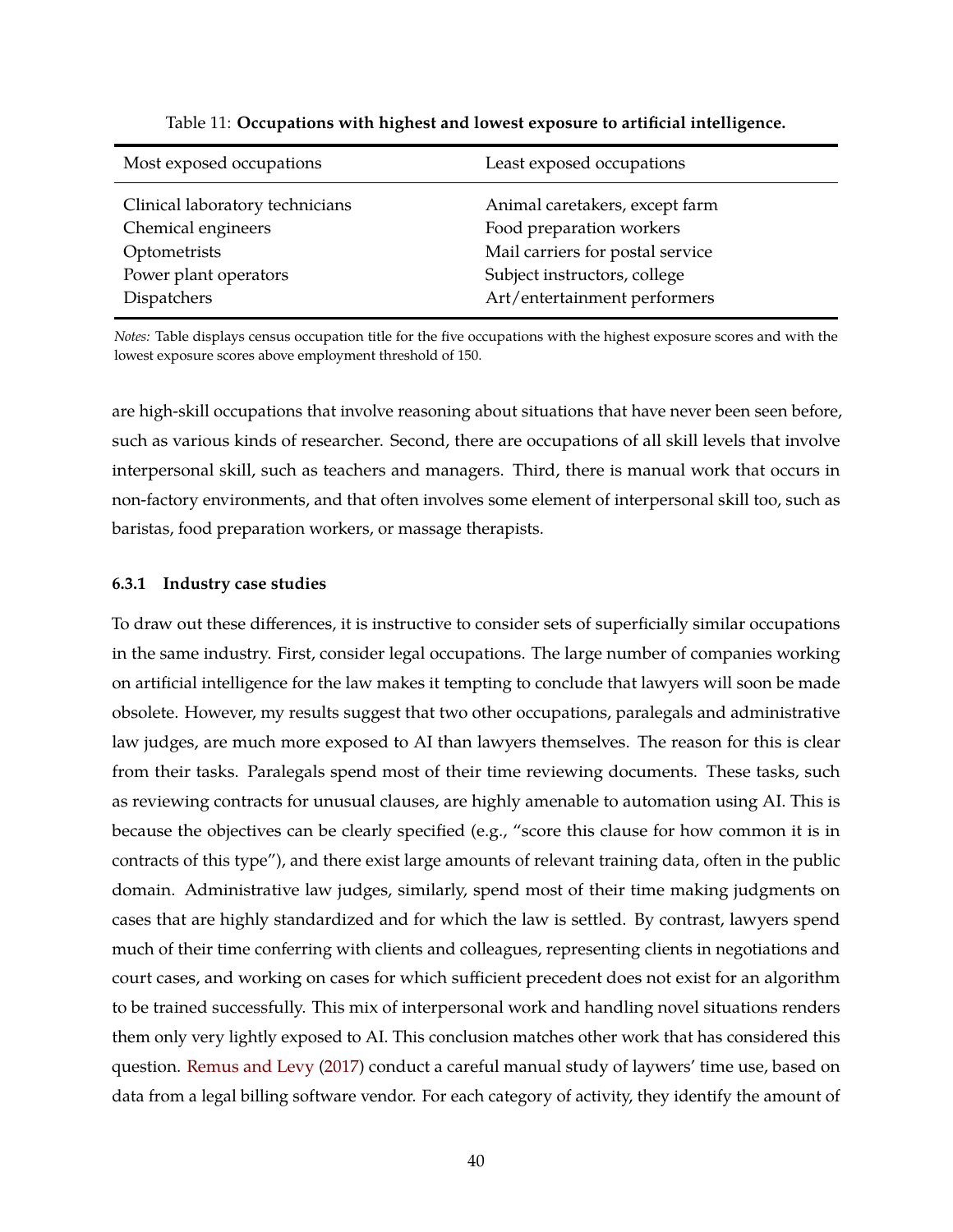<span id="page-41-0"></span>

| Most exposed occupations                                                                                      | Least exposed occupations                                                                                                                                      |
|---------------------------------------------------------------------------------------------------------------|----------------------------------------------------------------------------------------------------------------------------------------------------------------|
| Clinical laboratory technicians<br>Chemical engineers<br>Optometrists<br>Power plant operators<br>Dispatchers | Animal caretakers, except farm<br>Food preparation workers<br>Mail carriers for postal service<br>Subject instructors, college<br>Art/entertainment performers |
|                                                                                                               |                                                                                                                                                                |

Table 11: **Occupations with highest and lowest exposure to artificial intelligence.**

*Notes:* Table displays census occupation title for the five occupations with the highest exposure scores and with the lowest exposure scores above employment threshold of 150.

are high-skill occupations that involve reasoning about situations that have never been seen before, such as various kinds of researcher. Second, there are occupations of all skill levels that involve interpersonal skill, such as teachers and managers. Third, there is manual work that occurs in non-factory environments, and that often involves some element of interpersonal skill too, such as baristas, food preparation workers, or massage therapists.

### **6.3.1 Industry case studies**

To draw out these differences, it is instructive to consider sets of superficially similar occupations in the same industry. First, consider legal occupations. The large number of companies working on artificial intelligence for the law makes it tempting to conclude that lawyers will soon be made obsolete. However, my results suggest that two other occupations, paralegals and administrative law judges, are much more exposed to AI than lawyers themselves. The reason for this is clear from their tasks. Paralegals spend most of their time reviewing documents. These tasks, such as reviewing contracts for unusual clauses, are highly amenable to automation using AI. This is because the objectives can be clearly specified (e.g., "score this clause for how common it is in contracts of this type"), and there exist large amounts of relevant training data, often in the public domain. Administrative law judges, similarly, spend most of their time making judgments on cases that are highly standardized and for which the law is settled. By contrast, lawyers spend much of their time conferring with clients and colleagues, representing clients in negotiations and court cases, and working on cases for which sufficient precedent does not exist for an algorithm to be trained successfully. This mix of interpersonal work and handling novel situations renders them only very lightly exposed to AI. This conclusion matches other work that has considered this question. [Remus and Levy](#page-51-10) [\(2017\)](#page-51-10) conduct a careful manual study of laywers' time use, based on data from a legal billing software vendor. For each category of activity, they identify the amount of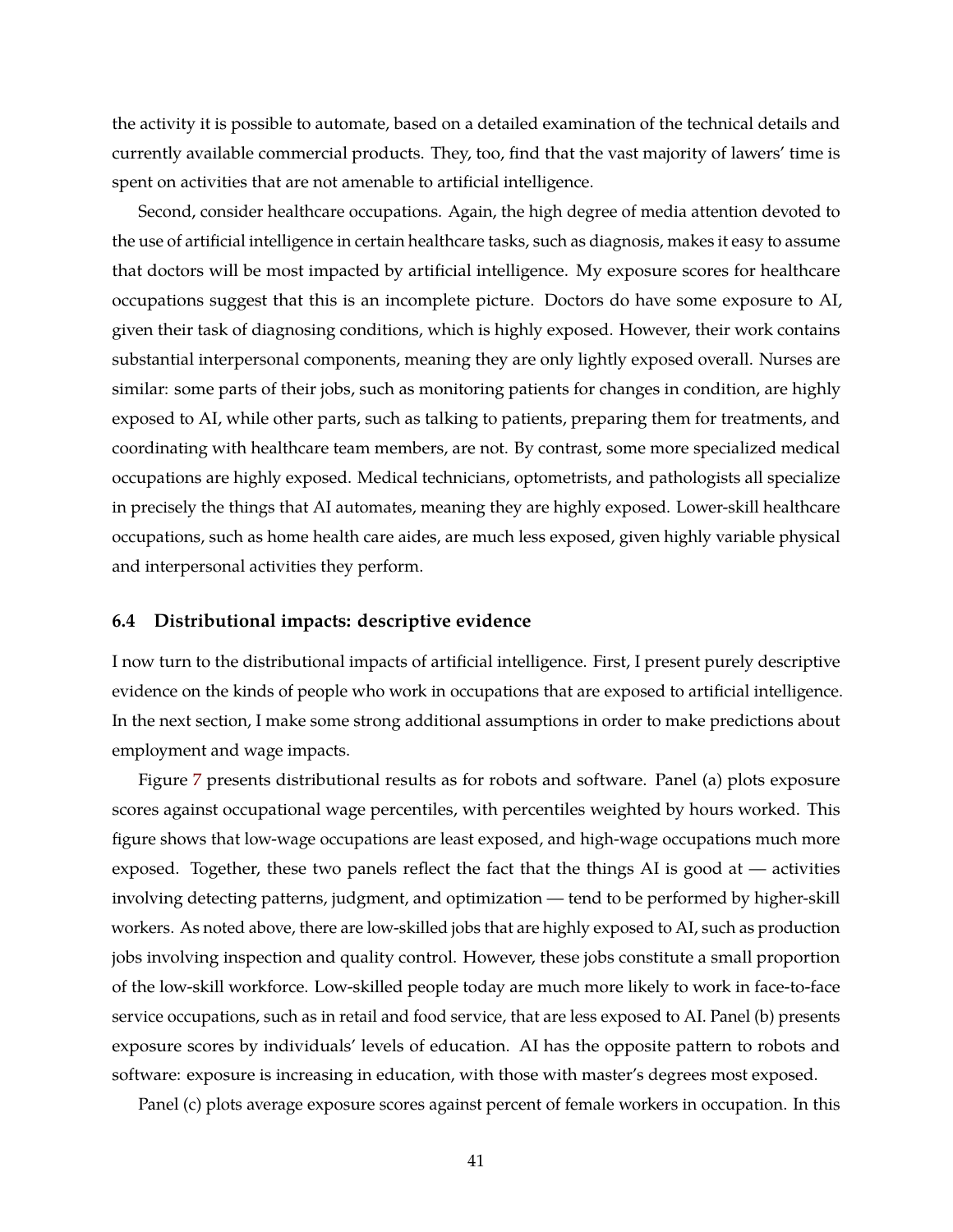the activity it is possible to automate, based on a detailed examination of the technical details and currently available commercial products. They, too, find that the vast majority of lawers' time is spent on activities that are not amenable to artificial intelligence.

Second, consider healthcare occupations. Again, the high degree of media attention devoted to the use of artificial intelligence in certain healthcare tasks, such as diagnosis, makes it easy to assume that doctors will be most impacted by artificial intelligence. My exposure scores for healthcare occupations suggest that this is an incomplete picture. Doctors do have some exposure to AI, given their task of diagnosing conditions, which is highly exposed. However, their work contains substantial interpersonal components, meaning they are only lightly exposed overall. Nurses are similar: some parts of their jobs, such as monitoring patients for changes in condition, are highly exposed to AI, while other parts, such as talking to patients, preparing them for treatments, and coordinating with healthcare team members, are not. By contrast, some more specialized medical occupations are highly exposed. Medical technicians, optometrists, and pathologists all specialize in precisely the things that AI automates, meaning they are highly exposed. Lower-skill healthcare occupations, such as home health care aides, are much less exposed, given highly variable physical and interpersonal activities they perform.

### **6.4 Distributional impacts: descriptive evidence**

I now turn to the distributional impacts of artificial intelligence. First, I present purely descriptive evidence on the kinds of people who work in occupations that are exposed to artificial intelligence. In the next section, I make some strong additional assumptions in order to make predictions about employment and wage impacts.

Figure [7](#page-43-0) presents distributional results as for robots and software. Panel (a) plots exposure scores against occupational wage percentiles, with percentiles weighted by hours worked. This figure shows that low-wage occupations are least exposed, and high-wage occupations much more exposed. Together, these two panels reflect the fact that the things AI is good at — activities involving detecting patterns, judgment, and optimization — tend to be performed by higher-skill workers. As noted above, there are low-skilled jobs that are highly exposed to AI, such as production jobs involving inspection and quality control. However, these jobs constitute a small proportion of the low-skill workforce. Low-skilled people today are much more likely to work in face-to-face service occupations, such as in retail and food service, that are less exposed to AI. Panel (b) presents exposure scores by individuals' levels of education. AI has the opposite pattern to robots and software: exposure is increasing in education, with those with master's degrees most exposed.

Panel (c) plots average exposure scores against percent of female workers in occupation. In this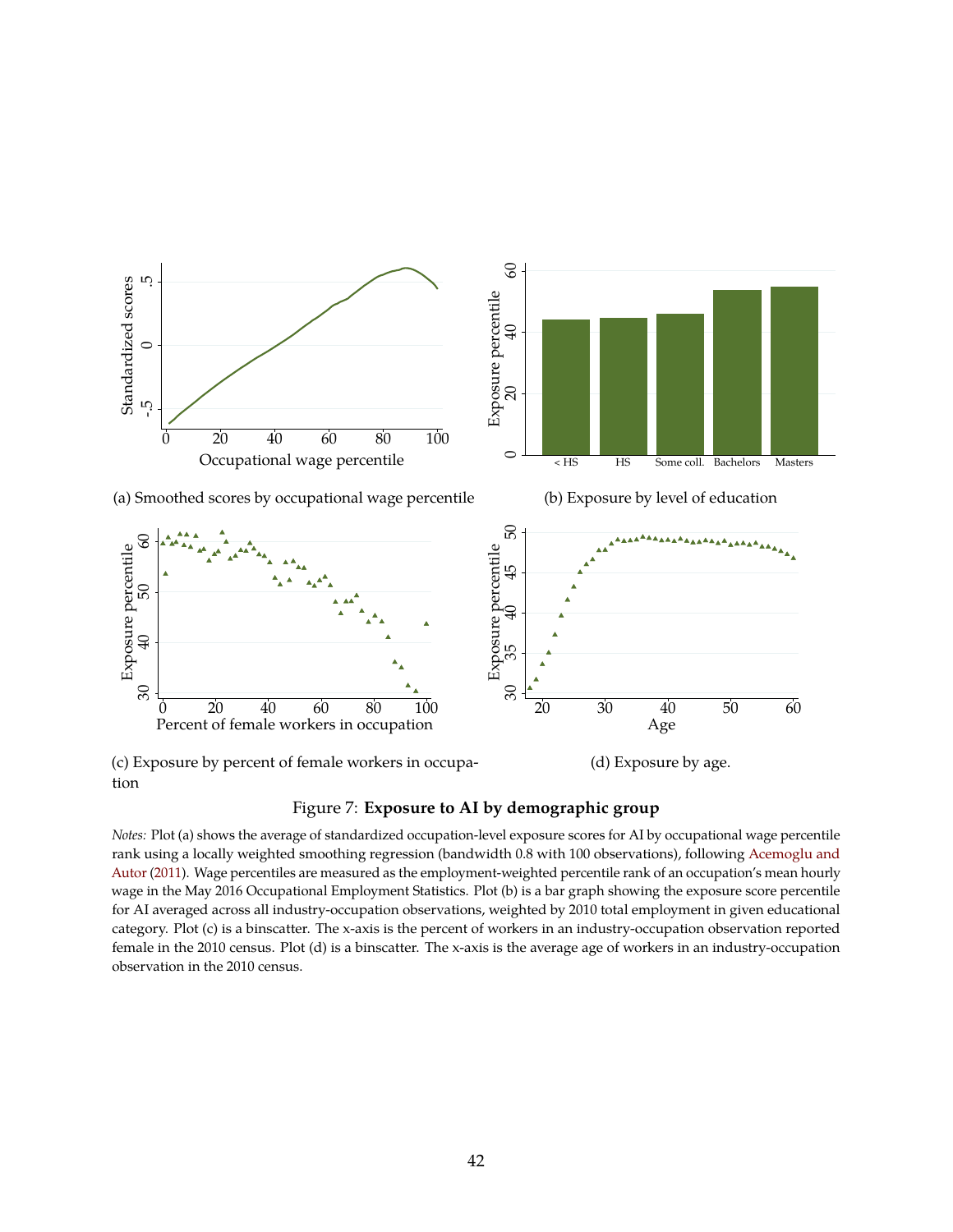<span id="page-43-0"></span>

(c) Exposure by percent of female workers in occupa-

(d) Exposure by age.

### Figure 7: **Exposure to AI by demographic group**

*Notes:* Plot (a) shows the average of standardized occupation-level exposure scores for AI by occupational wage percentile rank using a locally weighted smoothing regression (bandwidth 0.8 with 100 observations), following [Acemoglu and](#page-48-2) [Autor](#page-48-2) [\(2011\)](#page-48-2). Wage percentiles are measured as the employment-weighted percentile rank of an occupation's mean hourly wage in the May 2016 Occupational Employment Statistics. Plot (b) is a bar graph showing the exposure score percentile for AI averaged across all industry-occupation observations, weighted by 2010 total employment in given educational category. Plot (c) is a binscatter. The x-axis is the percent of workers in an industry-occupation observation reported female in the 2010 census. Plot (d) is a binscatter. The x-axis is the average age of workers in an industry-occupation observation in the 2010 census.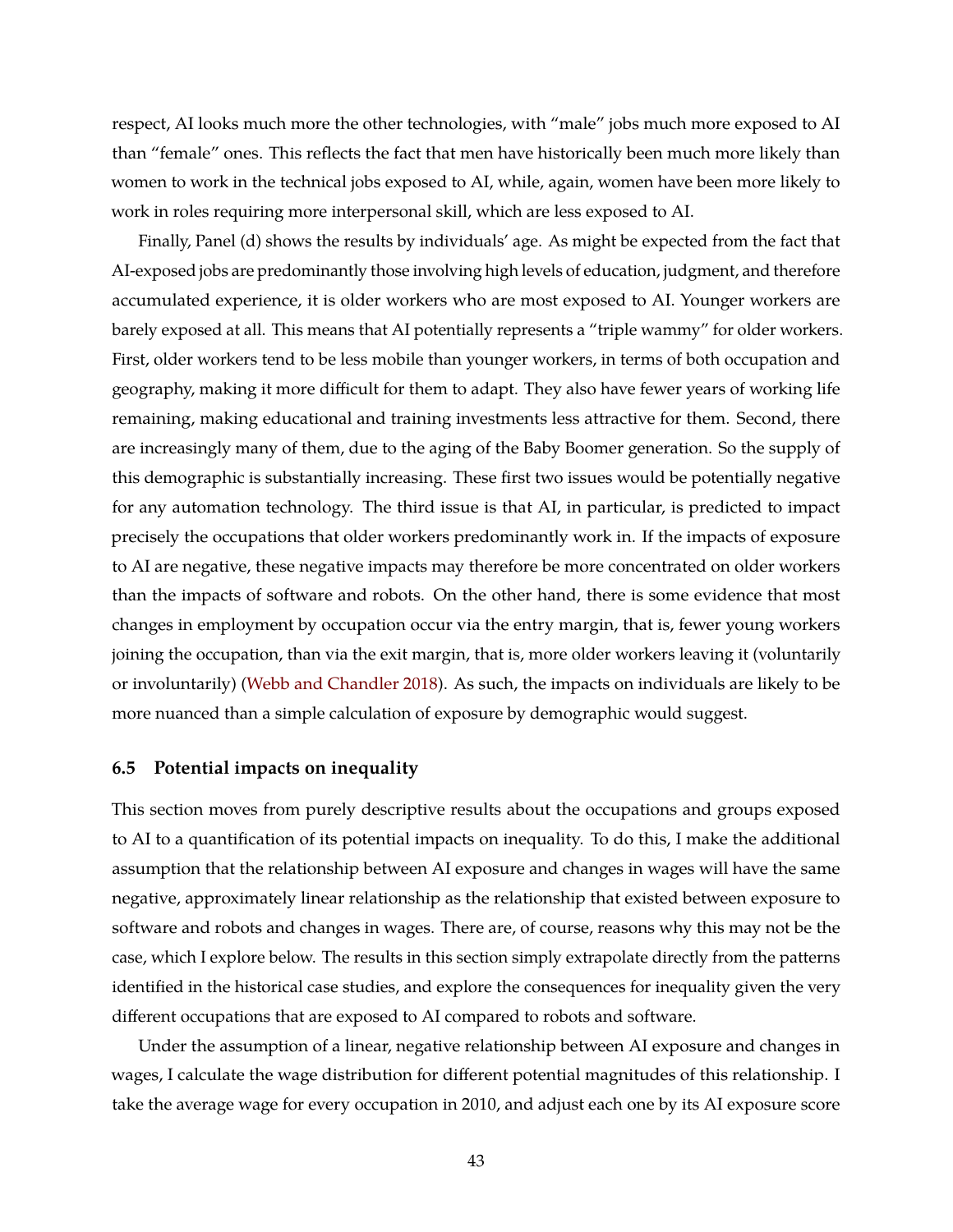respect, AI looks much more the other technologies, with "male" jobs much more exposed to AI than "female" ones. This reflects the fact that men have historically been much more likely than women to work in the technical jobs exposed to AI, while, again, women have been more likely to work in roles requiring more interpersonal skill, which are less exposed to AI.

Finally, Panel (d) shows the results by individuals' age. As might be expected from the fact that AI-exposed jobs are predominantly those involving high levels of education, judgment, and therefore accumulated experience, it is older workers who are most exposed to AI. Younger workers are barely exposed at all. This means that AI potentially represents a "triple wammy" for older workers. First, older workers tend to be less mobile than younger workers, in terms of both occupation and geography, making it more difficult for them to adapt. They also have fewer years of working life remaining, making educational and training investments less attractive for them. Second, there are increasingly many of them, due to the aging of the Baby Boomer generation. So the supply of this demographic is substantially increasing. These first two issues would be potentially negative for any automation technology. The third issue is that AI, in particular, is predicted to impact precisely the occupations that older workers predominantly work in. If the impacts of exposure to AI are negative, these negative impacts may therefore be more concentrated on older workers than the impacts of software and robots. On the other hand, there is some evidence that most changes in employment by occupation occur via the entry margin, that is, fewer young workers joining the occupation, than via the exit margin, that is, more older workers leaving it (voluntarily or involuntarily) [\(Webb and Chandler](#page-52-0) [2018\)](#page-52-0). As such, the impacts on individuals are likely to be more nuanced than a simple calculation of exposure by demographic would suggest.

### **6.5 Potential impacts on inequality**

This section moves from purely descriptive results about the occupations and groups exposed to AI to a quantification of its potential impacts on inequality. To do this, I make the additional assumption that the relationship between AI exposure and changes in wages will have the same negative, approximately linear relationship as the relationship that existed between exposure to software and robots and changes in wages. There are, of course, reasons why this may not be the case, which I explore below. The results in this section simply extrapolate directly from the patterns identified in the historical case studies, and explore the consequences for inequality given the very different occupations that are exposed to AI compared to robots and software.

Under the assumption of a linear, negative relationship between AI exposure and changes in wages, I calculate the wage distribution for different potential magnitudes of this relationship. I take the average wage for every occupation in 2010, and adjust each one by its AI exposure score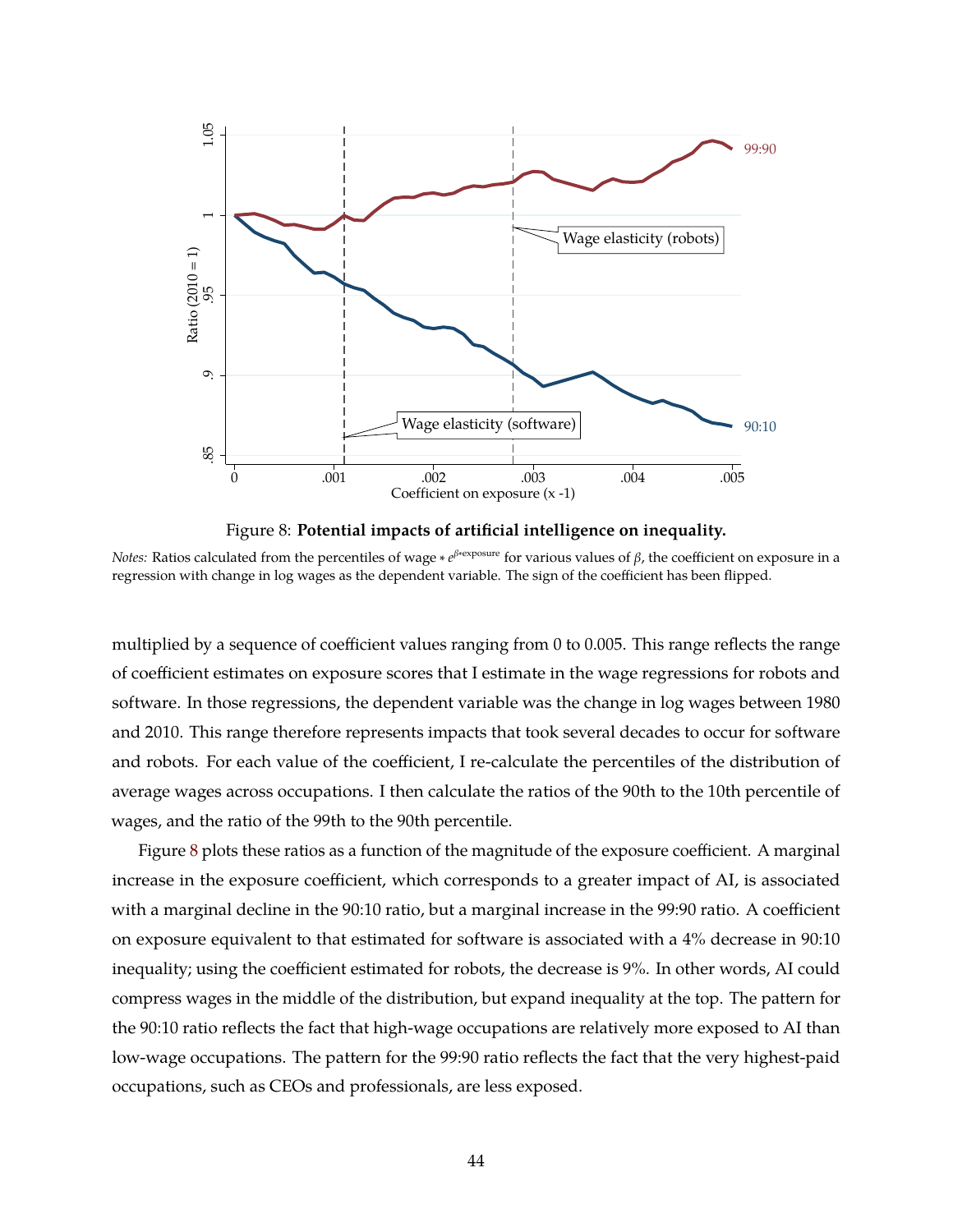<span id="page-45-0"></span>



*Notes:* Ratios calculated from the percentiles of wage ∗ e<sup>β∗exposure</sup> for various values of β, the coefficient on exposure in a regression with change in log wages as the dependent variable. The sign of the coefficient has been flipped.

multiplied by a sequence of coefficient values ranging from 0 to 0.005. This range reflects the range of coefficient estimates on exposure scores that I estimate in the wage regressions for robots and software. In those regressions, the dependent variable was the change in log wages between 1980 and 2010. This range therefore represents impacts that took several decades to occur for software and robots. For each value of the coefficient, I re-calculate the percentiles of the distribution of average wages across occupations. I then calculate the ratios of the 90th to the 10th percentile of wages, and the ratio of the 99th to the 90th percentile.

Figure [8](#page-45-0) plots these ratios as a function of the magnitude of the exposure coefficient. A marginal increase in the exposure coefficient, which corresponds to a greater impact of AI, is associated with a marginal decline in the 90:10 ratio, but a marginal increase in the 99:90 ratio. A coefficient on exposure equivalent to that estimated for software is associated with a 4% decrease in 90:10 inequality; using the coefficient estimated for robots, the decrease is 9%. In other words, AI could compress wages in the middle of the distribution, but expand inequality at the top. The pattern for the 90:10 ratio reflects the fact that high-wage occupations are relatively more exposed to AI than low-wage occupations. The pattern for the 99:90 ratio reflects the fact that the very highest-paid occupations, such as CEOs and professionals, are less exposed.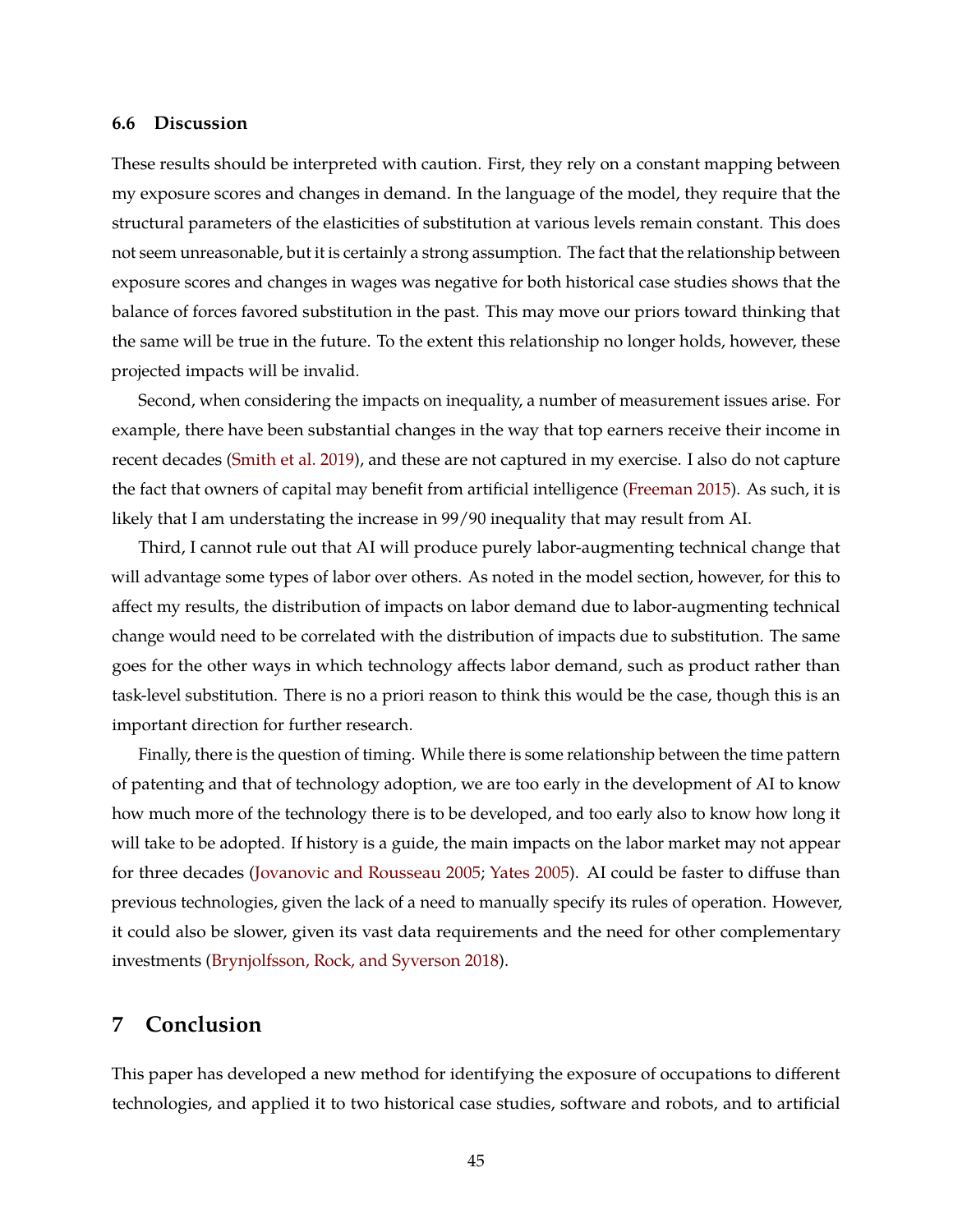### **6.6 Discussion**

These results should be interpreted with caution. First, they rely on a constant mapping between my exposure scores and changes in demand. In the language of the model, they require that the structural parameters of the elasticities of substitution at various levels remain constant. This does not seem unreasonable, but it is certainly a strong assumption. The fact that the relationship between exposure scores and changes in wages was negative for both historical case studies shows that the balance of forces favored substitution in the past. This may move our priors toward thinking that the same will be true in the future. To the extent this relationship no longer holds, however, these projected impacts will be invalid.

Second, when considering the impacts on inequality, a number of measurement issues arise. For example, there have been substantial changes in the way that top earners receive their income in recent decades [\(Smith et al.](#page-51-11) [2019\)](#page-51-11), and these are not captured in my exercise. I also do not capture the fact that owners of capital may benefit from artificial intelligence [\(Freeman](#page-50-12) [2015\)](#page-50-12). As such, it is likely that I am understating the increase in 99/90 inequality that may result from AI.

Third, I cannot rule out that AI will produce purely labor-augmenting technical change that will advantage some types of labor over others. As noted in the model section, however, for this to affect my results, the distribution of impacts on labor demand due to labor-augmenting technical change would need to be correlated with the distribution of impacts due to substitution. The same goes for the other ways in which technology affects labor demand, such as product rather than task-level substitution. There is no a priori reason to think this would be the case, though this is an important direction for further research.

Finally, there is the question of timing. While there is some relationship between the time pattern of patenting and that of technology adoption, we are too early in the development of AI to know how much more of the technology there is to be developed, and too early also to know how long it will take to be adopted. If history is a guide, the main impacts on the labor market may not appear for three decades [\(Jovanovic and Rousseau](#page-50-13) [2005;](#page-50-13) [Yates](#page-52-1) [2005\)](#page-52-1). AI could be faster to diffuse than previous technologies, given the lack of a need to manually specify its rules of operation. However, it could also be slower, given its vast data requirements and the need for other complementary investments [\(Brynjolfsson, Rock, and Syverson](#page-49-12) [2018\)](#page-49-12).

## **7 Conclusion**

This paper has developed a new method for identifying the exposure of occupations to different technologies, and applied it to two historical case studies, software and robots, and to artificial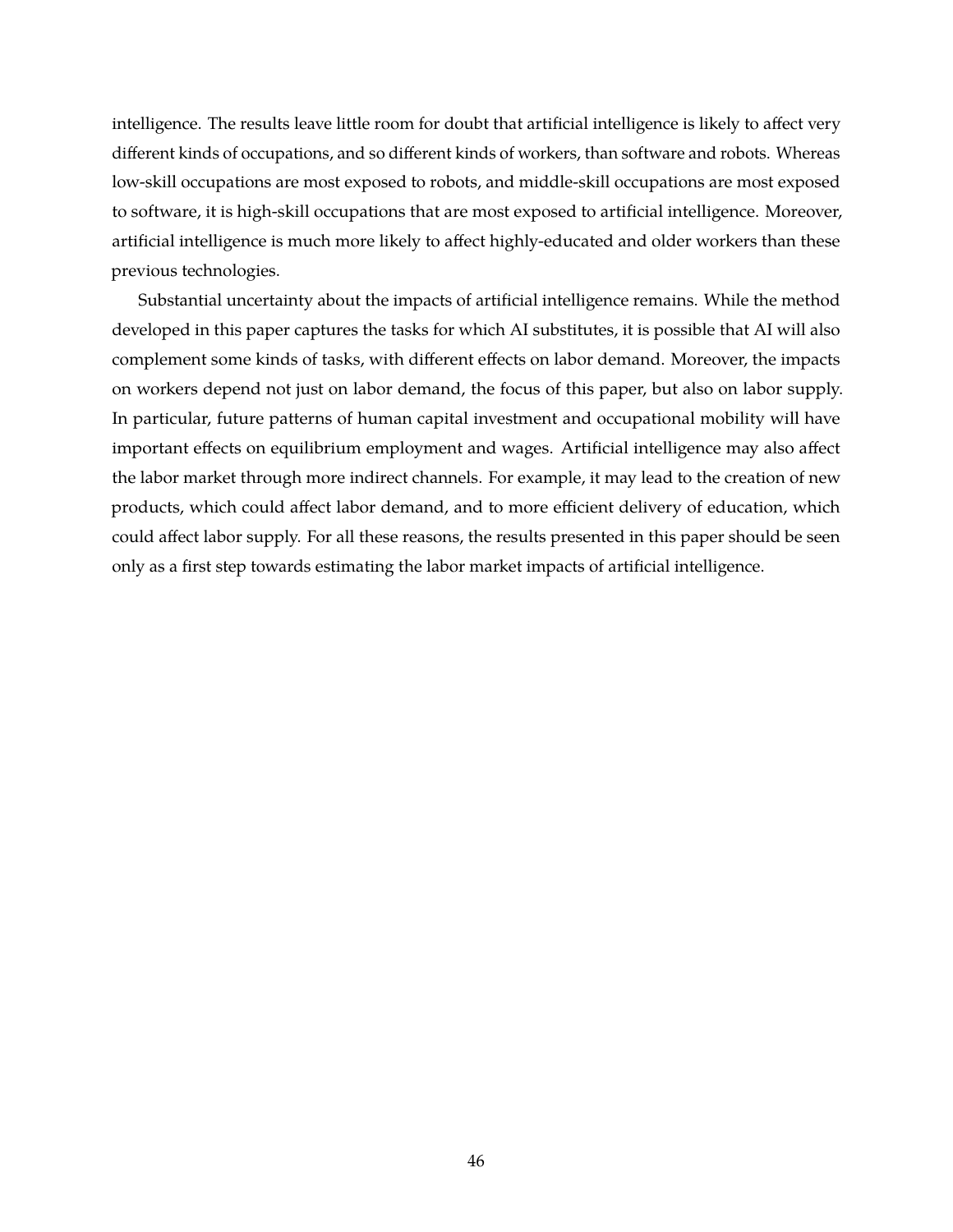intelligence. The results leave little room for doubt that artificial intelligence is likely to affect very different kinds of occupations, and so different kinds of workers, than software and robots. Whereas low-skill occupations are most exposed to robots, and middle-skill occupations are most exposed to software, it is high-skill occupations that are most exposed to artificial intelligence. Moreover, artificial intelligence is much more likely to affect highly-educated and older workers than these previous technologies.

Substantial uncertainty about the impacts of artificial intelligence remains. While the method developed in this paper captures the tasks for which AI substitutes, it is possible that AI will also complement some kinds of tasks, with different effects on labor demand. Moreover, the impacts on workers depend not just on labor demand, the focus of this paper, but also on labor supply. In particular, future patterns of human capital investment and occupational mobility will have important effects on equilibrium employment and wages. Artificial intelligence may also affect the labor market through more indirect channels. For example, it may lead to the creation of new products, which could affect labor demand, and to more efficient delivery of education, which could affect labor supply. For all these reasons, the results presented in this paper should be seen only as a first step towards estimating the labor market impacts of artificial intelligence.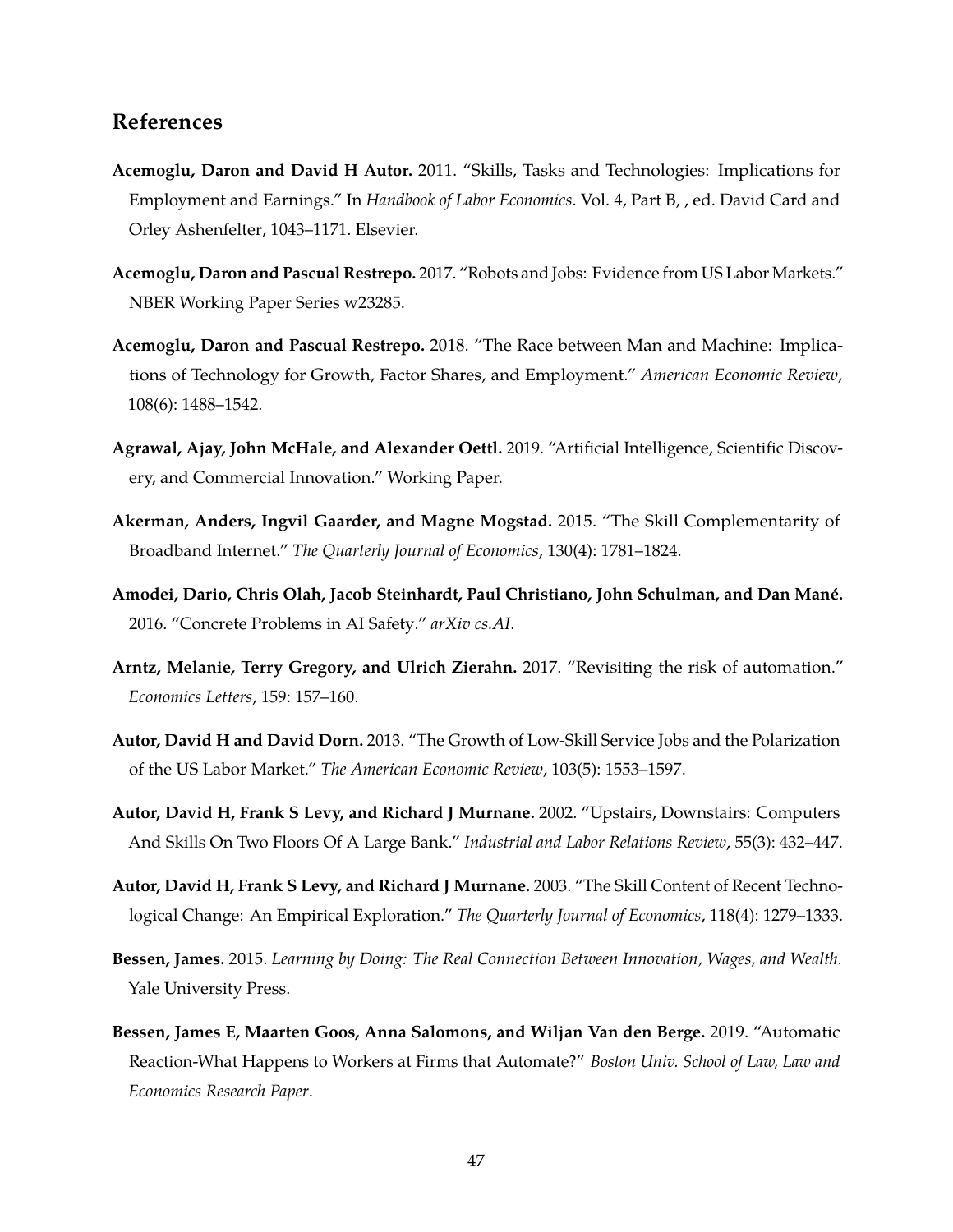## **References**

- <span id="page-48-2"></span>**Acemoglu, Daron and David H Autor.** 2011. "Skills, Tasks and Technologies: Implications for Employment and Earnings." In *Handbook of Labor Economics*. Vol. 4, Part B, , ed. David Card and Orley Ashenfelter, 1043–1171. Elsevier.
- <span id="page-48-5"></span>**Acemoglu, Daron and Pascual Restrepo.** 2017. "Robots and Jobs: Evidence from US Labor Markets." NBER Working Paper Series w23285.
- <span id="page-48-0"></span>**Acemoglu, Daron and Pascual Restrepo.** 2018. "The Race between Man and Machine: Implications of Technology for Growth, Factor Shares, and Employment." *American Economic Review*, 108(6): 1488–1542.
- <span id="page-48-11"></span>**Agrawal, Ajay, John McHale, and Alexander Oettl.** 2019. "Artificial Intelligence, Scientific Discovery, and Commercial Innovation." Working Paper.
- <span id="page-48-4"></span>**Akerman, Anders, Ingvil Gaarder, and Magne Mogstad.** 2015. "The Skill Complementarity of Broadband Internet." *The Quarterly Journal of Economics*, 130(4): 1781–1824.
- <span id="page-48-9"></span>**Amodei, Dario, Chris Olah, Jacob Steinhardt, Paul Christiano, John Schulman, and Dan Mane.´** 2016. "Concrete Problems in AI Safety." *arXiv cs.AI*.
- <span id="page-48-7"></span>**Arntz, Melanie, Terry Gregory, and Ulrich Zierahn.** 2017. "Revisiting the risk of automation." *Economics Letters*, 159: 157–160.
- <span id="page-48-3"></span>**Autor, David H and David Dorn.** 2013. "The Growth of Low-Skill Service Jobs and the Polarization of the US Labor Market." *The American Economic Review*, 103(5): 1553–1597.
- <span id="page-48-10"></span>**Autor, David H, Frank S Levy, and Richard J Murnane.** 2002. "Upstairs, Downstairs: Computers And Skills On Two Floors Of A Large Bank." *Industrial and Labor Relations Review*, 55(3): 432–447.
- <span id="page-48-1"></span>**Autor, David H, Frank S Levy, and Richard J Murnane.** 2003. "The Skill Content of Recent Technological Change: An Empirical Exploration." *The Quarterly Journal of Economics*, 118(4): 1279–1333.
- <span id="page-48-8"></span>**Bessen, James.** 2015. *Learning by Doing: The Real Connection Between Innovation, Wages, and Wealth.* Yale University Press.
- <span id="page-48-6"></span>**Bessen, James E, Maarten Goos, Anna Salomons, and Wiljan Van den Berge.** 2019. "Automatic Reaction-What Happens to Workers at Firms that Automate?" *Boston Univ. School of Law, Law and Economics Research Paper*.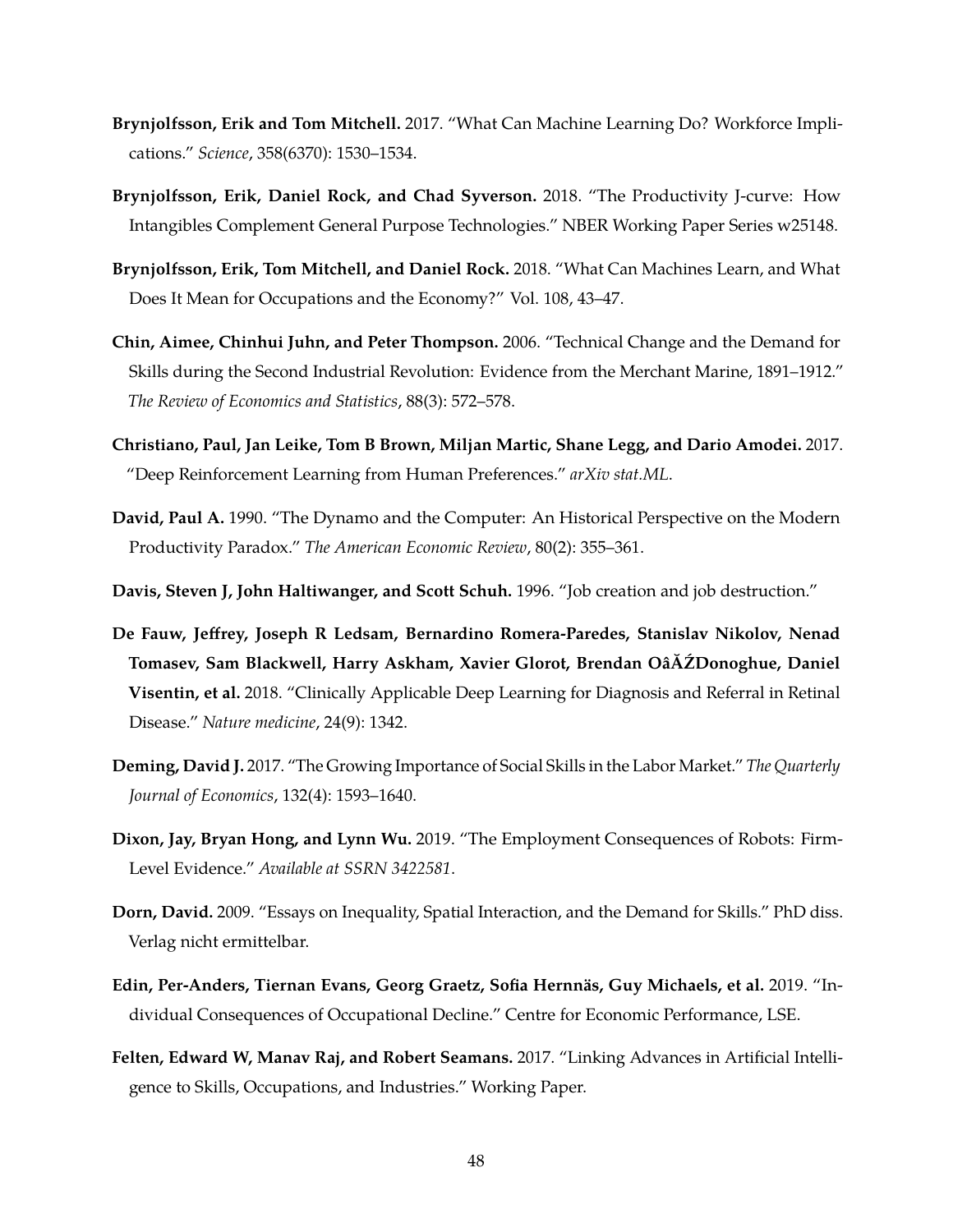- <span id="page-49-3"></span>**Brynjolfsson, Erik and Tom Mitchell.** 2017. "What Can Machine Learning Do? Workforce Implications." *Science*, 358(6370): 1530–1534.
- <span id="page-49-12"></span>**Brynjolfsson, Erik, Daniel Rock, and Chad Syverson.** 2018. "The Productivity J-curve: How Intangibles Complement General Purpose Technologies." NBER Working Paper Series w25148.
- <span id="page-49-1"></span>**Brynjolfsson, Erik, Tom Mitchell, and Daniel Rock.** 2018. "What Can Machines Learn, and What Does It Mean for Occupations and the Economy?" Vol. 108, 43–47.
- <span id="page-49-4"></span>**Chin, Aimee, Chinhui Juhn, and Peter Thompson.** 2006. "Technical Change and the Demand for Skills during the Second Industrial Revolution: Evidence from the Merchant Marine, 1891–1912." *The Review of Economics and Statistics*, 88(3): 572–578.
- <span id="page-49-9"></span>**Christiano, Paul, Jan Leike, Tom B Brown, Miljan Martic, Shane Legg, and Dario Amodei.** 2017. "Deep Reinforcement Learning from Human Preferences." *arXiv stat.ML*.
- <span id="page-49-10"></span>**David, Paul A.** 1990. "The Dynamo and the Computer: An Historical Perspective on the Modern Productivity Paradox." *The American Economic Review*, 80(2): 355–361.
- <span id="page-49-7"></span>**Davis, Steven J, John Haltiwanger, and Scott Schuh.** 1996. "Job creation and job destruction."
- <span id="page-49-11"></span>**De Fauw, Jeffrey, Joseph R Ledsam, Bernardino Romera-Paredes, Stanislav Nikolov, Nenad Tomasev, Sam Blackwell, Harry Askham, Xavier Glorot, Brendan OâĂŹDonoghue, Daniel Visentin, et al.** 2018. "Clinically Applicable Deep Learning for Diagnosis and Referral in Retinal Disease." *Nature medicine*, 24(9): 1342.
- <span id="page-49-6"></span>**Deming, David J.** 2017. "The Growing Importance of Social Skills in the Labor Market." *The Quarterly Journal of Economics*, 132(4): 1593–1640.
- <span id="page-49-8"></span>**Dixon, Jay, Bryan Hong, and Lynn Wu.** 2019. "The Employment Consequences of Robots: Firm-Level Evidence." *Available at SSRN 3422581*.
- <span id="page-49-5"></span>**Dorn, David.** 2009. "Essays on Inequality, Spatial Interaction, and the Demand for Skills." PhD diss. Verlag nicht ermittelbar.
- <span id="page-49-0"></span>**Edin, Per-Anders, Tiernan Evans, Georg Graetz, Sofia Hernnas, Guy Michaels, et al. ¨** 2019. "Individual Consequences of Occupational Decline." Centre for Economic Performance, LSE.
- <span id="page-49-2"></span>**Felten, Edward W, Manav Raj, and Robert Seamans.** 2017. "Linking Advances in Artificial Intelligence to Skills, Occupations, and Industries." Working Paper.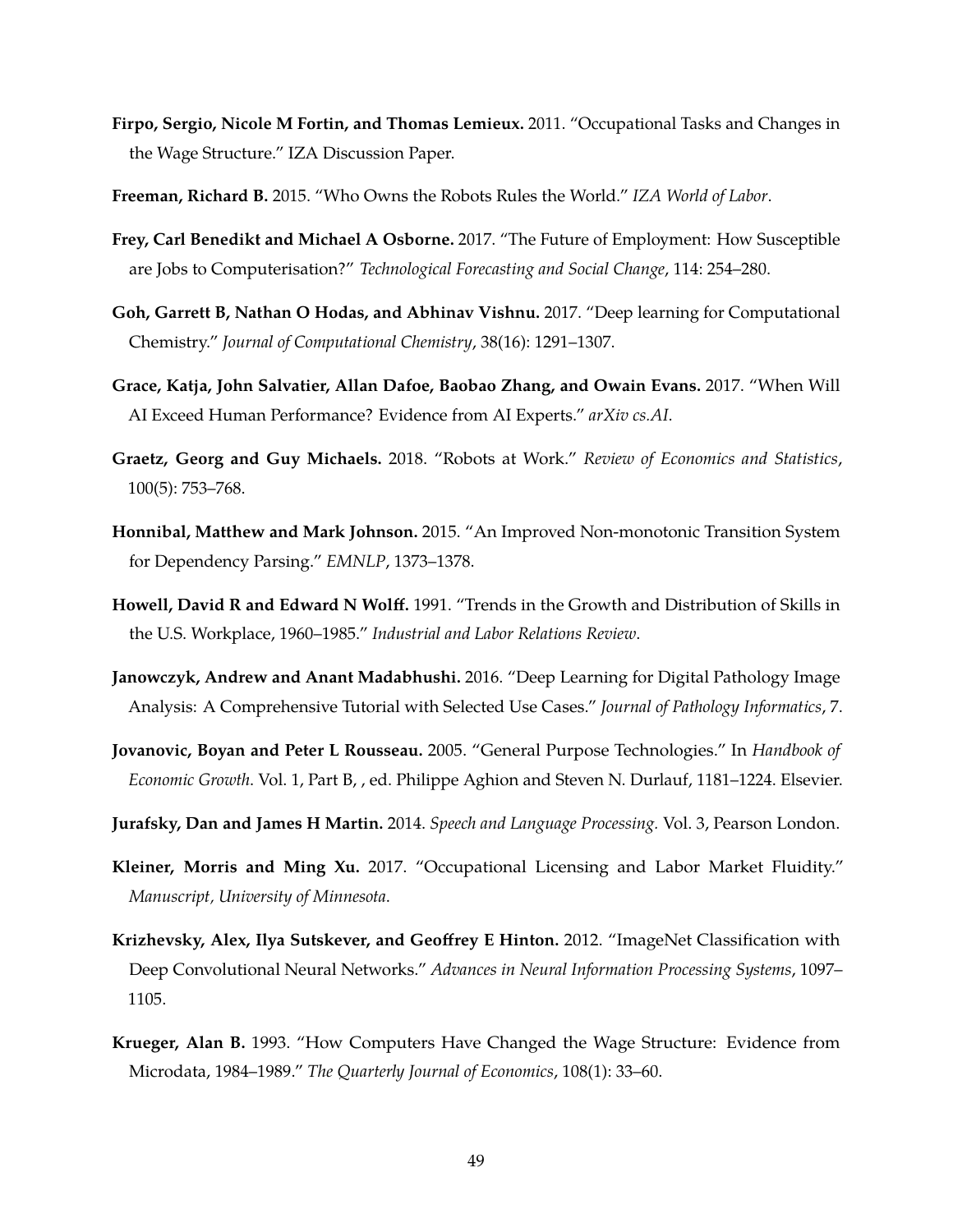- <span id="page-50-4"></span>**Firpo, Sergio, Nicole M Fortin, and Thomas Lemieux.** 2011. "Occupational Tasks and Changes in the Wage Structure." IZA Discussion Paper.
- <span id="page-50-12"></span>**Freeman, Richard B.** 2015. "Who Owns the Robots Rules the World." *IZA World of Labor*.
- <span id="page-50-2"></span>**Frey, Carl Benedikt and Michael A Osborne.** 2017. "The Future of Employment: How Susceptible are Jobs to Computerisation?" *Technological Forecasting and Social Change*, 114: 254–280.
- <span id="page-50-11"></span>**Goh, Garrett B, Nathan O Hodas, and Abhinav Vishnu.** 2017. "Deep learning for Computational Chemistry." *Journal of Computational Chemistry*, 38(16): 1291–1307.
- <span id="page-50-3"></span>**Grace, Katja, John Salvatier, Allan Dafoe, Baobao Zhang, and Owain Evans.** 2017. "When Will AI Exceed Human Performance? Evidence from AI Experts." *arXiv cs.AI*.
- <span id="page-50-0"></span>**Graetz, Georg and Guy Michaels.** 2018. "Robots at Work." *Review of Economics and Statistics*, 100(5): 753–768.
- <span id="page-50-7"></span>**Honnibal, Matthew and Mark Johnson.** 2015. "An Improved Non-monotonic Transition System for Dependency Parsing." *EMNLP*, 1373–1378.
- <span id="page-50-6"></span>**Howell, David R and Edward N Wolff.** 1991. "Trends in the Growth and Distribution of Skills in the U.S. Workplace, 1960–1985." *Industrial and Labor Relations Review*.
- <span id="page-50-10"></span>**Janowczyk, Andrew and Anant Madabhushi.** 2016. "Deep Learning for Digital Pathology Image Analysis: A Comprehensive Tutorial with Selected Use Cases." *Journal of Pathology Informatics*, 7.
- <span id="page-50-13"></span>**Jovanovic, Boyan and Peter L Rousseau.** 2005. "General Purpose Technologies." In *Handbook of Economic Growth*. Vol. 1, Part B, , ed. Philippe Aghion and Steven N. Durlauf, 1181–1224. Elsevier.
- <span id="page-50-8"></span>**Jurafsky, Dan and James H Martin.** 2014. *Speech and Language Processing.* Vol. 3, Pearson London.
- <span id="page-50-5"></span>**Kleiner, Morris and Ming Xu.** 2017. "Occupational Licensing and Labor Market Fluidity." *Manuscript, University of Minnesota*.
- <span id="page-50-9"></span>**Krizhevsky, Alex, Ilya Sutskever, and Geoffrey E Hinton.** 2012. "ImageNet Classification with Deep Convolutional Neural Networks." *Advances in Neural Information Processing Systems*, 1097– 1105.
- <span id="page-50-1"></span>**Krueger, Alan B.** 1993. "How Computers Have Changed the Wage Structure: Evidence from Microdata, 1984–1989." *The Quarterly Journal of Economics*, 108(1): 33–60.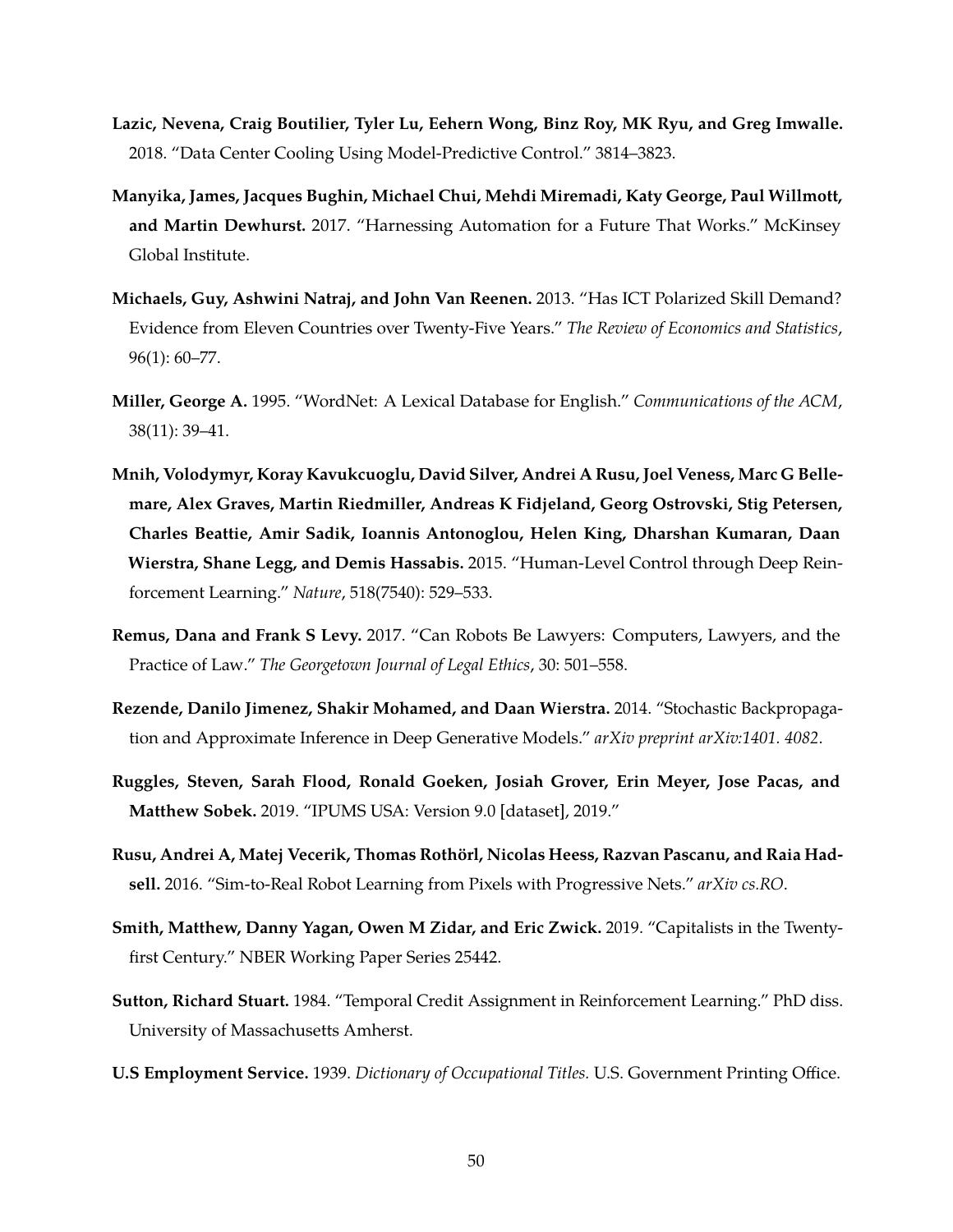- <span id="page-51-9"></span>**Lazic, Nevena, Craig Boutilier, Tyler Lu, Eehern Wong, Binz Roy, MK Ryu, and Greg Imwalle.** 2018. "Data Center Cooling Using Model-Predictive Control." 3814–3823.
- <span id="page-51-1"></span>**Manyika, James, Jacques Bughin, Michael Chui, Mehdi Miremadi, Katy George, Paul Willmott, and Martin Dewhurst.** 2017. "Harnessing Automation for a Future That Works." McKinsey Global Institute.
- <span id="page-51-0"></span>**Michaels, Guy, Ashwini Natraj, and John Van Reenen.** 2013. "Has ICT Polarized Skill Demand? Evidence from Eleven Countries over Twenty-Five Years." *The Review of Economics and Statistics*, 96(1): 60–77.
- <span id="page-51-4"></span>**Miller, George A.** 1995. "WordNet: A Lexical Database for English." *Communications of the ACM*, 38(11): 39–41.
- <span id="page-51-5"></span>**Mnih, Volodymyr, Koray Kavukcuoglu, David Silver, Andrei A Rusu, Joel Veness, Marc G Bellemare, Alex Graves, Martin Riedmiller, Andreas K Fidjeland, Georg Ostrovski, Stig Petersen, Charles Beattie, Amir Sadik, Ioannis Antonoglou, Helen King, Dharshan Kumaran, Daan Wierstra, Shane Legg, and Demis Hassabis.** 2015. "Human-Level Control through Deep Reinforcement Learning." *Nature*, 518(7540): 529–533.
- <span id="page-51-10"></span>**Remus, Dana and Frank S Levy.** 2017. "Can Robots Be Lawyers: Computers, Lawyers, and the Practice of Law." *The Georgetown Journal of Legal Ethics*, 30: 501–558.
- <span id="page-51-7"></span>**Rezende, Danilo Jimenez, Shakir Mohamed, and Daan Wierstra.** 2014. "Stochastic Backpropagation and Approximate Inference in Deep Generative Models." *arXiv preprint arXiv:1401. 4082*.
- <span id="page-51-3"></span>**Ruggles, Steven, Sarah Flood, Ronald Goeken, Josiah Grover, Erin Meyer, Jose Pacas, and Matthew Sobek.** 2019. "IPUMS USA: Version 9.0 [dataset], 2019."
- <span id="page-51-6"></span>**Rusu, Andrei A, Matej Vecerik, Thomas Rothorl, Nicolas Heess, Razvan Pascanu, and Raia Had- ¨ sell.** 2016. "Sim-to-Real Robot Learning from Pixels with Progressive Nets." *arXiv cs.RO*.
- <span id="page-51-11"></span>**Smith, Matthew, Danny Yagan, Owen M Zidar, and Eric Zwick.** 2019. "Capitalists in the Twentyfirst Century." NBER Working Paper Series 25442.
- <span id="page-51-8"></span>**Sutton, Richard Stuart.** 1984. "Temporal Credit Assignment in Reinforcement Learning." PhD diss. University of Massachusetts Amherst.
- <span id="page-51-2"></span>**U.S Employment Service.** 1939. *Dictionary of Occupational Titles.* U.S. Government Printing Office.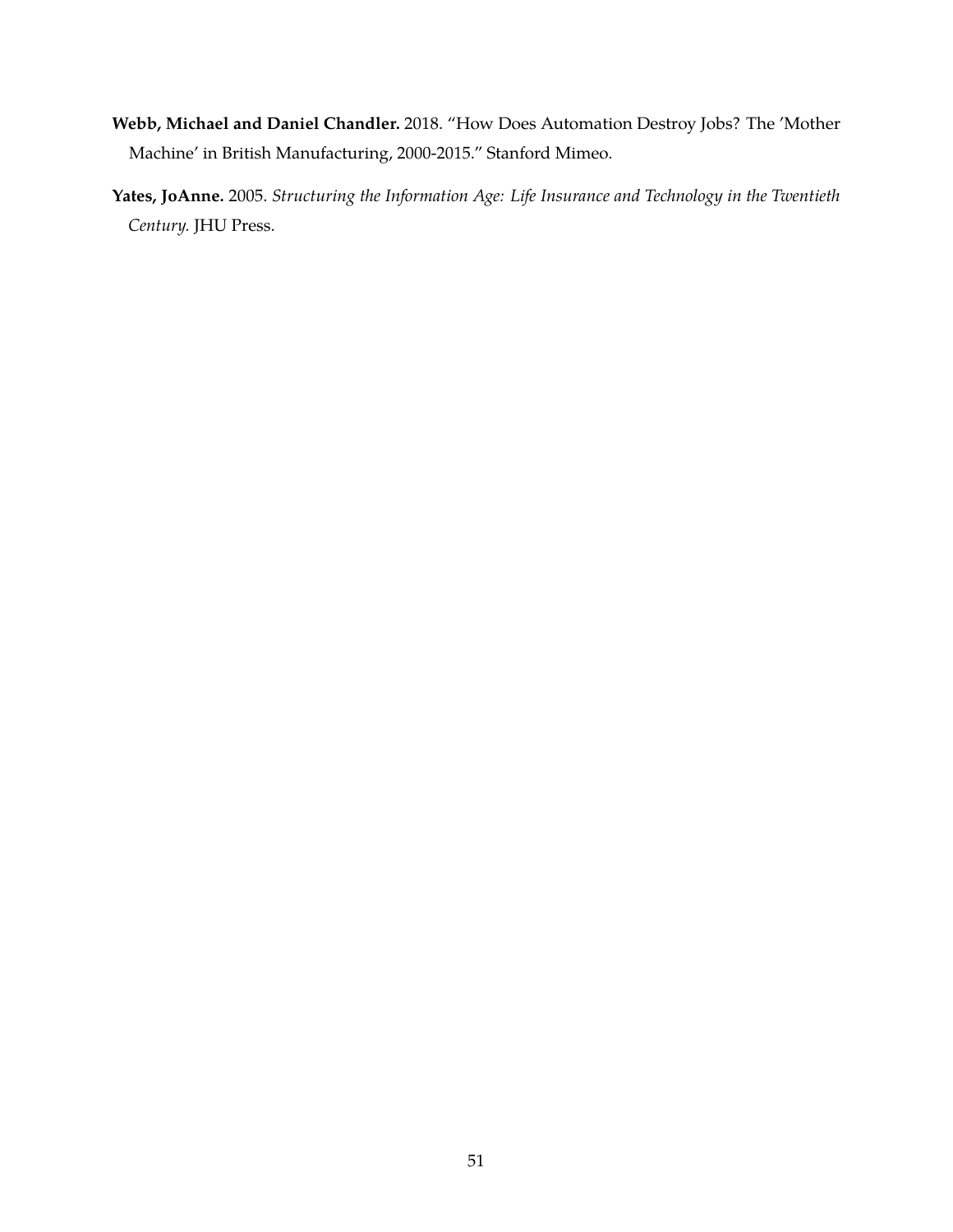- <span id="page-52-0"></span>**Webb, Michael and Daniel Chandler.** 2018. "How Does Automation Destroy Jobs? The 'Mother Machine' in British Manufacturing, 2000-2015." Stanford Mimeo.
- <span id="page-52-1"></span>**Yates, JoAnne.** 2005. *Structuring the Information Age: Life Insurance and Technology in the Twentieth Century.* JHU Press.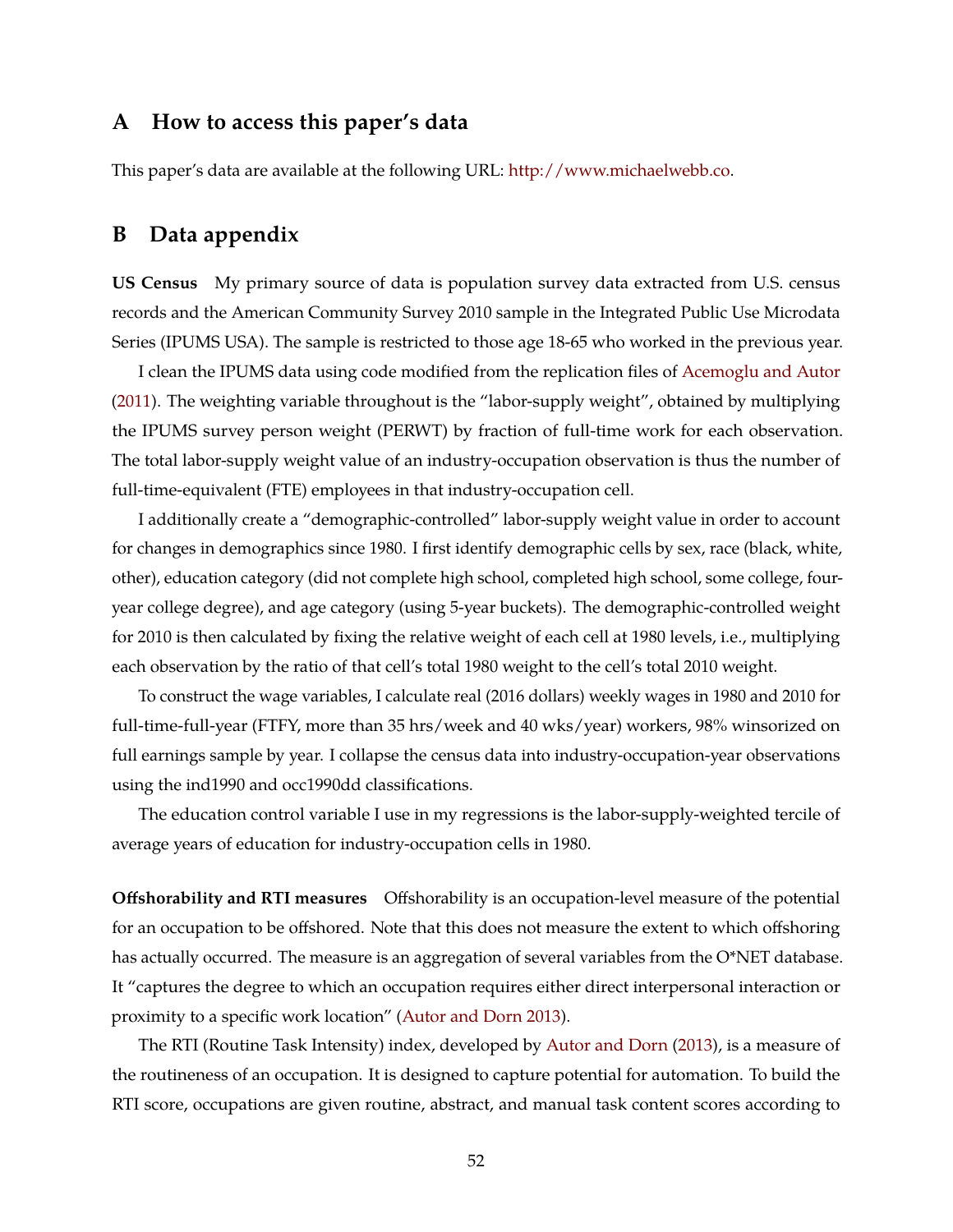## **A How to access this paper's data**

This paper's data are available at the following URL: [http://www.michaelwebb.co.](http://www.michaelwebb.co)

## <span id="page-53-0"></span>**B Data appendix**

**US Census** My primary source of data is population survey data extracted from U.S. census records and the American Community Survey 2010 sample in the Integrated Public Use Microdata Series (IPUMS USA). The sample is restricted to those age 18-65 who worked in the previous year.

I clean the IPUMS data using code modified from the replication files of [Acemoglu and Autor](#page-48-2) [\(2011\)](#page-48-2). The weighting variable throughout is the "labor-supply weight", obtained by multiplying the IPUMS survey person weight (PERWT) by fraction of full-time work for each observation. The total labor-supply weight value of an industry-occupation observation is thus the number of full-time-equivalent (FTE) employees in that industry-occupation cell.

I additionally create a "demographic-controlled" labor-supply weight value in order to account for changes in demographics since 1980. I first identify demographic cells by sex, race (black, white, other), education category (did not complete high school, completed high school, some college, fouryear college degree), and age category (using 5-year buckets). The demographic-controlled weight for 2010 is then calculated by fixing the relative weight of each cell at 1980 levels, i.e., multiplying each observation by the ratio of that cell's total 1980 weight to the cell's total 2010 weight.

To construct the wage variables, I calculate real (2016 dollars) weekly wages in 1980 and 2010 for full-time-full-year (FTFY, more than 35 hrs/week and 40 wks/year) workers, 98% winsorized on full earnings sample by year. I collapse the census data into industry-occupation-year observations using the ind1990 and occ1990dd classifications.

The education control variable I use in my regressions is the labor-supply-weighted tercile of average years of education for industry-occupation cells in 1980.

**Offshorability and RTI measures** Offshorability is an occupation-level measure of the potential for an occupation to be offshored. Note that this does not measure the extent to which offshoring has actually occurred. The measure is an aggregation of several variables from the O\*NET database. It "captures the degree to which an occupation requires either direct interpersonal interaction or proximity to a specific work location" [\(Autor and Dorn](#page-48-3) [2013\)](#page-48-3).

The RTI (Routine Task Intensity) index, developed by [Autor and Dorn](#page-48-3) [\(2013\)](#page-48-3), is a measure of the routineness of an occupation. It is designed to capture potential for automation. To build the RTI score, occupations are given routine, abstract, and manual task content scores according to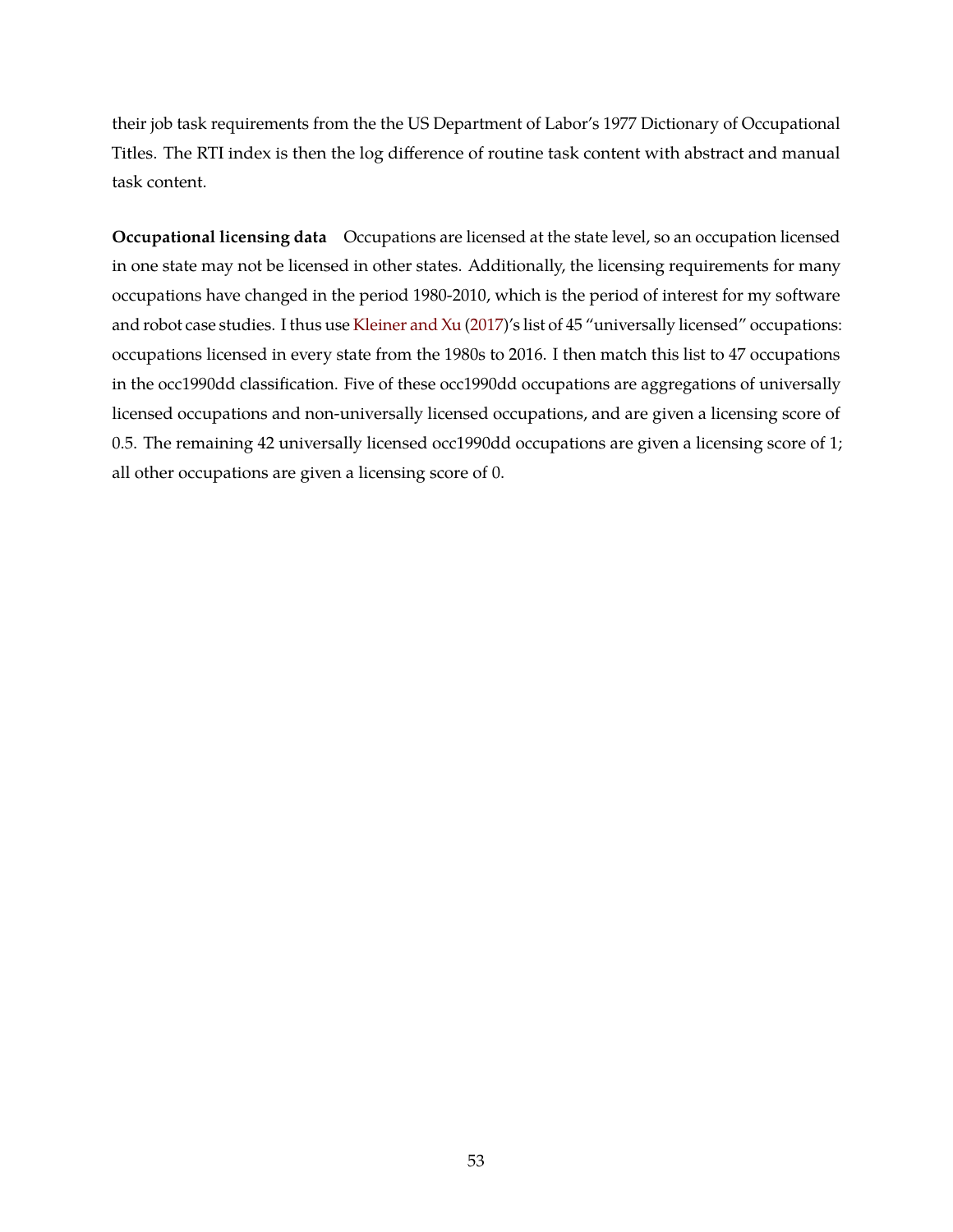their job task requirements from the the US Department of Labor's 1977 Dictionary of Occupational Titles. The RTI index is then the log difference of routine task content with abstract and manual task content.

**Occupational licensing data** Occupations are licensed at the state level, so an occupation licensed in one state may not be licensed in other states. Additionally, the licensing requirements for many occupations have changed in the period 1980-2010, which is the period of interest for my software and robot case studies. I thus use [Kleiner and Xu](#page-50-5) [\(2017\)](#page-50-5)'s list of 45 "universally licensed" occupations: occupations licensed in every state from the 1980s to 2016. I then match this list to 47 occupations in the occ1990dd classification. Five of these occ1990dd occupations are aggregations of universally licensed occupations and non-universally licensed occupations, and are given a licensing score of 0.5. The remaining 42 universally licensed occ1990dd occupations are given a licensing score of 1; all other occupations are given a licensing score of 0.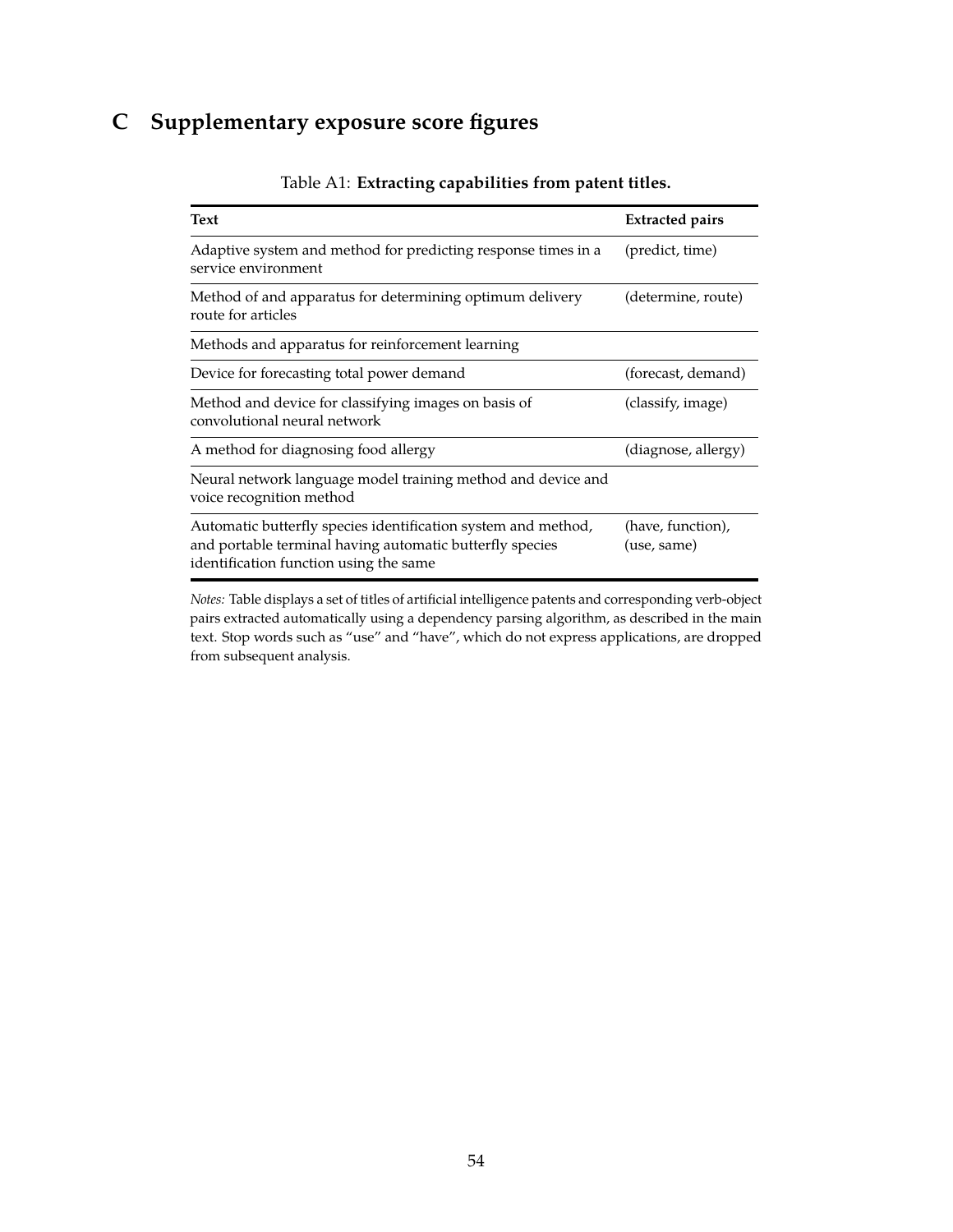# <span id="page-55-0"></span>**C Supplementary exposure score figures**

| <b>Text</b>                                                                                                                                                         | <b>Extracted pairs</b>           |
|---------------------------------------------------------------------------------------------------------------------------------------------------------------------|----------------------------------|
| Adaptive system and method for predicting response times in a<br>service environment                                                                                | (predict, time)                  |
| Method of and apparatus for determining optimum delivery<br>route for articles                                                                                      | (determine, route)               |
| Methods and apparatus for reinforcement learning                                                                                                                    |                                  |
| Device for forecasting total power demand                                                                                                                           | (forecast, demand)               |
| Method and device for classifying images on basis of<br>convolutional neural network                                                                                | (classify, image)                |
| A method for diagnosing food allergy                                                                                                                                | (diagnose, allergy)              |
| Neural network language model training method and device and<br>voice recognition method                                                                            |                                  |
| Automatic butterfly species identification system and method,<br>and portable terminal having automatic butterfly species<br>identification function using the same | (have, function),<br>(use, same) |

Table A1: **Extracting capabilities from patent titles.**

*Notes:* Table displays a set of titles of artificial intelligence patents and corresponding verb-object pairs extracted automatically using a dependency parsing algorithm, as described in the main text. Stop words such as "use" and "have", which do not express applications, are dropped from subsequent analysis.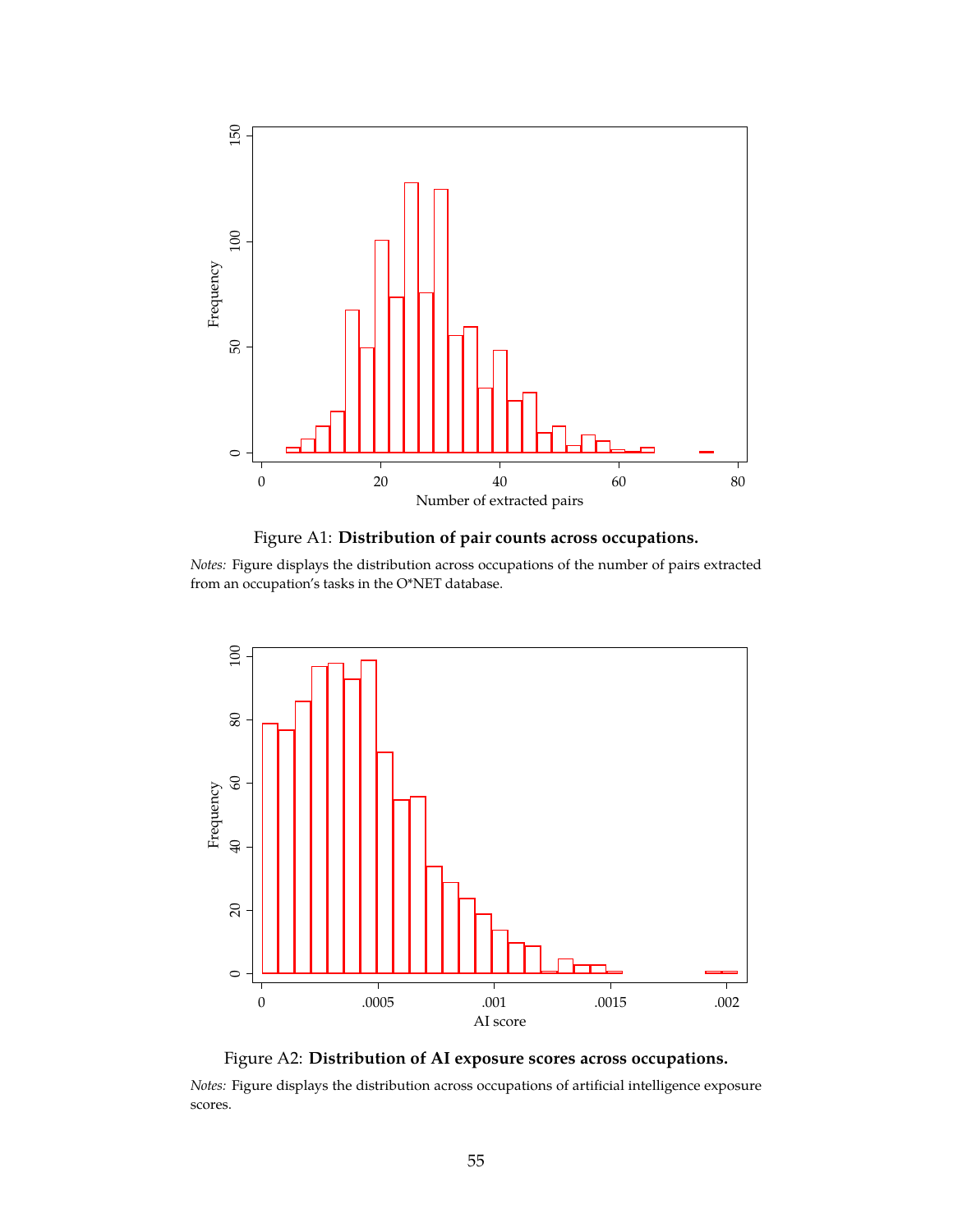<span id="page-56-0"></span>



*Notes:* Figure displays the distribution across occupations of the number of pairs extracted from an occupation's tasks in the O\*NET database.

<span id="page-56-1"></span>

Figure A2: **Distribution of AI exposure scores across occupations.**

*Notes:* Figure displays the distribution across occupations of artificial intelligence exposure scores.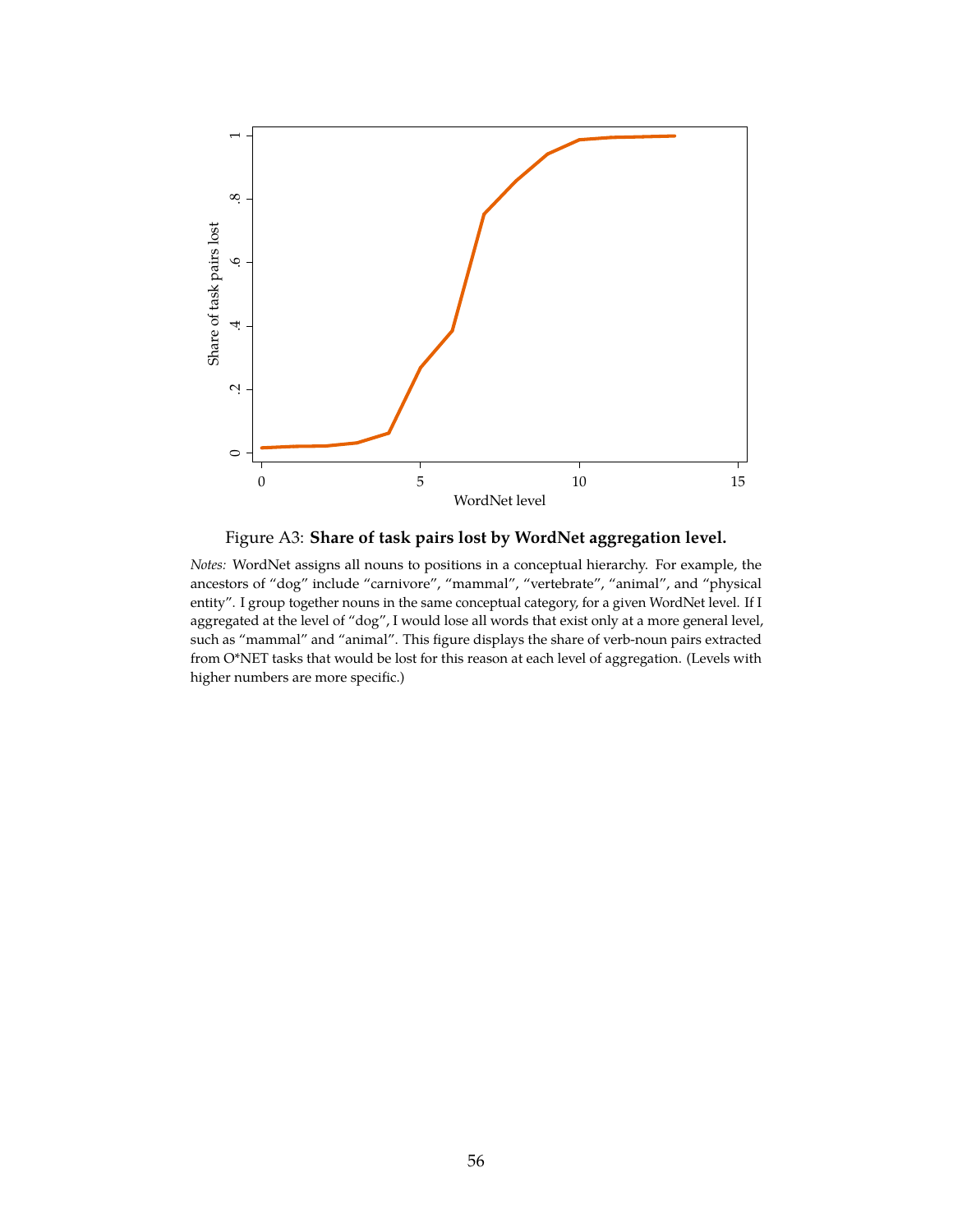<span id="page-57-0"></span>

Figure A3: **Share of task pairs lost by WordNet aggregation level.**

*Notes:* WordNet assigns all nouns to positions in a conceptual hierarchy. For example, the ancestors of "dog" include "carnivore", "mammal", "vertebrate", "animal", and "physical entity". I group together nouns in the same conceptual category, for a given WordNet level. If I aggregated at the level of "dog", I would lose all words that exist only at a more general level, such as "mammal" and "animal". This figure displays the share of verb-noun pairs extracted from O\*NET tasks that would be lost for this reason at each level of aggregation. (Levels with higher numbers are more specific.)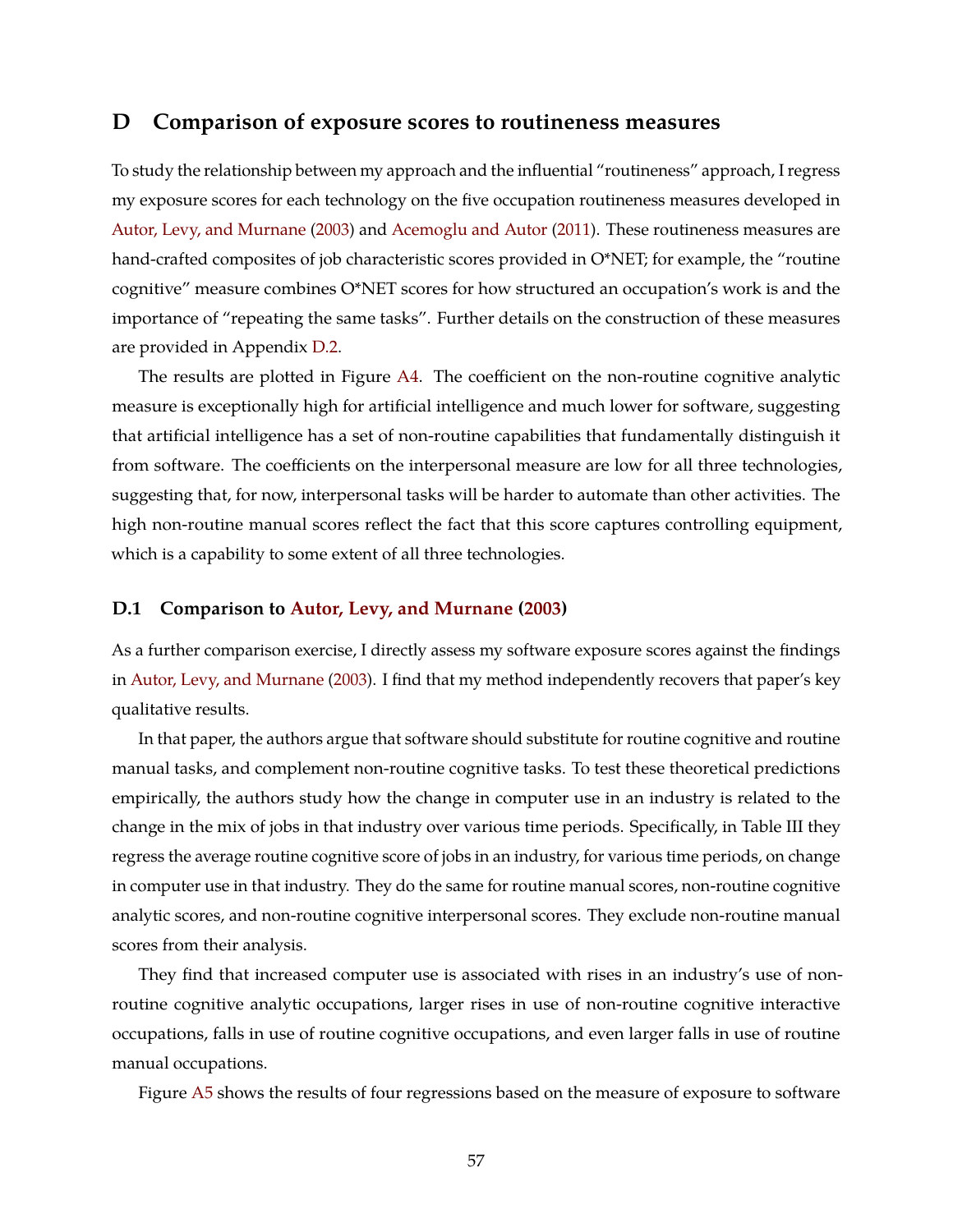## **D Comparison of exposure scores to routineness measures**

To study the relationship between my approach and the influential "routineness" approach, I regress my exposure scores for each technology on the five occupation routineness measures developed in [Autor, Levy, and Murnane](#page-48-1) [\(2003\)](#page-48-1) and [Acemoglu and Autor](#page-48-2) [\(2011\)](#page-48-2). These routineness measures are hand-crafted composites of job characteristic scores provided in O\*NET; for example, the "routine cognitive" measure combines O\*NET scores for how structured an occupation's work is and the importance of "repeating the same tasks". Further details on the construction of these measures are provided in Appendix [D.2.](#page-61-0)

The results are plotted in Figure [A4.](#page-59-0) The coefficient on the non-routine cognitive analytic measure is exceptionally high for artificial intelligence and much lower for software, suggesting that artificial intelligence has a set of non-routine capabilities that fundamentally distinguish it from software. The coefficients on the interpersonal measure are low for all three technologies, suggesting that, for now, interpersonal tasks will be harder to automate than other activities. The high non-routine manual scores reflect the fact that this score captures controlling equipment, which is a capability to some extent of all three technologies.

### <span id="page-58-0"></span>**D.1 Comparison to [Autor, Levy, and Murnane](#page-48-1) [\(2003\)](#page-48-1)**

As a further comparison exercise, I directly assess my software exposure scores against the findings in [Autor, Levy, and Murnane](#page-48-1) [\(2003\)](#page-48-1). I find that my method independently recovers that paper's key qualitative results.

In that paper, the authors argue that software should substitute for routine cognitive and routine manual tasks, and complement non-routine cognitive tasks. To test these theoretical predictions empirically, the authors study how the change in computer use in an industry is related to the change in the mix of jobs in that industry over various time periods. Specifically, in Table III they regress the average routine cognitive score of jobs in an industry, for various time periods, on change in computer use in that industry. They do the same for routine manual scores, non-routine cognitive analytic scores, and non-routine cognitive interpersonal scores. They exclude non-routine manual scores from their analysis.

They find that increased computer use is associated with rises in an industry's use of nonroutine cognitive analytic occupations, larger rises in use of non-routine cognitive interactive occupations, falls in use of routine cognitive occupations, and even larger falls in use of routine manual occupations.

Figure [A5](#page-60-0) shows the results of four regressions based on the measure of exposure to software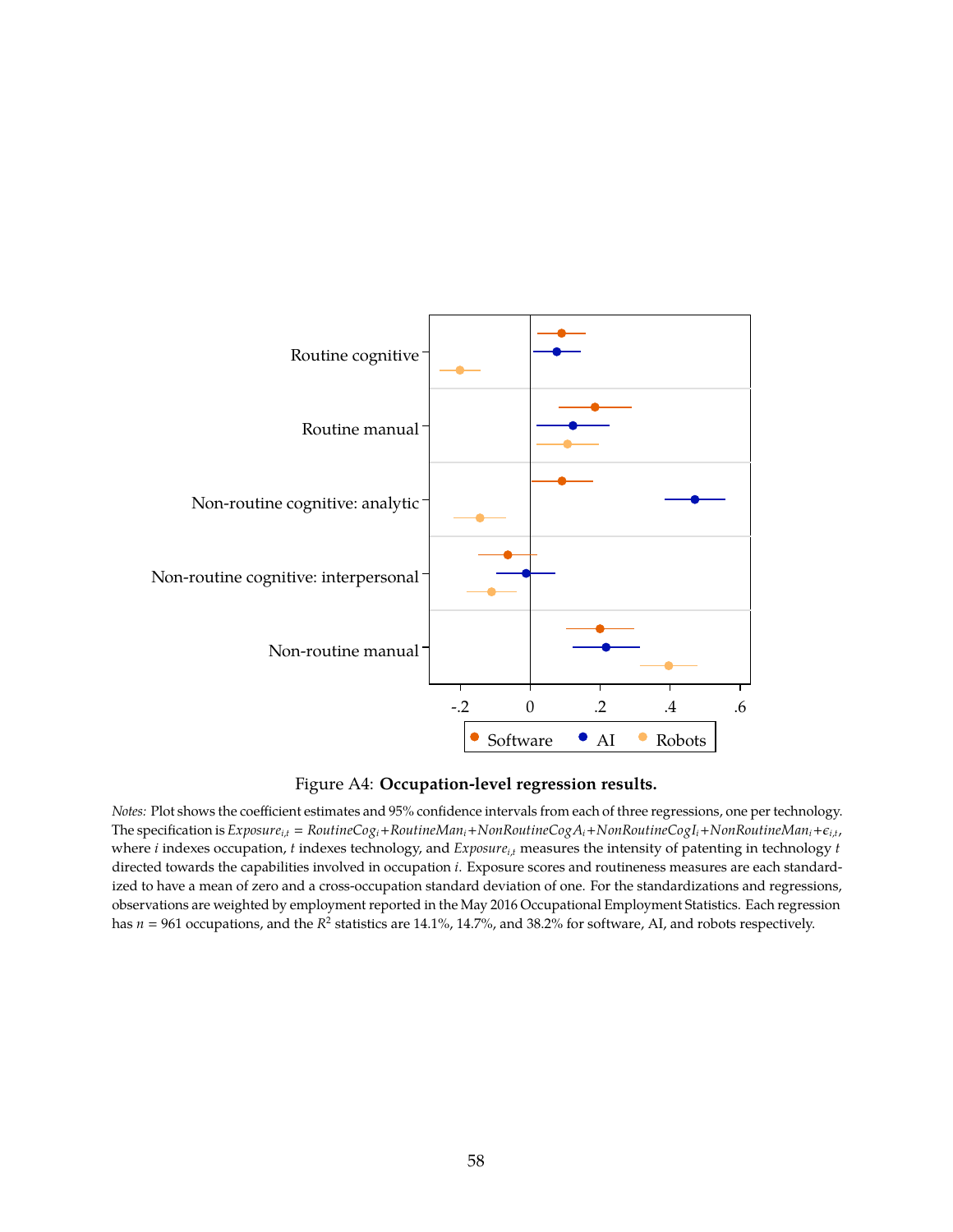<span id="page-59-0"></span>



*Notes:* Plot shows the coefficient estimates and 95% confidence intervals from each of three regressions, one per technology. The specification is *Exposurei*,*<sup>t</sup>* = *RoutineCogi*+*RoutineMani*+*NonRoutineCogAi*+*NonRoutineCogIi*+*NonRoutineMani*+*i*,*<sup>t</sup>* , where *i* indexes occupation, *t* indexes technology, and *Exposurei*,*<sup>t</sup>* measures the intensity of patenting in technology *t* directed towards the capabilities involved in occupation *i*. Exposure scores and routineness measures are each standardized to have a mean of zero and a cross-occupation standard deviation of one. For the standardizations and regressions, observations are weighted by employment reported in the May 2016 Occupational Employment Statistics. Each regression has  $n = 961$  occupations, and the  $R^2$  statistics are 14.1%, 14.7%, and 38.2% for software, AI, and robots respectively.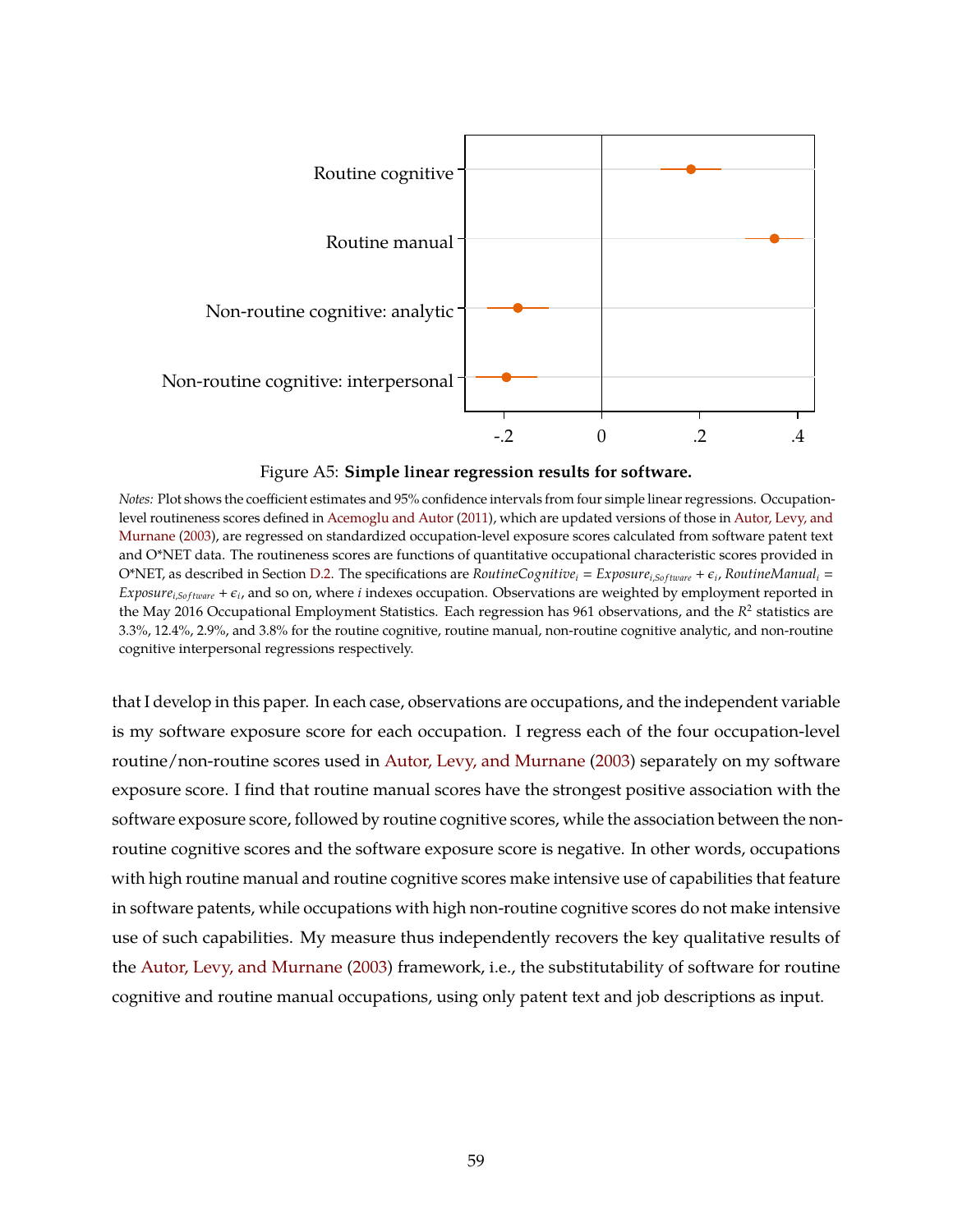<span id="page-60-0"></span>

Figure A5: **Simple linear regression results for software.**

*Notes:* Plot shows the coefficient estimates and 95% confidence intervals from four simple linear regressions. Occupationlevel routineness scores defined in [Acemoglu and Autor](#page-48-2) [\(2011\)](#page-48-2), which are updated versions of those in [Autor, Levy, and](#page-48-1) [Murnane](#page-48-1) [\(2003\)](#page-48-1), are regressed on standardized occupation-level exposure scores calculated from software patent text and O\*NET data. The routineness scores are functions of quantitative occupational characteristic scores provided in O\*NET, as described in Section [D.2.](#page-61-0) The specifications are *RoutineCognitive*<sup>*i*</sup> = *Exposure*<sub>*i*,Software</sub> +  $\epsilon_i$ , *RoutineManual*<sub>*i*</sub> = *Exposure*<sub>i,Software</sub> +  $\epsilon_i$ , and so on, where *i* indexes occupation. Observations are weighted by employment reported in the May 2016 Occupational Employment Statistics. Each regression has 961 observations, and the  $R^2$  statistics are 3.3%, 12.4%, 2.9%, and 3.8% for the routine cognitive, routine manual, non-routine cognitive analytic, and non-routine cognitive interpersonal regressions respectively.

that I develop in this paper. In each case, observations are occupations, and the independent variable is my software exposure score for each occupation. I regress each of the four occupation-level routine/non-routine scores used in [Autor, Levy, and Murnane](#page-48-1) [\(2003\)](#page-48-1) separately on my software exposure score. I find that routine manual scores have the strongest positive association with the software exposure score, followed by routine cognitive scores, while the association between the nonroutine cognitive scores and the software exposure score is negative. In other words, occupations with high routine manual and routine cognitive scores make intensive use of capabilities that feature in software patents, while occupations with high non-routine cognitive scores do not make intensive use of such capabilities. My measure thus independently recovers the key qualitative results of the [Autor, Levy, and Murnane](#page-48-1) [\(2003\)](#page-48-1) framework, i.e., the substitutability of software for routine cognitive and routine manual occupations, using only patent text and job descriptions as input.